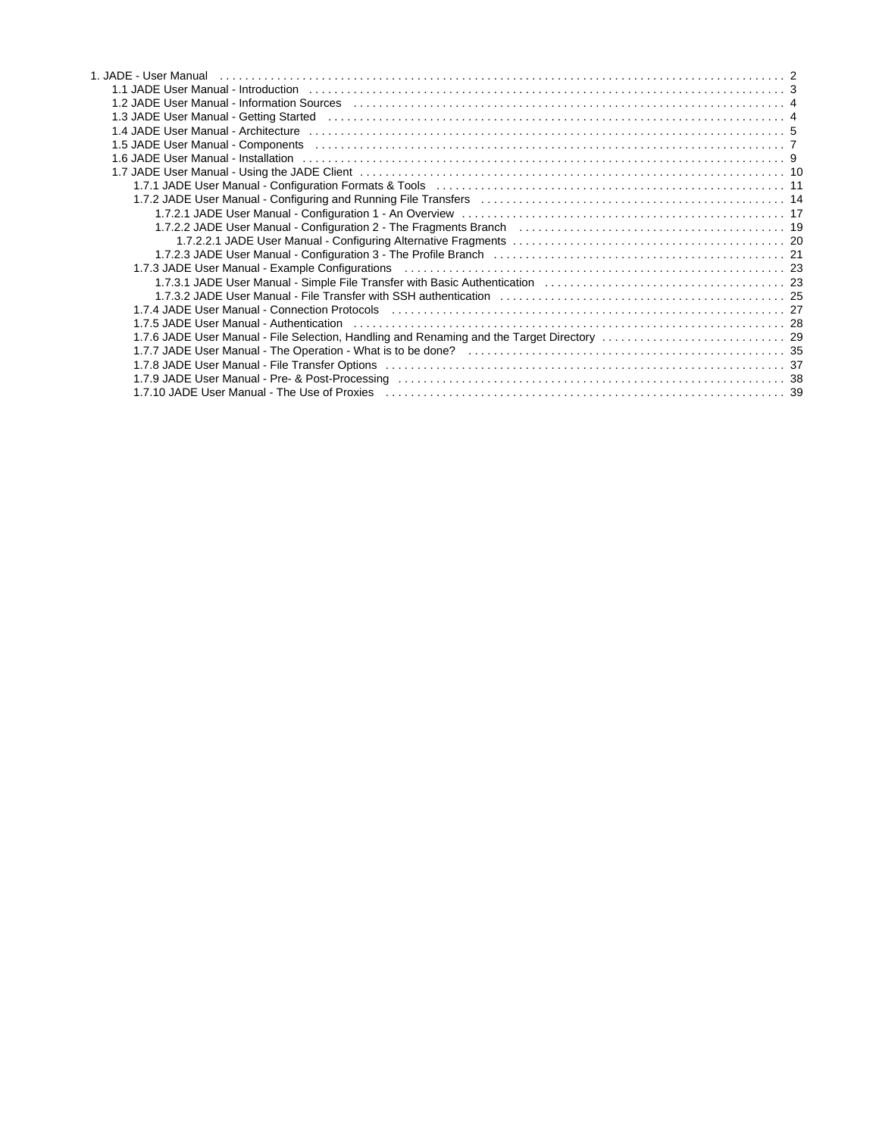| 1.1 JADE User Manual - Introduction (all contained according to the control of the contact of the contact of t                                                                                                                 |  |
|--------------------------------------------------------------------------------------------------------------------------------------------------------------------------------------------------------------------------------|--|
|                                                                                                                                                                                                                                |  |
| 1.3 JADE User Manual - Getting Started (educational contract contract contract contract contract contract contr                                                                                                                |  |
|                                                                                                                                                                                                                                |  |
| 1.5 JADE User Manual - Components (all contracts in the contract of the contract of the contract of the control of the control of the control of the control of the control of the control of the control of the control of th |  |
|                                                                                                                                                                                                                                |  |
|                                                                                                                                                                                                                                |  |
|                                                                                                                                                                                                                                |  |
|                                                                                                                                                                                                                                |  |
|                                                                                                                                                                                                                                |  |
| 1.7.2.2 JADE User Manual - Configuration 2 - The Fragments Branch (and contained contained a series and the 19                                                                                                                 |  |
|                                                                                                                                                                                                                                |  |
|                                                                                                                                                                                                                                |  |
| 1.7.3 JADE User Manual - Example Configurations (example contract to contract the contract of the contract of t                                                                                                                |  |
|                                                                                                                                                                                                                                |  |
|                                                                                                                                                                                                                                |  |
|                                                                                                                                                                                                                                |  |
| 1.7.5 JADE User Manual - Authentication (also contract to contract the contract of the contract of the contract $28$                                                                                                           |  |
|                                                                                                                                                                                                                                |  |
|                                                                                                                                                                                                                                |  |
|                                                                                                                                                                                                                                |  |
|                                                                                                                                                                                                                                |  |
| 1.7.10 JADE User Manual - The Use of Proxies et also recommended to contact the contract of the User Manual -                                                                                                                  |  |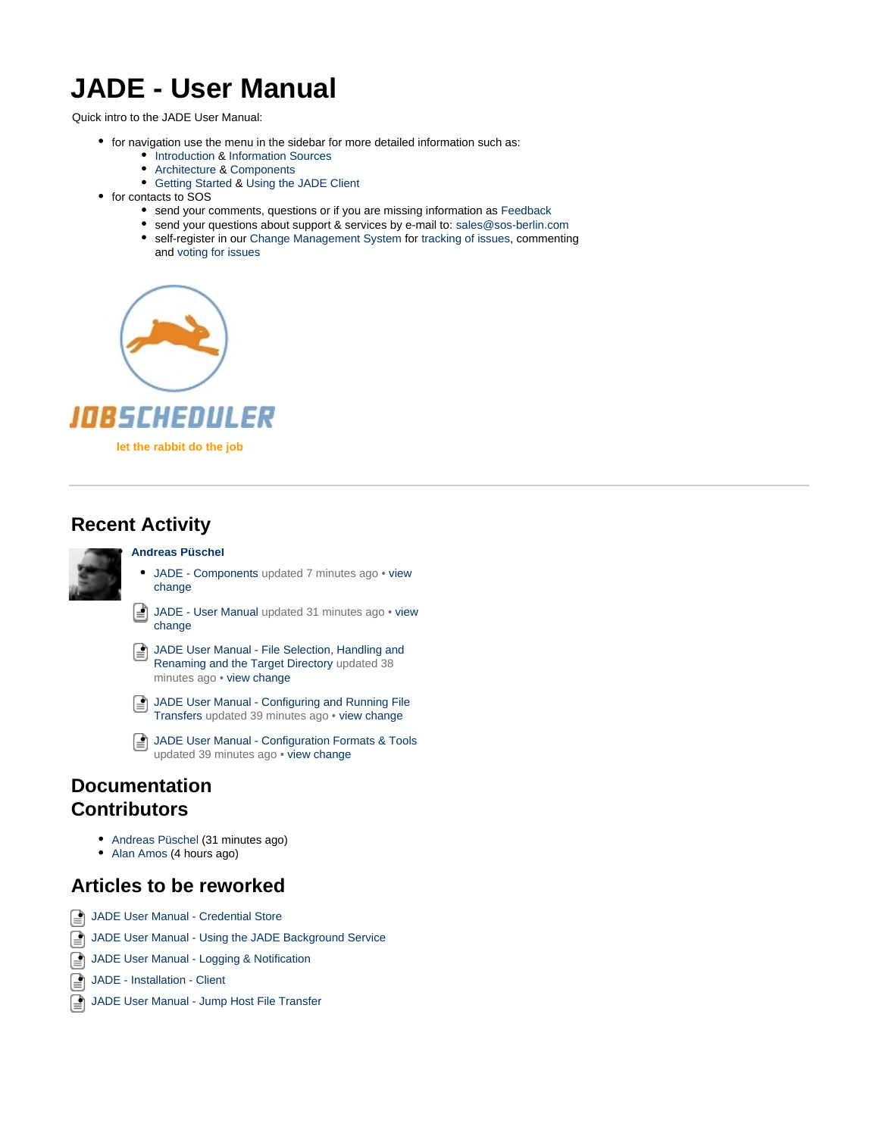# <span id="page-1-0"></span>**JADE - User Manual**

Quick intro to the JADE User Manual:

- for navigation use the menu in the sidebar for more detailed information such as:
	- [Introduction](#page-2-0) & [Information Sources](#page-3-0)
	- [Architecture](#page-4-0) & [Components](#page-6-0) [Getting Started](#page-3-1) & [Using the JADE Client](#page-9-0)
	-
- for contacts to SOS
	- send your comments, questions or if you are missing information as [Feedback](https://kb.sos-berlin.com/display/PKB/Contact)
	- send your questions about support & services by e-mail to: sales@sos-berlin.com
	- self-register in our [Change Management System](https://change.sos-berlin.com/) for [tracking of issues](https://kb.sos-berlin.com/display/PKB/Tracking+Issues), commenting and [voting for issues](https://kb.sos-berlin.com/display/PKB/Voting+for+Issues)





**let the rabbit do the job**

# **Recent Activity**



#### **[Andreas Püschel](https://kb.sos-berlin.com/display/~ap)**

- $\bullet$ [JADE - Components](https://kb.sos-berlin.com/display/PKB/JADE+-+Components) updated 7 minutes ago • [view](https://kb.sos-berlin.com/pages/diffpagesbyversion.action?pageId=4292674&selectedPageVersions=9&selectedPageVersions=8) [change](https://kb.sos-berlin.com/pages/diffpagesbyversion.action?pageId=4292674&selectedPageVersions=9&selectedPageVersions=8)
- ि [JADE - User Manual](#page-1-0) updated 31 minutes ago • [view](https://kb.sos-berlin.com/pages/diffpagesbyversion.action?pageId=10485920&selectedPageVersions=8&selectedPageVersions=7) [change](https://kb.sos-berlin.com/pages/diffpagesbyversion.action?pageId=10485920&selectedPageVersions=8&selectedPageVersions=7)
- [JADE User Manual File Selection, Handling and](#page-28-0) € [Renaming and the Target Directory](#page-28-0) updated 38 minutes ago • [view change](https://kb.sos-berlin.com/pages/diffpagesbyversion.action?pageId=10485885&selectedPageVersions=63&selectedPageVersions=62)
- [JADE User Manual Configuring and Running File](#page-13-0) [Transfers](#page-13-0) updated 39 minutes ago • [view change](https://kb.sos-berlin.com/pages/diffpagesbyversion.action?pageId=10487452&selectedPageVersions=27&selectedPageVersions=26)
- ি [JADE User Manual - Configuration Formats & Tools](#page-10-0) updated 39 minutes ago • [view change](https://kb.sos-berlin.com/pages/diffpagesbyversion.action?pageId=10487777&selectedPageVersions=24&selectedPageVersions=23)

### **Documentation Contributors**

- [Andreas Püschel](https://kb.sos-berlin.com/display/~ap) (31 minutes ago)
- [Alan Amos](https://kb.sos-berlin.com/display/~aa) (4 hours ago)

### **Articles to be reworked**

- [JADE User Manual Credential Store](https://kb.sos-berlin.com/display/PKB/JADE+User+Manual+-+Credential+Store)
- [JADE User Manual Using the JADE Background Service](https://kb.sos-berlin.com/display/PKB/JADE+User+Manual+-+Using+the+JADE+Background+Service)
- **[JADE User Manual Logging & Notification](https://kb.sos-berlin.com/pages/viewpage.action?pageId=10486132)**
- ি [JADE - Installation - Client](https://kb.sos-berlin.com/display/PKB/JADE+-+Installation+-+Client)
- ি [JADE User Manual - Jump Host File Transfer](https://kb.sos-berlin.com/display/PKB/JADE+User+Manual+-+Jump+Host+File+Transfer)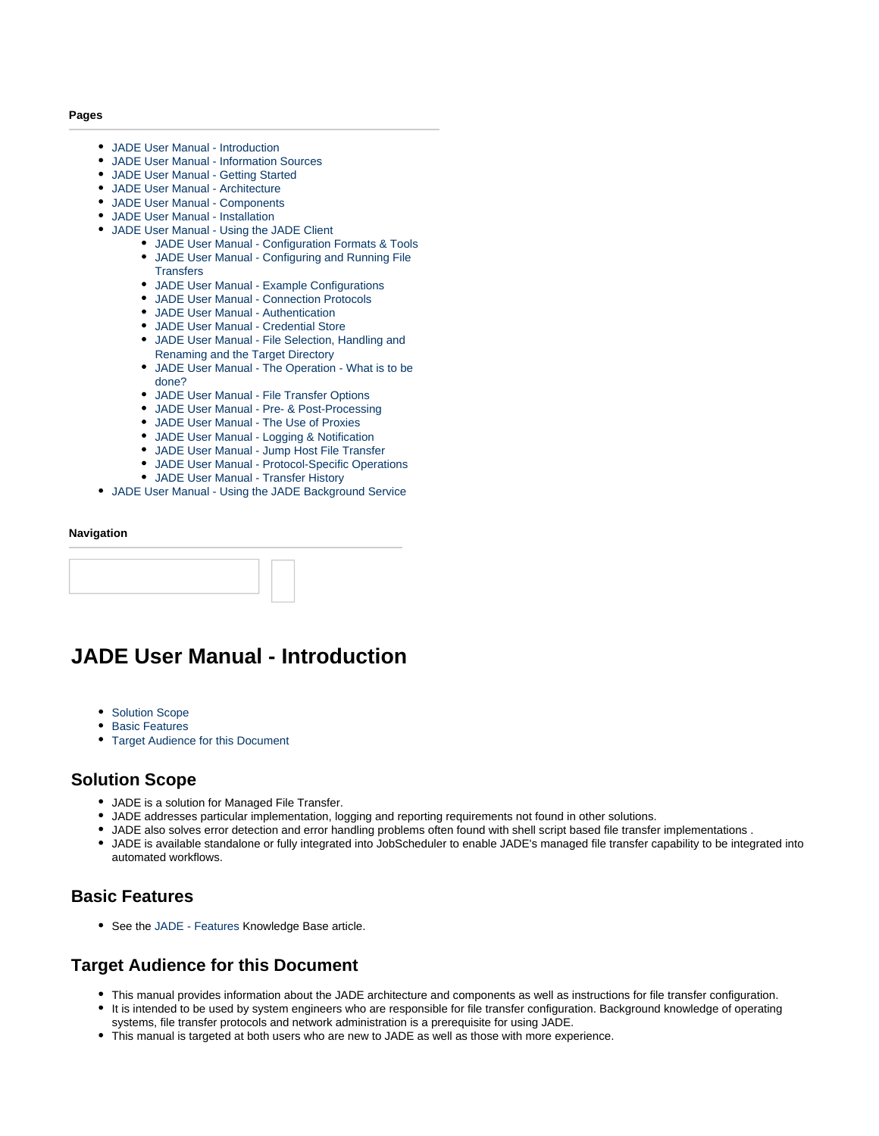#### **Pages**

- [JADE User Manual Introduction](#page-2-0)
- [JADE User Manual Information Sources](#page-3-0)
- [JADE User Manual Getting Started](#page-3-1)
- [JADE User Manual Architecture](#page-4-0)
- [JADE User Manual Components](#page-6-0)
- [JADE User Manual Installation](#page-8-0)
- [JADE User Manual Using the JADE Client](#page-9-0)
	- [JADE User Manual Configuration Formats & Tools](#page-10-0)  $\bullet$ [JADE User Manual - Configuring and Running File](#page-13-0)
	- **[Transfers](#page-13-0)**
	- [JADE User Manual Example Configurations](#page-22-0)
	- [JADE User Manual Connection Protocols](#page-26-0)
	- [JADE User Manual Authentication](#page-27-0) [JADE User Manual - Credential Store](https://kb.sos-berlin.com/display/PKB/JADE+User+Manual+-+Credential+Store)
	- [JADE User Manual File Selection, Handling and](#page-28-0) [Renaming and the Target Directory](#page-28-0)
	- [JADE User Manual The Operation What is to be](#page-34-0) [done?](#page-34-0)
	- [JADE User Manual File Transfer Options](#page-36-0)
	- [JADE User Manual Pre- & Post-Processing](#page-37-0)
	- [JADE User Manual The Use of Proxies](#page-38-0)
	- [JADE User Manual Logging & Notification](https://kb.sos-berlin.com/pages/viewpage.action?pageId=10486132)
	- [JADE User Manual Jump Host File Transfer](https://kb.sos-berlin.com/display/PKB/JADE+User+Manual+-+Jump+Host+File+Transfer)
	- [JADE User Manual Protocol-Specific Operations](https://kb.sos-berlin.com/display/PKB/JADE+User+Manual+-+Protocol-Specific+Operations)
	- [JADE User Manual Transfer History](https://kb.sos-berlin.com/display/PKB/JADE+User+Manual+-+Transfer+History)
- [JADE User Manual Using the JADE Background Service](https://kb.sos-berlin.com/display/PKB/JADE+User+Manual+-+Using+the+JADE+Background+Service)

#### **Navigation**

# <span id="page-2-0"></span>**JADE User Manual - Introduction**

- [Solution Scope](#page-2-1)
- [Basic Features](#page-2-2)
- [Target Audience for this Document](#page-2-3)

### <span id="page-2-1"></span>**Solution Scope**

- JADE is a solution for Managed File Transfer.
- JADE addresses particular implementation, logging and reporting requirements not found in other solutions.
- JADE also solves error detection and error handling problems often found with shell script based file transfer implementations .
- JADE is available standalone or fully integrated into JobScheduler to enable JADE's managed file transfer capability to be integrated into automated workflows.

### <span id="page-2-2"></span>**Basic Features**

• See the [JADE - Features](https://kb.sos-berlin.com/display/PKB/JADE+-+Features) Knowledge Base article.

### <span id="page-2-3"></span>**Target Audience for this Document**

- This manual provides information about the JADE architecture and components as well as instructions for file transfer configuration.
- It is intended to be used by system engineers who are responsible for file transfer configuration. Background knowledge of operating systems, file transfer protocols and network administration is a prerequisite for using JADE.
- This manual is targeted at both users who are new to JADE as well as those with more experience.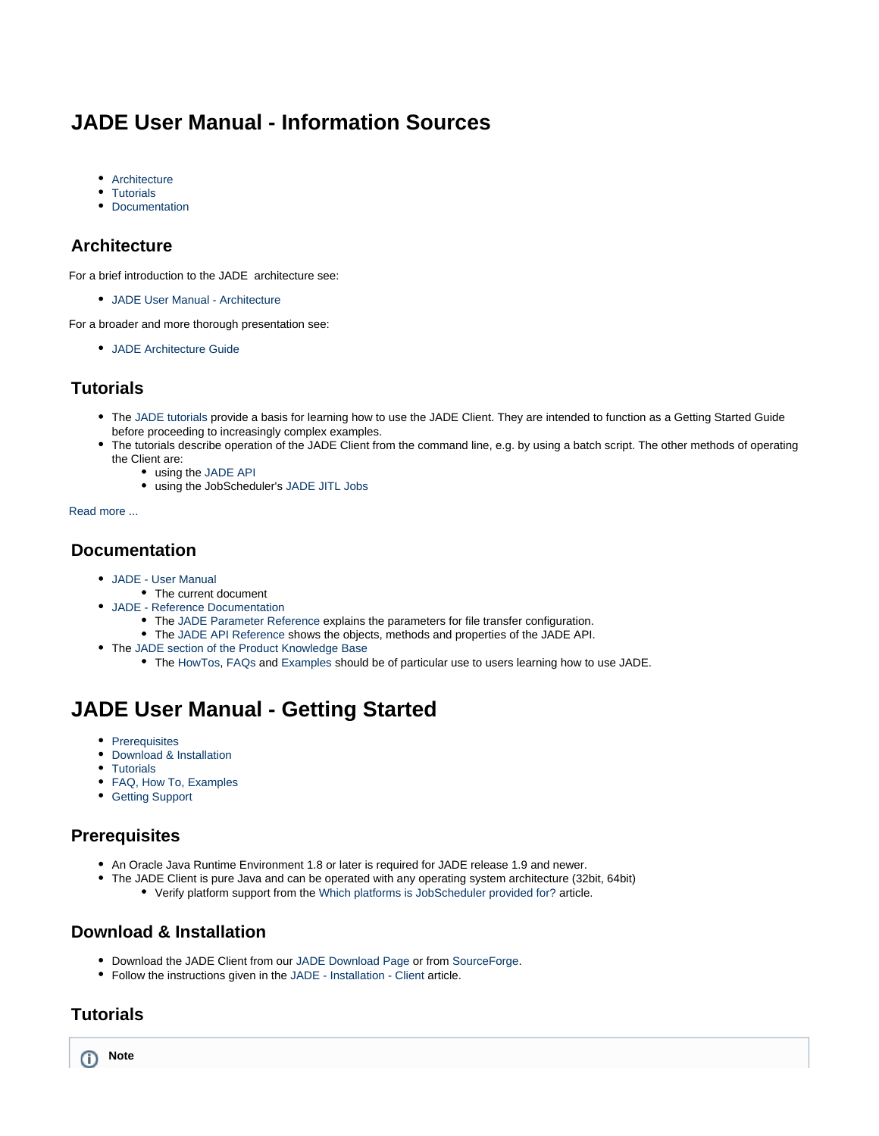# <span id="page-3-0"></span>**JADE User Manual - Information Sources**

- [Architecture](#page-3-2)
- [Tutorials](#page-3-3)
- [Documentation](#page-3-4)

### <span id="page-3-2"></span>**Architecture**

For a brief introduction to the JADE architecture see:

[JADE User Manual - Architecture](#page-4-0)

For a broader and more thorough presentation see:

[JADE Architecture Guide](http://www.sos-berlin.com/doc/en/JADE-architecture.pdf)

### <span id="page-3-3"></span>**Tutorials**

- The [JADE tutorials](https://kb.sos-berlin.com/display/PKB/JADE+-+Tutorials) provide a basis for learning how to use the JADE Client. They are intended to function as a Getting Started Guide before proceeding to increasingly complex examples.
- The tutorials describe operation of the JADE Client from the command line, e.g. by using a batch script. The other methods of operating the Client are:
	- using the [JADE API](https://kb.sos-berlin.com/display/PKB/JADE+API)
		- using the JobScheduler's [JADE JITL Jobs](https://kb.sos-berlin.com/display/PKB/JADE+JITL+Jobs)

#### [Read more ...](https://kb.sos-berlin.com/display/PKB/JADE+-+Tutorials)

### <span id="page-3-4"></span>**Documentation**

- [JADE User Manual](#page-1-0)
	- The current document
- [JADE Reference Documentation](https://kb.sos-berlin.com/display/PKB/JADE+-+Reference+Documentation)
	- The [JADE Parameter Reference](https://kb.sos-berlin.com/display/PKB/JADE+-+Reference+Documentation+-+Parameter+Reference) explains the parameters for file transfer configuration.
	- The [JADE API Reference](https://kb.sos-berlin.com/display/PKB/JADE+-+Reference+Documentation+-+API+Reference) shows the objects, methods and properties of the JADE API.
- The [JADE section of the Product Knowledge Base](https://kb.sos-berlin.com/display/PKB/JADE)
	- The [HowTos](https://kb.sos-berlin.com/display/PKB/JADE+-+How+To), [FAQs](https://kb.sos-berlin.com/display/PKB/JADE+-+FAQ) and [Examples](https://kb.sos-berlin.com/display/PKB/JADE+-+Examples) should be of particular use to users learning how to use JADE.

# <span id="page-3-1"></span>**JADE User Manual - Getting Started**

- [Prerequisites](#page-3-5)
- [Download & Installation](#page-3-6)
- [Tutorials](#page-3-7)
- [FAQ, How To, Examples](#page-4-1)
- [Getting Support](#page-4-2)

### <span id="page-3-5"></span>**Prerequisites**

- An Oracle Java Runtime Environment 1.8 or later is required for JADE release 1.9 and newer.
- The JADE Client is pure Java and can be operated with any operating system architecture (32bit, 64bit) Verify platform support from the [Which platforms is JobScheduler provided for?](https://kb.sos-berlin.com/pages/viewpage.action?pageId=6324845) article.

### <span id="page-3-6"></span>**Download & Installation**

- Download the JADE Client from our [JADE Download Page](http://www.sos-berlin.com/jade-downloads) or from [SourceForge](http://sourceforge.net/projects/sosftp/).
- Follow the instructions given in the [JADE Installation Client](https://kb.sos-berlin.com/display/PKB/JADE+-+Installation+-+Client) article.

### <span id="page-3-7"></span>**Tutorials**

**Note**ത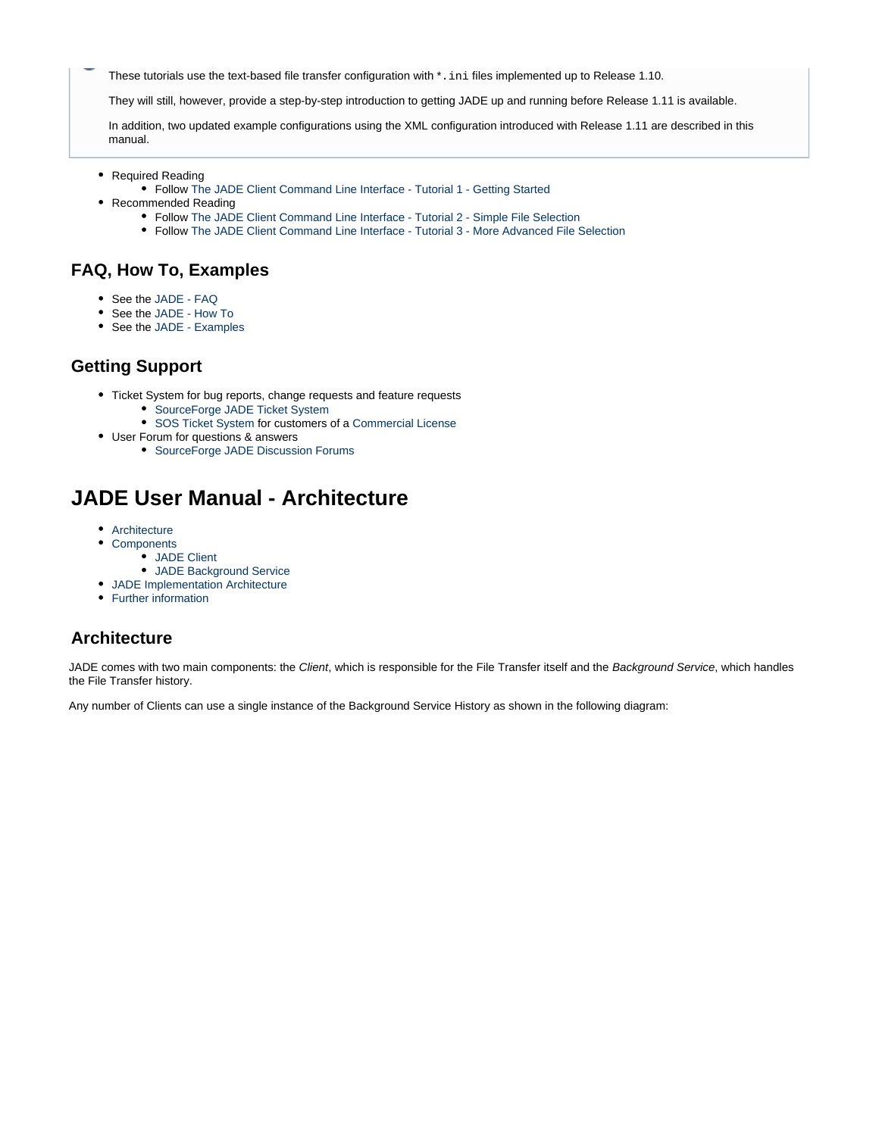These tutorials use the text-based file transfer configuration with  $*$ . ini files implemented up to Release 1.10.

They will still, however, provide a step-by-step introduction to getting JADE up and running before Release 1.11 is available.

In addition, two updated example configurations using the XML configuration introduced with Release 1.11 are described in this manual.

- Required Reading
	- Follow [The JADE Client Command Line Interface Tutorial 1 Getting Started](https://kb.sos-berlin.com/display/PKB/The+JADE+Client+Command+Line+Interface+-+Tutorial+1+-+Getting+Started)
- Recommended Reading
	- Follow [The JADE Client Command Line Interface Tutorial 2 Simple File Selection](https://kb.sos-berlin.com/display/PKB/The+JADE+Client+Command+Line+Interface+-+Tutorial+2+-+Simple+File+Selection)
	- Follow [The JADE Client Command Line Interface Tutorial 3 More Advanced File Selection](https://kb.sos-berlin.com/display/PKB/The+JADE+Client+Command+Line+Interface+-+Tutorial+3+-+More+Advanced+File+Selection)

### <span id="page-4-1"></span>**FAQ, How To, Examples**

- See the [JADE FAQ](https://kb.sos-berlin.com/display/PKB/JADE+-+FAQ)
- See the [JADE How To](https://kb.sos-berlin.com/display/PKB/JADE+-+How+To)
- See the [JADE Examples](https://kb.sos-berlin.com/display/PKB/JADE+-+Examples)

### <span id="page-4-2"></span>**Getting Support**

- Ticket System for bug reports, change requests and feature requests
	- [SourceForge JADE Ticket System](https://sourceforge.net/p/sosftp/_list/tickets)
	- [SOS Ticket System](https://support.sos-berlin.com/otrs/customer.pl) for customers of a [Commercial License](https://kb.sos-berlin.com/display/PKB/Commercial+License)
- User Forum for questions & answers
	- [SourceForge JADE Discussion Forums](https://sourceforge.net/p/sosftp/discussion/)

# <span id="page-4-0"></span>**JADE User Manual - Architecture**

- [Architecture](#page-4-3)
- [Components](#page-5-0)
	- [JADE Client](#page-5-1)
	- [JADE Background Service](#page-5-2)
- [JADE Implementation Architecture](#page-6-1)
- [Further information](#page-6-2)

### <span id="page-4-3"></span>**Architecture**

JADE comes with two main components: the Client, which is responsible for the File Transfer itself and the Background Service, which handles the File Transfer history.

Any number of Clients can use a single instance of the Background Service History as shown in the following diagram: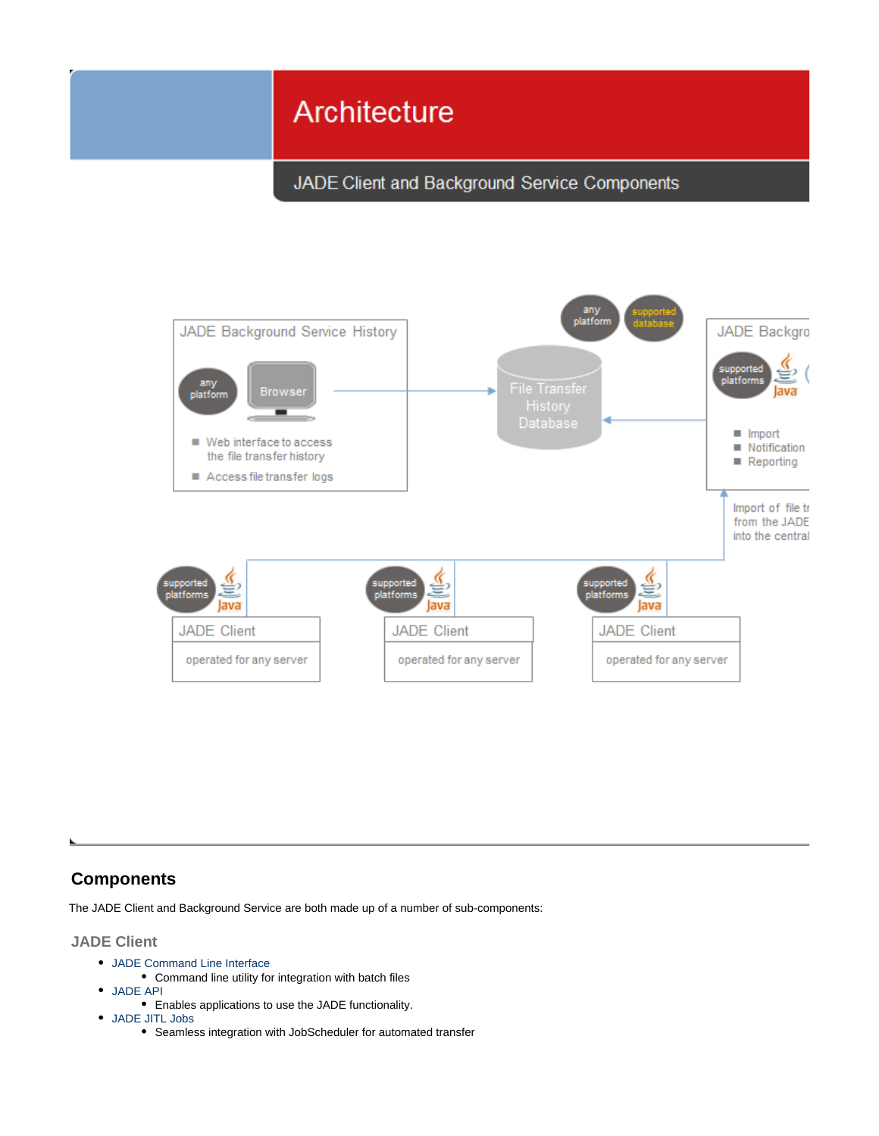# Architecture

JADE Client and Background Service Components



### <span id="page-5-0"></span>**Components**

The JADE Client and Background Service are both made up of a number of sub-components:

<span id="page-5-1"></span>**JADE Client**

- [JADE Command Line Interface](https://kb.sos-berlin.com/display/PKB/JADE+Command+Line+Interface)
	- Command line utility for integration with batch files
- [JADE API](https://kb.sos-berlin.com/display/PKB/JADE+API)
	- Enables applications to use the JADE functionality.
- <span id="page-5-2"></span>[JADE JITL Jobs](https://kb.sos-berlin.com/display/PKB/JADE+JITL+Jobs)
	- Seamless integration with JobScheduler for automated transfer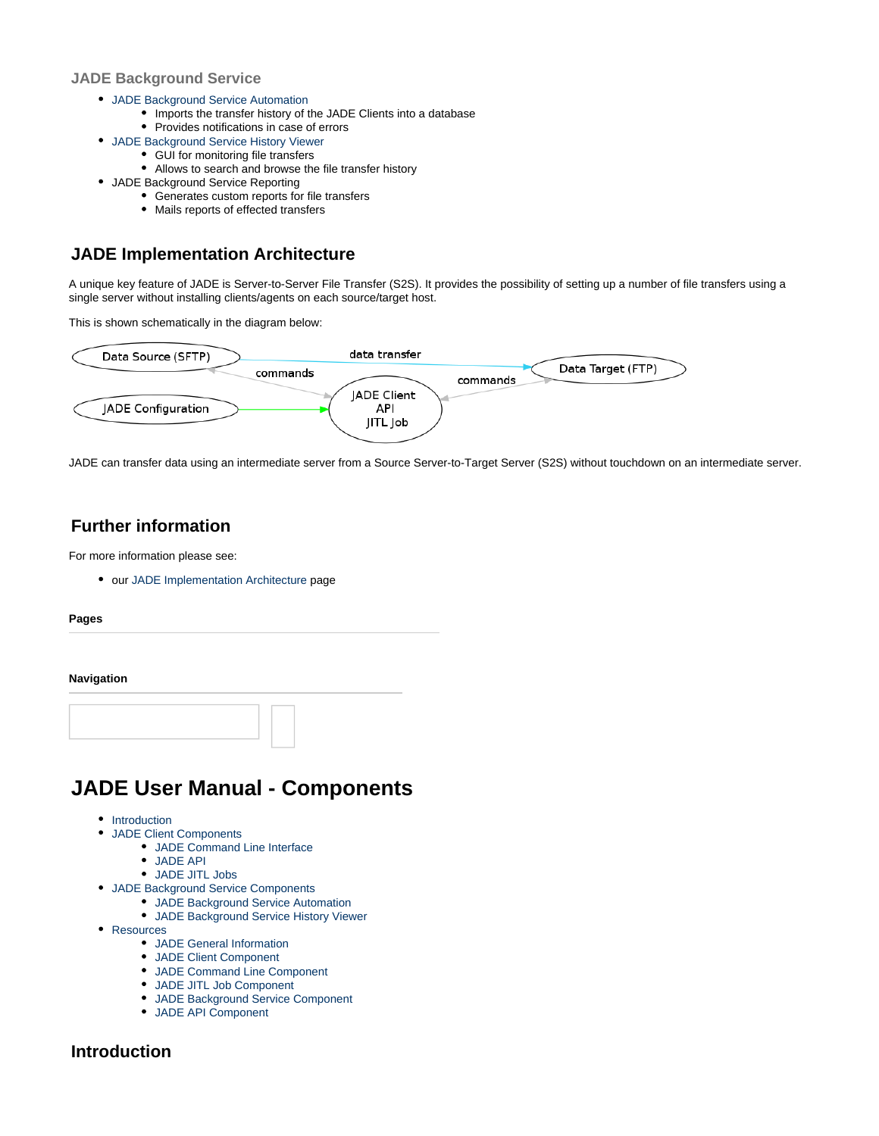#### **JADE Background Service**

- [JADE Background Service Automation](https://kb.sos-berlin.com/display/PKB/JADE+Background+Service+Automation)
	- Imports the transfer history of the JADE Clients into a database
		- Provides notifications in case of errors
- [JADE Background Service History Viewer](https://kb.sos-berlin.com/display/PKB/JADE+Background+Service+History+Viewer)
	- GUI for monitoring file transfers
	- Allows to search and browse the file transfer history
- JADE Background Service Reporting
	- Generates custom reports for file transfers
	- Mails reports of effected transfers

### <span id="page-6-1"></span>**JADE Implementation Architecture**

A unique key feature of JADE is Server-to-Server File Transfer (S2S). It provides the possibility of setting up a number of file transfers using a single server without installing clients/agents on each source/target host.

This is shown schematically in the diagram below:



JADE can transfer data using an intermediate server from a Source Server-to-Target Server (S2S) without touchdown on an intermediate server.

### <span id="page-6-2"></span>**Further information**

For more information please see:

our [JADE Implementation Architecture](https://kb.sos-berlin.com/display/PKB/JADE+Implementation+Architecture) page

**Pages**

#### **Navigation**



# <span id="page-6-0"></span>**JADE User Manual - Components**

- Introduction
- JADE Client Components
	- JADE Command Line Interface
	- JADE API
	- JADE JITL Jobs
- JADE Background Service Components
	- JADE Background Service Automation
	- JADE Background Service History Viewer
- Resources
	- JADE General Information
	- JADE Client Component
	- JADE Command Line Component
	- JADE JITL Job Component
	- JADE Background Service Component
	- JADE API Component

### **Introduction**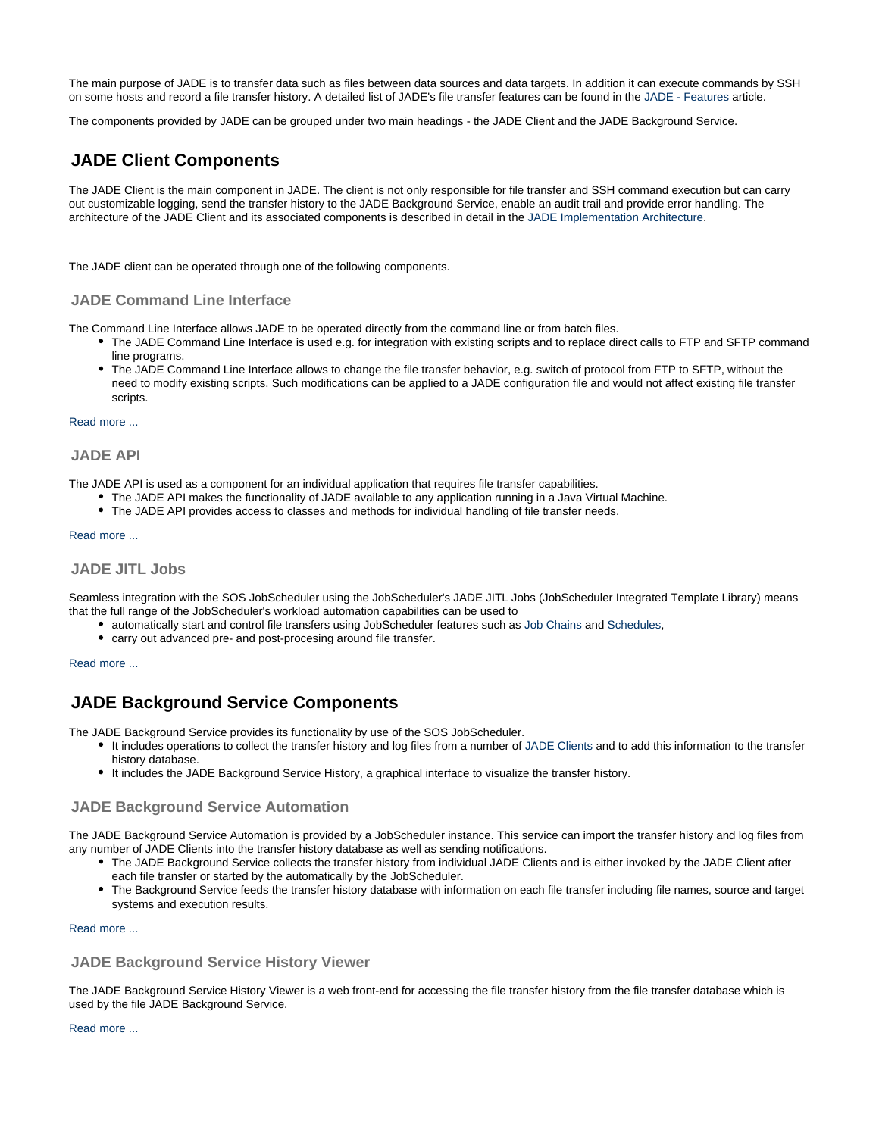The main purpose of JADE is to transfer data such as files between data sources and data targets. In addition it can execute commands by SSH on some hosts and record a file transfer history. A detailed list of JADE's file transfer features can be found in the [JADE - Features](https://kb.sos-berlin.com/display/PKB/JADE+-+Features) article.

The components provided by JADE can be grouped under two main headings - the JADE Client and the JADE Background Service.

### **JADE Client Components**

The JADE Client is the main component in JADE. The client is not only responsible for file transfer and SSH command execution but can carry out customizable logging, send the transfer history to the JADE Background Service, enable an audit trail and provide error handling. The architecture of the JADE Client and its associated components is described in detail in the [JADE Implementation Architecture](https://kb.sos-berlin.com/display/PKB/JADE+Implementation+Architecture).

The JADE client can be operated through one of the following components.

#### **JADE Command Line Interface**

The Command Line Interface allows JADE to be operated directly from the command line or from batch files.

- The JADE Command Line Interface is used e.g. for integration with existing scripts and to replace direct calls to FTP and SFTP command line programs.
- The JADE Command Line Interface allows to change the file transfer behavior, e.g. switch of protocol from FTP to SFTP, without the need to modify existing scripts. Such modifications can be applied to a JADE configuration file and would not affect existing file transfer scripts.

#### [Read more ...](https://kb.sos-berlin.com/display/PKB/JADE+Command+Line+Interface)

#### **JADE API**

The JADE API is used as a component for an individual application that requires file transfer capabilities.

- The JADE API makes the functionality of JADE available to any application running in a Java Virtual Machine.
- The JADE API provides access to classes and methods for individual handling of file transfer needs.

#### [Read more ...](https://kb.sos-berlin.com/display/PKB/JADE+API)

#### **JADE JITL Jobs**

Seamless integration with the SOS JobScheduler using the JobScheduler's JADE JITL Jobs (JobScheduler Integrated Template Library) means that the full range of the JobScheduler's workload automation capabilities can be used to

- automatically start and control file transfers using JobScheduler features such as [Job Chains](https://kb.sos-berlin.com/display/PKB/Job+Chains) and [Schedules,](https://kb.sos-berlin.com/display/PKB/Schedules)
- carry out advanced pre- and post-procesing around file transfer.

#### [Read more ...](https://kb.sos-berlin.com/display/PKB/JADE+JITL+Jobs)

### **JADE Background Service Components**

The JADE Background Service provides its functionality by use of the SOS JobScheduler.

- It includes operations to collect the transfer history and log files from a number of [JADE Clients](https://kb.sos-berlin.com/display/PKB/JADE+Client) and to add this information to the transfer history database.
- It includes the JADE Background Service History, a graphical interface to visualize the transfer history.

#### **JADE Background Service Automation**

The JADE Background Service Automation is provided by a JobScheduler instance. This service can import the transfer history and log files from any number of JADE Clients into the transfer history database as well as sending notifications.

- The JADE Background Service collects the transfer history from individual JADE Clients and is either invoked by the JADE Client after each file transfer or started by the automatically by the JobScheduler.
- The Background Service feeds the transfer history database with information on each file transfer including file names, source and target systems and execution results.

#### [Read more ...](https://kb.sos-berlin.com/display/PKB/JADE+Background+Service+Automation)

#### **JADE Background Service History Viewer**

The JADE Background Service History Viewer is a web front-end for accessing the file transfer history from the file transfer database which is used by the file JADE Background Service.

#### [Read more ...](https://kb.sos-berlin.com/display/PKB/JADE+Background+Service+History+Viewer)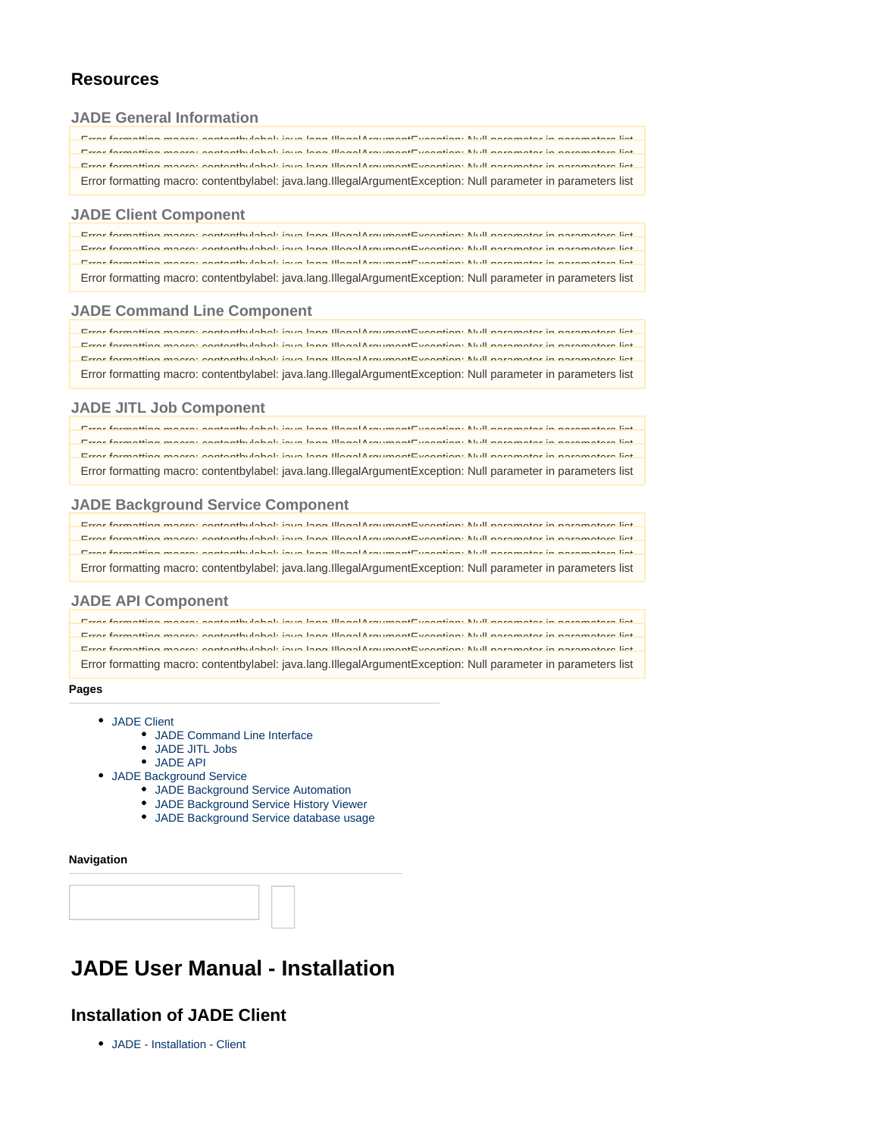### **Resources**

#### **JADE General Information**

| Free formative moore contanthuloholi ious long llloed Argument Fusentian: Null poromater in poromaters list      |
|------------------------------------------------------------------------------------------------------------------|
| Error formatting moore: contanthulohol: jove lang Illogal ArgumentEycontian: Null perspector in perspectora list |
| Error formatting moore: contanthylabel: joya Jang Illogal Argument Evention: Null parameter in parameters list   |
| Error formatting macro: contentbylabel: java.lang.IllegalArgumentException: Null parameter in parameters list    |

#### **JADE Client Component**

| Error formatting moore: contanthulohol: jove lang Illogal ArgumentEycontian: Null perspector in perspectora list |  |
|------------------------------------------------------------------------------------------------------------------|--|
|                                                                                                                  |  |
| Error formatting moore: contanthylabel: joya lang Illogal ArgumentEyeontian: Null perspecter in perspectere list |  |
|                                                                                                                  |  |
| Free formation moore contanthulabely ious long lilosof Argument Fuscation: Null personater in personatera list   |  |
|                                                                                                                  |  |
| Error formatting macro: contentbylabel: java.lang.IllegalArgumentException: Null parameter in parameters list    |  |

#### **JADE Command Line Component**

| Error formatting moore: contanthulohol: joya lang Illogal ArgumentEycontian: Null perspecter in perspectera list |
|------------------------------------------------------------------------------------------------------------------|
| Free formative moore contanthuloholi ious long llloed Argument Fusentian: Null poromater in poromaters list      |
|                                                                                                                  |
| Error formatting moore: contanthulohol: joya lang llload ArgumentException: Null parameter in parameters ligt    |
| Error formatting macro: contentbylabel: java.lang.IllegalArgumentException: Null parameter in parameters list    |

#### **JADE JITL Job Component**

| Free formation moore contanthuloholi ious long llloed Argument Fusentian Null poromater in poromaters list      |
|-----------------------------------------------------------------------------------------------------------------|
|                                                                                                                 |
| Error formatting moore: contanthulohol: joya lang Ilload ArgumentEycontian: Null perspector in perspectora ligt |
|                                                                                                                 |
| Error formatting moore: contanthulabel: joya lang Illogal ArgumentEycontian: Null parameter in parameters list  |
|                                                                                                                 |
| Error formatting macro: contentbylabel: java.lang.IllegalArgumentException: Null parameter in parameters list   |

#### **JADE Background Service Component**

| Free formatting moore contanthylabel; jour long llong Argument Fugentian; Null noromater in noromaters list     |  |
|-----------------------------------------------------------------------------------------------------------------|--|
| Error formatting moore: contanthylabel: joya lang IllosolArgumentEycontian: Null perspector in perspectora ligt |  |
| Free formatting moore contanthylabel; jour long lilopol Lreument Fugantian: Null noromator in noromators list   |  |
|                                                                                                                 |  |
| Error formatting macro: contentbylabel: java.lang.IllegalArgumentException: Null parameter in parameters list   |  |

#### **JADE API Component**

| Error formatting moore: contanthulabel: joug lang Illegal Argument Expention: Null perspector in perspectors ligt |
|-------------------------------------------------------------------------------------------------------------------|
| Free farmating maare contanthulabely is us long lilosof Argument Evantian Null parameter in parameters list       |
| Error formatting mears: contanthulabel: joys Jang Illogal Argument Exception: Null perspector in perspectors list |
| Error formatting macro: contentbylabel: java.lang.IllegalArgumentException: Null parameter in parameters list     |

**Pages**

- [JADE Client](https://kb.sos-berlin.com/display/PKB/JADE+Client)
	- [JADE Command Line Interface](https://kb.sos-berlin.com/display/PKB/JADE+Command+Line+Interface)
	- [JADE JITL Jobs](https://kb.sos-berlin.com/display/PKB/JADE+JITL+Jobs)
	- [JADE API](https://kb.sos-berlin.com/display/PKB/JADE+API)
- [JADE Background Service](https://kb.sos-berlin.com/display/PKB/JADE+Background+Service)
	- [JADE Background Service Automation](https://kb.sos-berlin.com/display/PKB/JADE+Background+Service+Automation)
	- [JADE Background Service History Viewer](https://kb.sos-berlin.com/display/PKB/JADE+Background+Service+History+Viewer)
	- [JADE Background Service database usage](https://kb.sos-berlin.com/display/PKB/JADE+Background+Service+database+usage)

#### **Navigation**



# <span id="page-8-0"></span>**JADE User Manual - Installation**

### **Installation of JADE Client**

[JADE - Installation - Client](https://kb.sos-berlin.com/display/PKB/JADE+-+Installation+-+Client)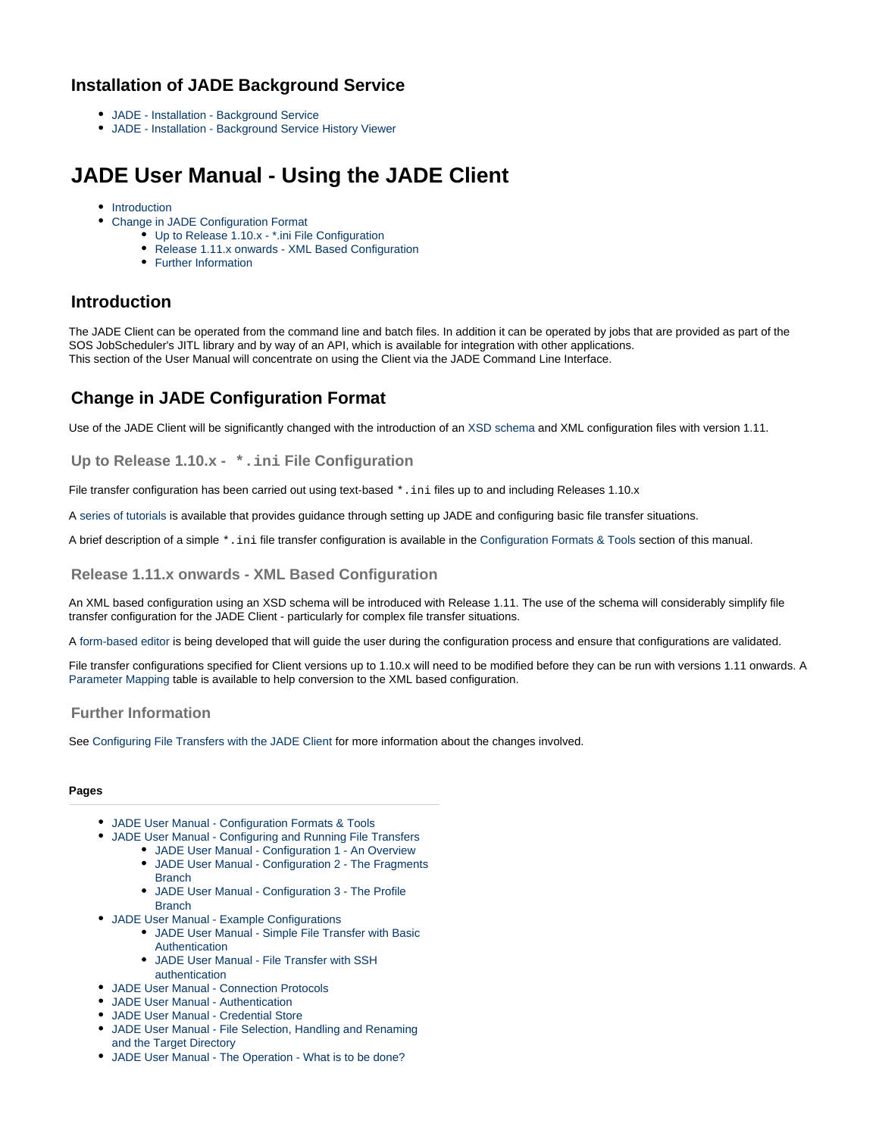### **Installation of JADE Background Service**

- [JADE Installation Background Service](https://kb.sos-berlin.com/display/PKB/JADE+-+Installation+-+Background+Service)
- [JADE Installation Background Service History Viewer](https://kb.sos-berlin.com/display/PKB/JADE+-+Installation+-+Background+Service+History+Viewer)

# <span id="page-9-0"></span>**JADE User Manual - Using the JADE Client**

- [Introduction](#page-9-1)
- [Change in JADE Configuration Format](#page-9-2)
	- [Up to Release 1.10.x \\*.ini File Configuration](#page-9-3)
	- [Release 1.11.x onwards XML Based Configuration](#page-9-4)
	- [Further Information](#page-9-5)

### <span id="page-9-1"></span>**Introduction**

The JADE Client can be operated from the command line and batch files. In addition it can be operated by jobs that are provided as part of the SOS JobScheduler's JITL library and by way of an API, which is available for integration with other applications. This section of the User Manual will concentrate on using the Client via the JADE Command Line Interface.

### <span id="page-9-2"></span>**Change in JADE Configuration Format**

Use of the JADE Client will be significantly changed with the introduction of an [XSD schema](https://kb.sos-berlin.com/display/PKB/JADE+-+Reference+Documentation+-+XSD+Schema+Reference) and XML configuration files with version 1.11.

<span id="page-9-3"></span>**Up to Release 1.10.x - \*.ini File Configuration**

File transfer configuration has been carried out using text-based \*.ini files up to and including Releases 1.10.x

A [series of tutorials](https://kb.sos-berlin.com/display/PKB/JADE+-+Tutorials) is available that provides guidance through setting up JADE and configuring basic file transfer situations.

A brief description of a simple \*.ini file transfer configuration is available in the [Configuration Formats & Tools](#page-10-0) section of this manual.

#### <span id="page-9-4"></span>**Release 1.11.x onwards - XML Based Configuration**

An XML based configuration using an XSD schema will be introduced with Release 1.11. The use of the schema will considerably simplify file transfer configuration for the JADE Client - particularly for complex file transfer situations.

A [form-based editor](https://kb.sos-berlin.com/display/PKB/XML+Editor) is being developed that will guide the user during the configuration process and ensure that configurations are validated.

File transfer configurations specified for Client versions up to 1.10.x will need to be modified before they can be run with versions 1.11 onwards. A [Parameter Mapping](https://kb.sos-berlin.com/display/PKB/JADE+-+Reference+Documentation+-+Parameter+Mapping) table is available to help conversion to the XML based configuration.

#### <span id="page-9-5"></span>**Further Information**

See [Configuring File Transfers with the JADE Client](#page-13-0) for more information about the changes involved.

#### **Pages**

- [JADE User Manual Configuration Formats & Tools](#page-10-0)
- [JADE User Manual Configuring and Running File Transfers](#page-13-0)
	- [JADE User Manual Configuration 1 An Overview](#page-16-0) [JADE User Manual - Configuration 2 - The Fragments](#page-18-0) **[Branch](#page-18-0)**
	- [JADE User Manual Configuration 3 The Profile](#page-20-0) **[Branch](#page-20-0)**
- [JADE User Manual Example Configurations](#page-22-0)
	- [JADE User Manual Simple File Transfer with Basic](#page-22-1) [Authentication](#page-22-1)
	- [JADE User Manual File Transfer with SSH](#page-24-0) [authentication](#page-24-0)
- [JADE User Manual Connection Protocols](#page-26-0)
- [JADE User Manual Authentication](#page-27-0)
- [JADE User Manual Credential Store](https://kb.sos-berlin.com/display/PKB/JADE+User+Manual+-+Credential+Store)
- [JADE User Manual File Selection, Handling and Renaming](#page-28-0) [and the Target Directory](#page-28-0)
- [JADE User Manual The Operation What is to be done?](#page-34-0)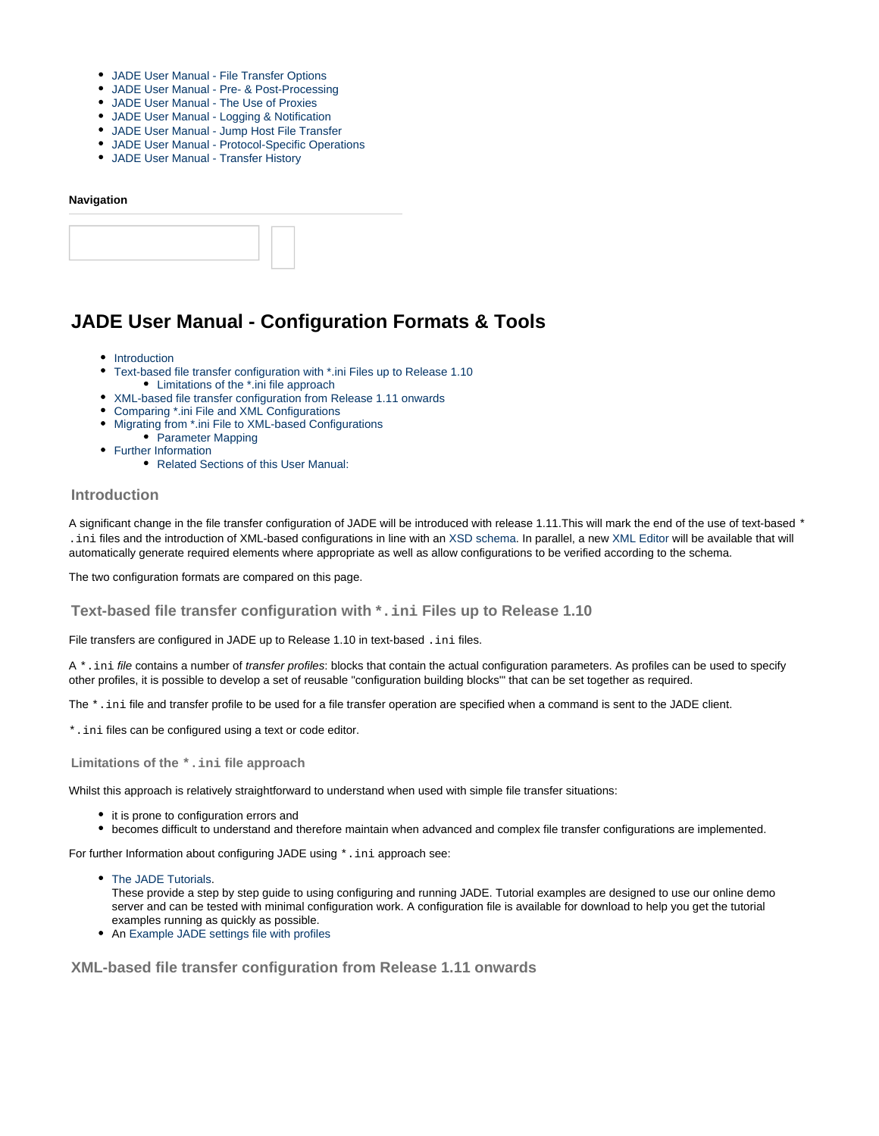- [JADE User Manual File Transfer Options](#page-36-0)
- [JADE User Manual Pre- & Post-Processing](#page-37-0)
- [JADE User Manual The Use of Proxies](#page-38-0)
- [JADE User Manual Logging & Notification](https://kb.sos-berlin.com/pages/viewpage.action?pageId=10486132)
- [JADE User Manual Jump Host File Transfer](https://kb.sos-berlin.com/display/PKB/JADE+User+Manual+-+Jump+Host+File+Transfer)
- [JADE User Manual Protocol-Specific Operations](https://kb.sos-berlin.com/display/PKB/JADE+User+Manual+-+Protocol-Specific+Operations)
- [JADE User Manual Transfer History](https://kb.sos-berlin.com/display/PKB/JADE+User+Manual+-+Transfer+History)

#### **Navigation**

### <span id="page-10-0"></span>**JADE User Manual - Configuration Formats & Tools**

- [Introduction](#page-10-1)
- [Text-based file transfer configuration with \\*.ini Files up to Release 1.10](#page-10-2)
- [Limitations of the \\*.ini file approach](#page-10-3) [XML-based file transfer configuration from Release 1.11 onwards](#page-10-4)
- [Comparing \\*.ini File and XML Configurations](#page-12-0)
- [Migrating from \\*.ini File to XML-based Configurations](#page-13-1)
- [Parameter Mapping](#page-13-2)
- [Further Information](#page-13-3)
	- [Related Sections of this User Manual:](#page-13-4)

#### <span id="page-10-1"></span>**Introduction**

A significant change in the file transfer configuration of JADE will be introduced with release 1.11. This will mark the end of the use of text-based \* .ini files and the introduction of XML-based configurations in line with an [XSD schema.](https://kb.sos-berlin.com/display/PKB/JADE+-+Reference+Documentation+-+XSD+Schema+Reference) In parallel, a new [XML Editor](https://kb.sos-berlin.com/display/PKB/XML+Editor) will be available that will automatically generate required elements where appropriate as well as allow configurations to be verified according to the schema.

The two configuration formats are compared on this page.

<span id="page-10-2"></span>**Text-based file transfer configuration with \*.ini Files up to Release 1.10**

File transfers are configured in JADE up to Release 1.10 in text-based . ini files.

A \*.ini file contains a number of transfer profiles: blocks that contain the actual configuration parameters. As profiles can be used to specify other profiles, it is possible to develop a set of reusable "configuration building blocks'" that can be set together as required.

The \*.ini file and transfer profile to be used for a file transfer operation are specified when a command is sent to the JADE client.

\*.ini files can be configured using a text or code editor.

<span id="page-10-3"></span>**Limitations of the \*.ini file approach**

Whilst this approach is relatively straightforward to understand when used with simple file transfer situations:

- it is prone to configuration errors and
- becomes difficult to understand and therefore maintain when advanced and complex file transfer configurations are implemented.

For further Information about configuring JADE using  $*$ . ini approach see:

• [The JADE Tutorials](https://kb.sos-berlin.com/display/PKB/JADE+-+Tutorials).

These provide a step by step guide to using configuring and running JADE. Tutorial examples are designed to use our online demo server and can be tested with minimal configuration work. A configuration file is available for download to help you get the tutorial examples running as quickly as possible.

• An [Example JADE settings file with profiles](https://kb.sos-berlin.com/display/PKB/Example+for+JADE+settings+file+with+profiles)

<span id="page-10-4"></span>**XML-based file transfer configuration from Release 1.11 onwards**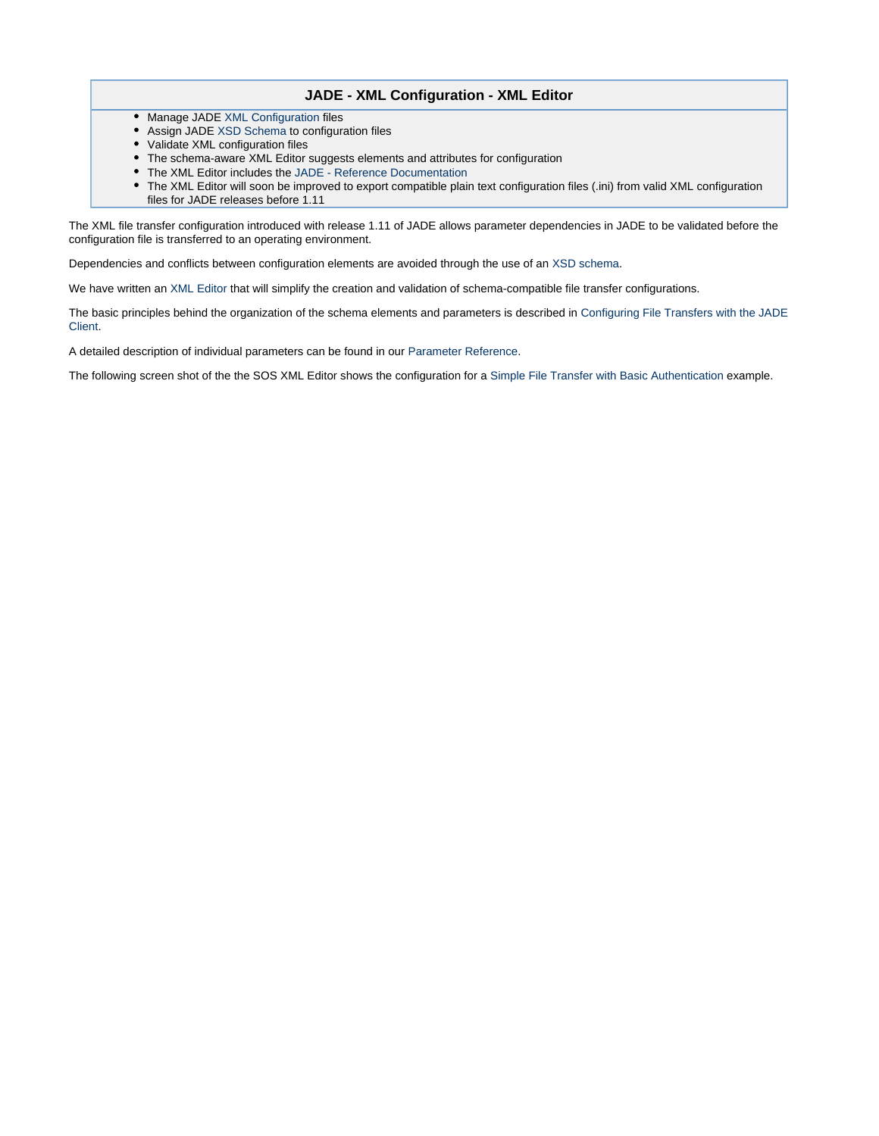#### **JADE - XML Configuration - XML Editor**

- Manage JADE [XML Configuration](https://kb.sos-berlin.com/display/PKB/JADE+-+XML+Configuration) files
- Assign JADE [XSD Schema](https://kb.sos-berlin.com/display/PKB/JADE+-+Reference+Documentation+-+XSD+Schema+Reference) to configuration files
- Validate XML configuration files
- The schema-aware XML Editor suggests elements and attributes for configuration
- The XML Editor includes the [JADE Reference Documentation](https://kb.sos-berlin.com/display/PKB/JADE+-+Reference+Documentation)
- The XML Editor will soon be improved to export compatible plain text configuration files (.ini) from valid XML configuration files for JADE releases before 1.11

The XML file transfer configuration introduced with release 1.11 of JADE allows parameter dependencies in JADE to be validated before the configuration file is transferred to an operating environment.

Dependencies and conflicts between configuration elements are avoided through the use of an [XSD schema](https://kb.sos-berlin.com/display/PKB/JADE+-+Reference+Documentation+-+XSD+Schema+Reference).

We have written an [XML Editor](https://kb.sos-berlin.com/display/PKB/XML+Editor) that will simplify the creation and validation of schema-compatible file transfer configurations.

The basic principles behind the organization of the schema elements and parameters is described in [Configuring File Transfers with the JADE](#page-13-0) [Client](#page-13-0).

A detailed description of individual parameters can be found in our [Parameter Reference.](https://kb.sos-berlin.com/display/PKB/JADE+-+Reference+Documentation+-+Parameter+Reference)

The following screen shot of the the SOS XML Editor shows the configuration for a [Simple File Transfer with Basic Authentication](#page-22-1) example.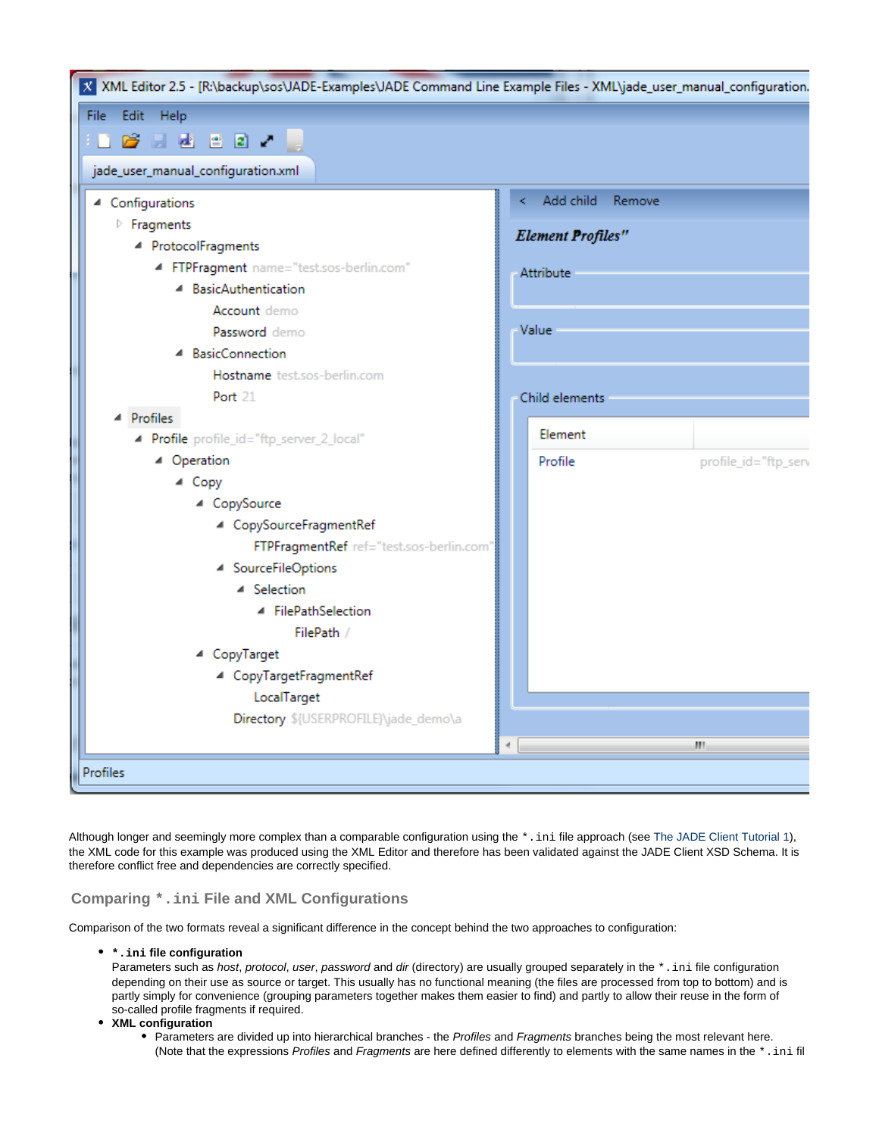| X XML Editor 2.5 - [R:\backup\sos\JADE-Examples\JADE Command Line Example Files - XML\jade_user_manual_configuration. |   |                          |                      |
|-----------------------------------------------------------------------------------------------------------------------|---|--------------------------|----------------------|
| File -<br>Edit Help                                                                                                   |   |                          |                      |
|                                                                                                                       |   |                          |                      |
| jade_user_manual_configuration.xml                                                                                    |   |                          |                      |
| ▲ Configurations                                                                                                      | k | Add child Remove         |                      |
| <b>Fragments</b>                                                                                                      |   |                          |                      |
| ▲ ProtocolFragments                                                                                                   |   | <b>Element Profiles"</b> |                      |
| FTPFragment name="test.sos-berlin.com"                                                                                |   | <b>Attribute</b>         |                      |
| ▲ BasicAuthentication                                                                                                 |   |                          |                      |
| Account demo                                                                                                          |   |                          |                      |
| Password demo                                                                                                         |   | Value                    |                      |
| ▲ BasicConnection                                                                                                     |   |                          |                      |
| Hostname test.sos-berlin.com                                                                                          |   |                          |                      |
| Port 21                                                                                                               |   | Child elements           |                      |
| Profiles                                                                                                              |   |                          |                      |
| - Profile profile_id="ftp_server_2_local"                                                                             |   | Element                  |                      |
| ▲ Operation                                                                                                           |   | Profile                  | profile_id="ftp_serv |
| ▲ Copy                                                                                                                |   |                          |                      |
| ▲ CopySource                                                                                                          |   |                          |                      |
| 4 CopySourceFragmentRef                                                                                               |   |                          |                      |
| FTPFragmentRef ref="test.sos-berlin.com"                                                                              |   |                          |                      |
| 4 SourceFileOptions                                                                                                   |   |                          |                      |
| ▲ Selection<br>▲ FilePathSelection                                                                                    |   |                          |                      |
| FilePath /                                                                                                            |   |                          |                      |
| ▲ CopyTarget                                                                                                          |   |                          |                      |
| 4 CopyTargetFragmentRef                                                                                               |   |                          |                      |
| LocalTarget                                                                                                           |   |                          |                      |
| Directory \${USERPROFILE}\jade_demo\a                                                                                 |   |                          |                      |
|                                                                                                                       |   |                          | m                    |
|                                                                                                                       |   |                          |                      |
| Profiles                                                                                                              |   |                          |                      |

Although longer and seemingly more complex than a comparable configuration using the  $*$ . in i file approach (see [The JADE Client Tutorial 1](https://kb.sos-berlin.com/display/PKB/The+JADE+Client+Command+Line+Interface+-+Tutorial+1+-+Getting+Started)), the XML code for this example was produced using the XML Editor and therefore has been validated against the JADE Client XSD Schema. It is therefore conflict free and dependencies are correctly specified.

#### <span id="page-12-0"></span>**Comparing \*.ini File and XML Configurations**

Comparison of the two formats reveal a significant difference in the concept behind the two approaches to configuration:

**\*.ini file configuration**

Parameters such as host, protocol, user, password and dir (directory) are usually grouped separately in the  $*$ . ini file configuration depending on their use as source or target. This usually has no functional meaning (the files are processed from top to bottom) and is partly simply for convenience (grouping parameters together makes them easier to find) and partly to allow their reuse in the form of so-called profile fragments if required.

- **XML configuration**
	- Parameters are divided up into hierarchical branches the Profiles and Fragments branches being the most relevant here. (Note that the expressions Profiles and Fragments are here defined differently to elements with the same names in the  $*$ . ini fil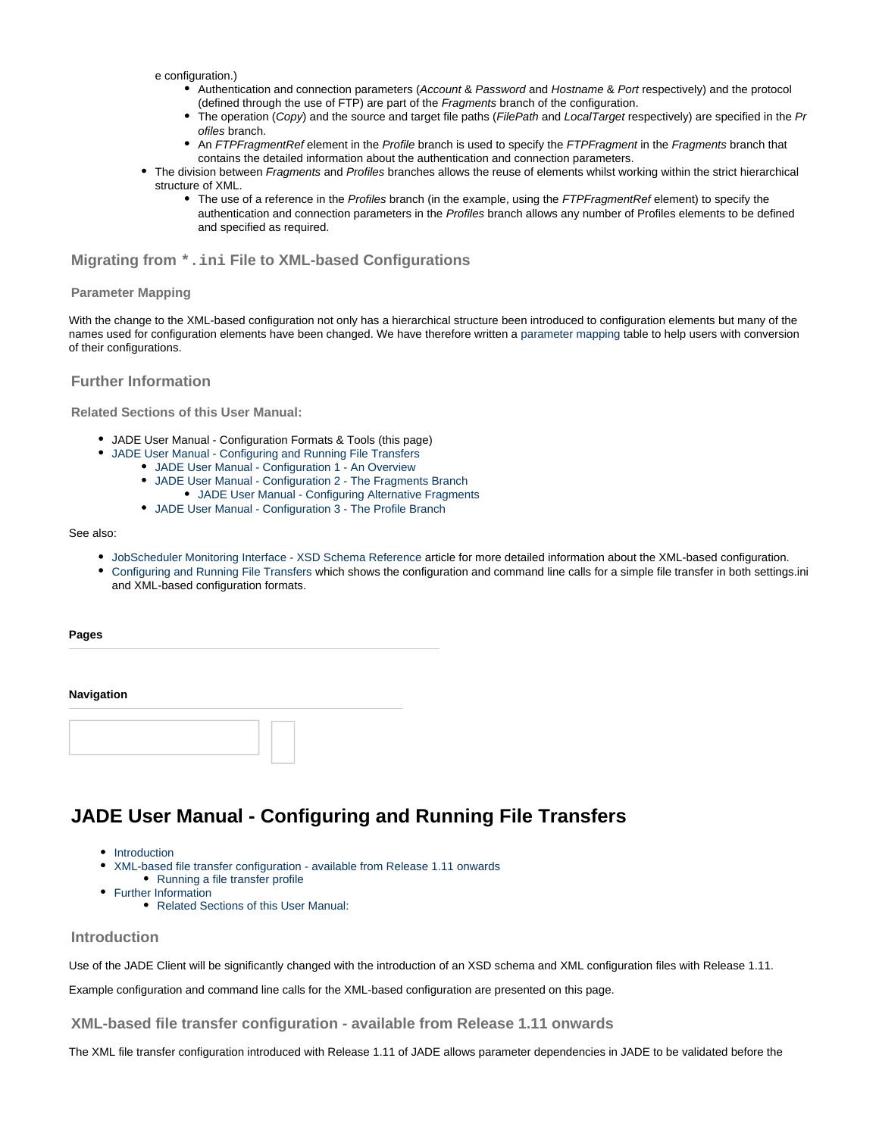- e configuration.)
	- Authentication and connection parameters (Account & Password and Hostname & Port respectively) and the protocol (defined through the use of FTP) are part of the Fragments branch of the configuration.
	- $\bullet$ The operation (Copy) and the source and target file paths (FilePath and LocalTarget respectively) are specified in the Pr ofiles branch.
	- An FTPFragmentRef element in the Profile branch is used to specify the FTPFragment in the Fragments branch that contains the detailed information about the authentication and connection parameters.
- The division between Fragments and Profiles branches allows the reuse of elements whilst working within the strict hierarchical structure of XML.
	- The use of a reference in the Profiles branch (in the example, using the FTPFragmentRef element) to specify the authentication and connection parameters in the Profiles branch allows any number of Profiles elements to be defined and specified as required.

#### <span id="page-13-1"></span>**Migrating from \*.ini File to XML-based Configurations**

#### <span id="page-13-2"></span>**Parameter Mapping**

With the change to the XML-based configuration not only has a hierarchical structure been introduced to configuration elements but many of the names used for configuration elements have been changed. We have therefore written a [parameter mapping](https://kb.sos-berlin.com/display/PKB/JADE+-+Reference+Documentation+-+Parameter+Mapping) table to help users with conversion of their configurations.

#### <span id="page-13-3"></span>**Further Information**

<span id="page-13-4"></span>**Related Sections of this User Manual:**

- JADE User Manual Configuration Formats & Tools (this page)
- [JADE User Manual Configuring and Running File Transfers](#page-13-0)
	- [JADE User Manual Configuration 1 An Overview](#page-16-0)
	- [JADE User Manual Configuration 2 The Fragments Branch](#page-18-0)
		- [JADE User Manual Configuring Alternative Fragments](#page-19-0)
	- [JADE User Manual Configuration 3 The Profile Branch](#page-20-0)

#### See also:

- [JobScheduler Monitoring Interface XSD Schema Reference](https://kb.sos-berlin.com/display/PKB/JobScheduler+Monitoring+Interface+-+XSD+Schema+Reference) article for more detailed information about the XML-based configuration.
- [Configuring and Running File Transfers](#page-13-0) which shows the configuration and command line calls for a simple file transfer in both settings.ini and XML-based configuration formats.

**Pages**

#### **Navigation**



# <span id="page-13-0"></span>**JADE User Manual - Configuring and Running File Transfers**

- [Introduction](#page-13-5)
- $\bullet$ [XML-based file transfer configuration - available from Release 1.11 onwards](#page-13-6)
- [Running a file transfer profile](#page-15-0)
- [Further Information](#page-16-1)
	- [Related Sections of this User Manual:](#page-16-2)

#### <span id="page-13-5"></span>**Introduction**

Use of the JADE Client will be significantly changed with the introduction of an XSD schema and XML configuration files with Release 1.11.

Example configuration and command line calls for the XML-based configuration are presented on this page.

<span id="page-13-6"></span>**XML-based file transfer configuration - available from Release 1.11 onwards**

The XML file transfer configuration introduced with Release 1.11 of JADE allows parameter dependencies in JADE to be validated before the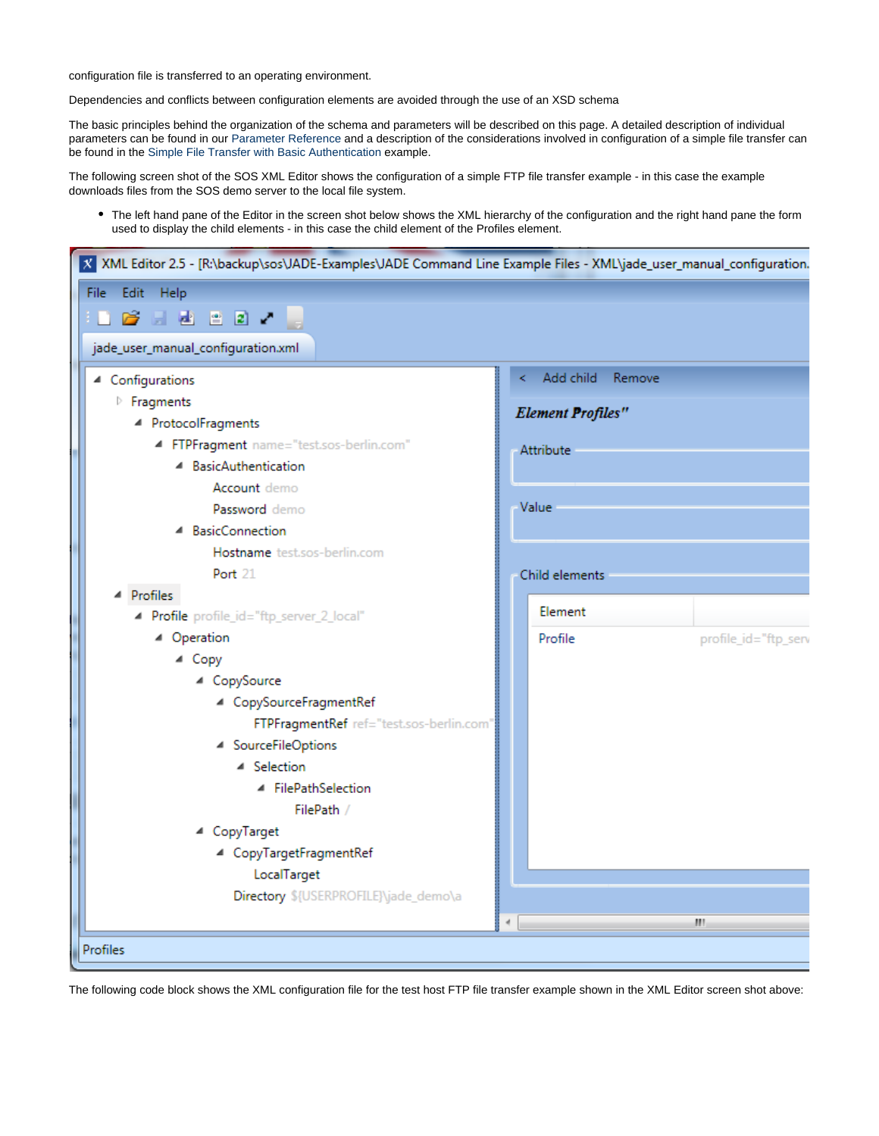configuration file is transferred to an operating environment.

Dependencies and conflicts between configuration elements are avoided through the use of an XSD schema

The basic principles behind the organization of the schema and parameters will be described on this page. A detailed description of individual parameters can be found in our [Parameter Reference](https://kb.sos-berlin.com/display/PKB/JADE+-+Reference+Documentation+-+Parameter+Reference) and a description of the considerations involved in configuration of a simple file transfer can be found in the [Simple File Transfer with Basic Authentication](#page-22-1) example.

The following screen shot of the SOS XML Editor shows the configuration of a simple FTP file transfer example - in this case the example downloads files from the SOS demo server to the local file system.

The left hand pane of the Editor in the screen shot below shows the XML hierarchy of the configuration and the right hand pane the form used to display the child elements - in this case the child element of the Profiles element.

| X XML Editor 2.5 - [R:\backup\sos\JADE-Examples\JADE Command Line Example Files - XML\jade_user_manual_configuration. |    |                          |                      |
|-----------------------------------------------------------------------------------------------------------------------|----|--------------------------|----------------------|
| File<br>Edit Help                                                                                                     |    |                          |                      |
|                                                                                                                       |    |                          |                      |
| jade_user_manual_configuration.xml                                                                                    |    |                          |                      |
| ▲ Configurations                                                                                                      | k. | Add child Remove         |                      |
| <b>Fragments</b>                                                                                                      |    |                          |                      |
| ▲ ProtocolFragments                                                                                                   |    | <b>Element Profiles"</b> |                      |
| 4 FTPFragment name="test.sos-berlin.com"                                                                              |    | <b>Attribute</b>         |                      |
| ▲ BasicAuthentication                                                                                                 |    |                          |                      |
| <b>Account</b> demo                                                                                                   |    |                          |                      |
| Password demo                                                                                                         |    | Value                    |                      |
| ▲ BasicConnection                                                                                                     |    |                          |                      |
| Hostname test.sos-berlin.com                                                                                          |    |                          |                      |
| <b>Port</b> 21                                                                                                        |    | Child elements           |                      |
| ▲ Profiles                                                                                                            |    |                          |                      |
| - Profile profile_id="ftp_server_2_local"                                                                             |    | Element                  |                      |
| ▲ Operation                                                                                                           |    | Profile                  | profile_id="ftp_serv |
| ▲ Copy                                                                                                                |    |                          |                      |
| ▲ CopySource                                                                                                          |    |                          |                      |
| ▲ CopySourceFragmentRef                                                                                               |    |                          |                      |
| FTPFragmentRef ref="test.sos-berlin.com"                                                                              |    |                          |                      |
| ▲ SourceFileOptions                                                                                                   |    |                          |                      |
| ▲ Selection                                                                                                           |    |                          |                      |
| ▲ FilePathSelection<br>FilePath /                                                                                     |    |                          |                      |
| ▲ CopyTarget                                                                                                          |    |                          |                      |
| ▲ CopyTargetFragmentRef                                                                                               |    |                          |                      |
| LocalTarget                                                                                                           |    |                          |                      |
| Directory \${USERPROFILE}\jade_demo\a                                                                                 |    |                          |                      |
|                                                                                                                       | 4  |                          | ш                    |
|                                                                                                                       |    |                          |                      |
| Profiles                                                                                                              |    |                          |                      |

The following code block shows the XML configuration file for the test host FTP file transfer example shown in the XML Editor screen shot above: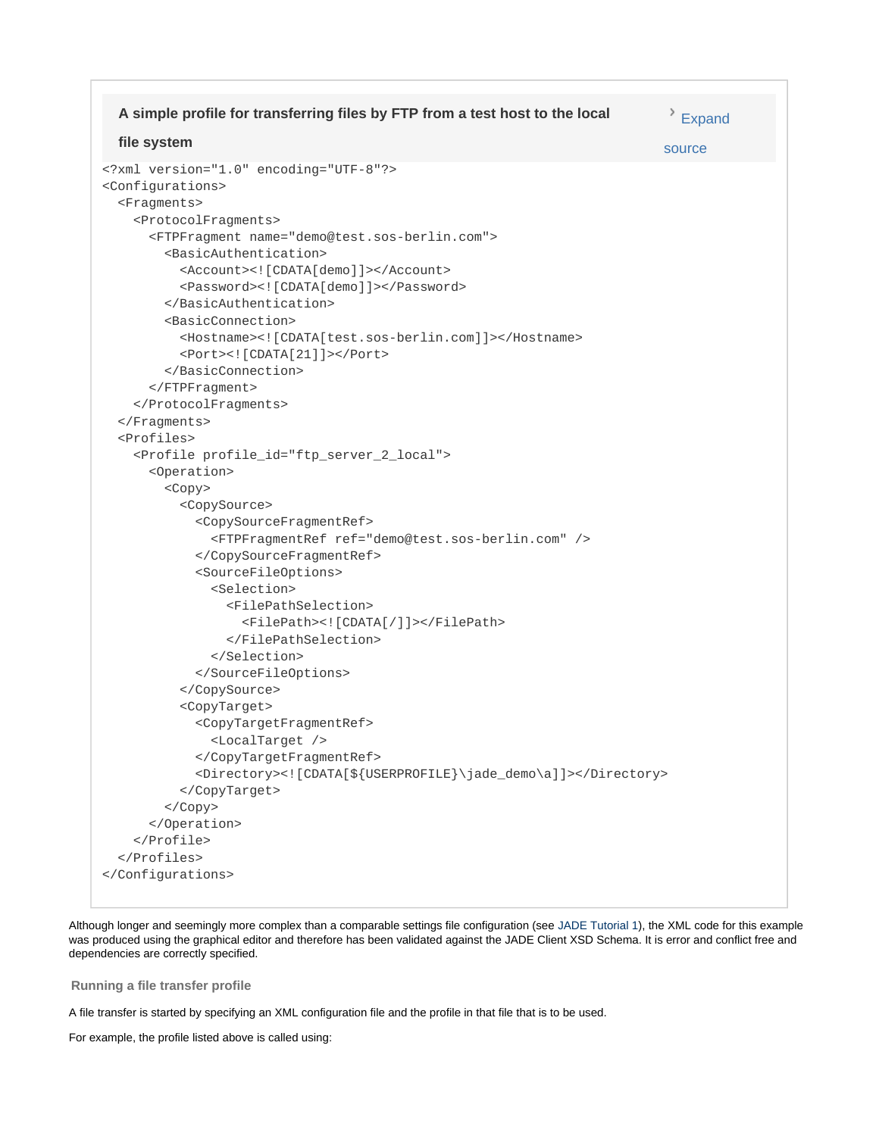```
<?xml version="1.0" encoding="UTF-8"?>
<Configurations>
   <Fragments>
     <ProtocolFragments>
       <FTPFragment name="demo@test.sos-berlin.com">
         <BasicAuthentication>
           <Account><![CDATA[demo]]></Account>
           <Password><![CDATA[demo]]></Password>
         </BasicAuthentication>
         <BasicConnection>
           <Hostname><![CDATA[test.sos-berlin.com]]></Hostname>
           <Port><![CDATA[21]]></Port>
         </BasicConnection>
       </FTPFragment>
     </ProtocolFragments>
   </Fragments>
   <Profiles>
     <Profile profile_id="ftp_server_2_local">
       <Operation>
         <Copy>
           <CopySource>
              <CopySourceFragmentRef>
                <FTPFragmentRef ref="demo@test.sos-berlin.com" />
             </CopySourceFragmentRef>
             <SourceFileOptions>
                <Selection>
                  <FilePathSelection>
                    <FilePath><![CDATA[/]]></FilePath>
                  </FilePathSelection>
                </Selection>
              </SourceFileOptions>
           </CopySource>
           <CopyTarget>
              <CopyTargetFragmentRef>
                <LocalTarget />
             </CopyTargetFragmentRef>
              <Directory><![CDATA[${USERPROFILE}\jade_demo\a]]></Directory>
           </CopyTarget>
         </Copy>
       </Operation>
     </Profile>
   </Profiles>
</Configurations>
  A simple profile for transferring files by FTP from a test host to the local
  file system
                                                                               Expand
                                                                              source
```
Although longer and seemingly more complex than a comparable settings file configuration (see [JADE Tutorial 1\)](https://kb.sos-berlin.com/display/PKB/The+JADE+Client+Command+Line+Interface+-+Tutorial+1+-+Getting+Started), the XML code for this example was produced using the graphical editor and therefore has been validated against the JADE Client XSD Schema. It is error and conflict free and dependencies are correctly specified.

#### <span id="page-15-0"></span>**Running a file transfer profile**

A file transfer is started by specifying an XML configuration file and the profile in that file that is to be used.

For example, the profile listed above is called using: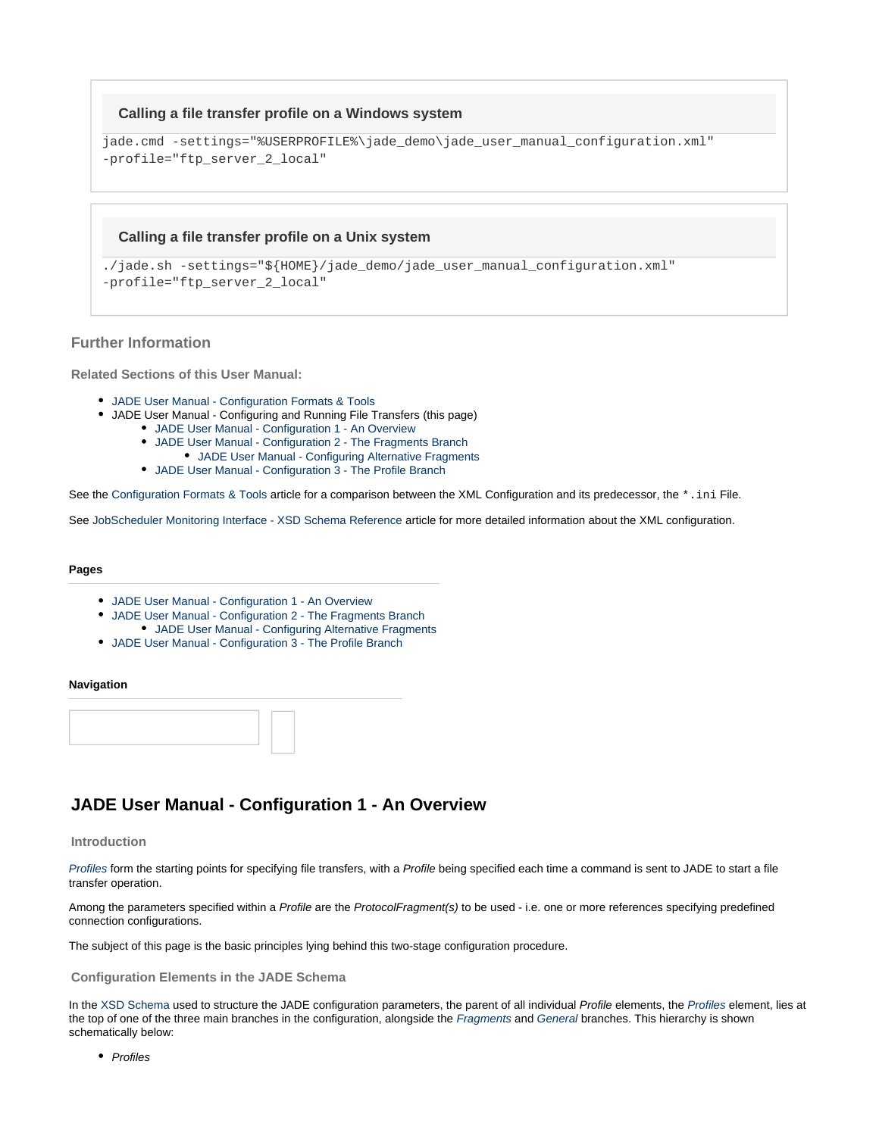#### **Calling a file transfer profile on a Windows system**

```
jade.cmd -settings="%USERPROFILE%\jade_demo\jade_user_manual_configuration.xml"
-profile="ftp_server_2_local"
```
#### **Calling a file transfer profile on a Unix system**

```
./jade.sh -settings="${HOME}/jade_demo/jade_user_manual_configuration.xml"
-profile="ftp_server_2_local"
```
#### <span id="page-16-1"></span>**Further Information**

<span id="page-16-2"></span>**Related Sections of this User Manual:**

- [JADE User Manual Configuration Formats & Tools](#page-10-0)
- JADE User Manual Configuring and Running File Transfers (this page)
	- [JADE User Manual Configuration 1 An Overview](#page-16-0)
	- [JADE User Manual Configuration 2 The Fragments Branch](#page-18-0)
	- [JADE User Manual Configuring Alternative Fragments](#page-19-0)
	- [JADE User Manual Configuration 3 The Profile Branch](#page-20-0)

See the [Configuration Formats & Tools](#page-10-0) article for a comparison between the XML Configuration and its predecessor, the  $*$ . ini File.

See [JobScheduler Monitoring Interface - XSD Schema Reference](https://kb.sos-berlin.com/display/PKB/JobScheduler+Monitoring+Interface+-+XSD+Schema+Reference) article for more detailed information about the XML configuration.

#### **Pages**

- [JADE User Manual Configuration 1 An Overview](#page-16-0)
- [JADE User Manual Configuration 2 The Fragments Branch](#page-18-0) [JADE User Manual - Configuring Alternative Fragments](#page-19-0)
- [JADE User Manual Configuration 3 The Profile Branch](#page-20-0)

#### **Navigation**



### <span id="page-16-0"></span>**JADE User Manual - Configuration 1 - An Overview**

#### **Introduction**

[Profiles](https://kb.sos-berlin.com/display/PKB/JADE+Parameter+Reference+-+Profiles) form the starting points for specifying file transfers, with a Profile being specified each time a command is sent to JADE to start a file transfer operation.

Among the parameters specified within a Profile are the ProtocolFragment(s) to be used - i.e. one or more references specifying predefined connection configurations.

The subject of this page is the basic principles lying behind this two-stage configuration procedure.

#### **Configuration Elements in the JADE Schema**

In the [XSD Schema](https://kb.sos-berlin.com/display/PKB/JobScheduler+Monitoring+Interface+-+XSD+Schema+Reference) used to structure the JADE configuration parameters, the parent of all individual Profile elements, the [Profiles](https://kb.sos-berlin.com/display/PKB/JADE+Parameter+Reference+-+Profiles) element, lies at the top of one of the three main branches in the configuration, alongside the [Fragments](https://kb.sos-berlin.com/display/PKB/JADE+Parameter+Reference+-+Fragments) and [General](https://kb.sos-berlin.com/display/PKB/JADE+Parameter+Reference+-+General) branches. This hierarchy is shown schematically below:

• Profiles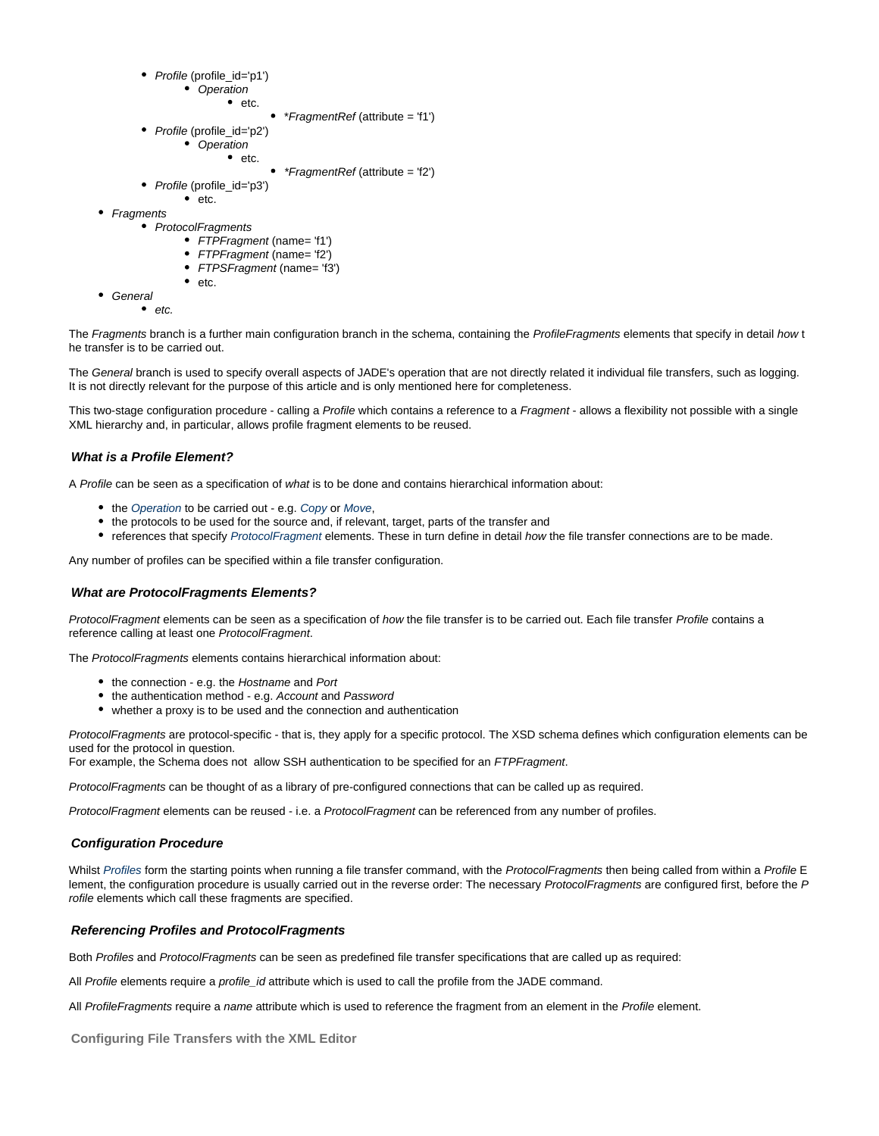• Profile (profile\_id='p1')

• Operation  $e$  etc.

• \* FragmentRef (attribute = 'f1')

- Profile (profile\_id='p2')
	- Operation
		- $e$  etc.
			- \*FragmentRef (attribute = 'f2')
- Profile (profile\_id='p3')  $etc.$
- Fragments
	- ProtocolFragments
		- FTPFragment (name= 'f1')
		- FTPFragment (name= 'f2')
		- FTPSFragment (name= 'f3')  $e$  etc.
- General
	- $etc.$

The Fragments branch is a further main configuration branch in the schema, containing the ProfileFragments elements that specify in detail how t he transfer is to be carried out.

The General branch is used to specify overall aspects of JADE's operation that are not directly related it individual file transfers, such as logging. It is not directly relevant for the purpose of this article and is only mentioned here for completeness.

This two-stage configuration procedure - calling a Profile which contains a reference to a Fragment - allows a flexibility not possible with a single XML hierarchy and, in particular, allows profile fragment elements to be reused.

#### **What is a Profile Element?**

A Profile can be seen as a specification of what is to be done and contains hierarchical information about:

- the [Operation](https://kb.sos-berlin.com/display/PKB/JADE+Parameter+Reference+-+Operation) to be carried out e.g. [Copy](https://kb.sos-berlin.com/display/PKB/JADE+Parameter+Reference+-+Copy) or [Move](https://kb.sos-berlin.com/display/PKB/JADE+Parameter+Reference+-+Move),
- the protocols to be used for the source and, if relevant, target, parts of the transfer and
- references that specify [ProtocolFragment](https://kb.sos-berlin.com/display/PKB/JADE+Parameter+Reference+-+ProtocolFragments) elements. These in turn define in detail how the file transfer connections are to be made.

Any number of profiles can be specified within a file transfer configuration.

#### **What are ProtocolFragments Elements?**

ProtocolFragment elements can be seen as a specification of how the file transfer is to be carried out. Each file transfer Profile contains a reference calling at least one ProtocolFragment.

The ProtocolFragments elements contains hierarchical information about:

- the connection e.g. the Hostname and Port
- the authentication method e.g. Account and Password
- whether a proxy is to be used and the connection and authentication

ProtocolFragments are protocol-specific - that is, they apply for a specific protocol. The XSD schema defines which configuration elements can be used for the protocol in question.

For example, the Schema does not allow SSH authentication to be specified for an FTPFragment.

ProtocolFragments can be thought of as a library of pre-configured connections that can be called up as required.

ProtocolFragment elements can be reused - i.e. a ProtocolFragment can be referenced from any number of profiles.

#### **Configuration Procedure**

Whilst [Profiles](https://kb.sos-berlin.com/display/PKB/JADE+Parameter+Reference+-+Profiles) form the starting points when running a file transfer command, with the ProtocolFragments then being called from within a Profile E lement, the configuration procedure is usually carried out in the reverse order: The necessary ProtocolFragments are configured first, before the P rofile elements which call these fragments are specified.

#### **Referencing Profiles and ProtocolFragments**

Both Profiles and ProtocolFragments can be seen as predefined file transfer specifications that are called up as required:

All Profile elements require a profile\_id attribute which is used to call the profile from the JADE command.

All ProfileFragments require a name attribute which is used to reference the fragment from an element in the Profile element.

**Configuring File Transfers with the XML Editor**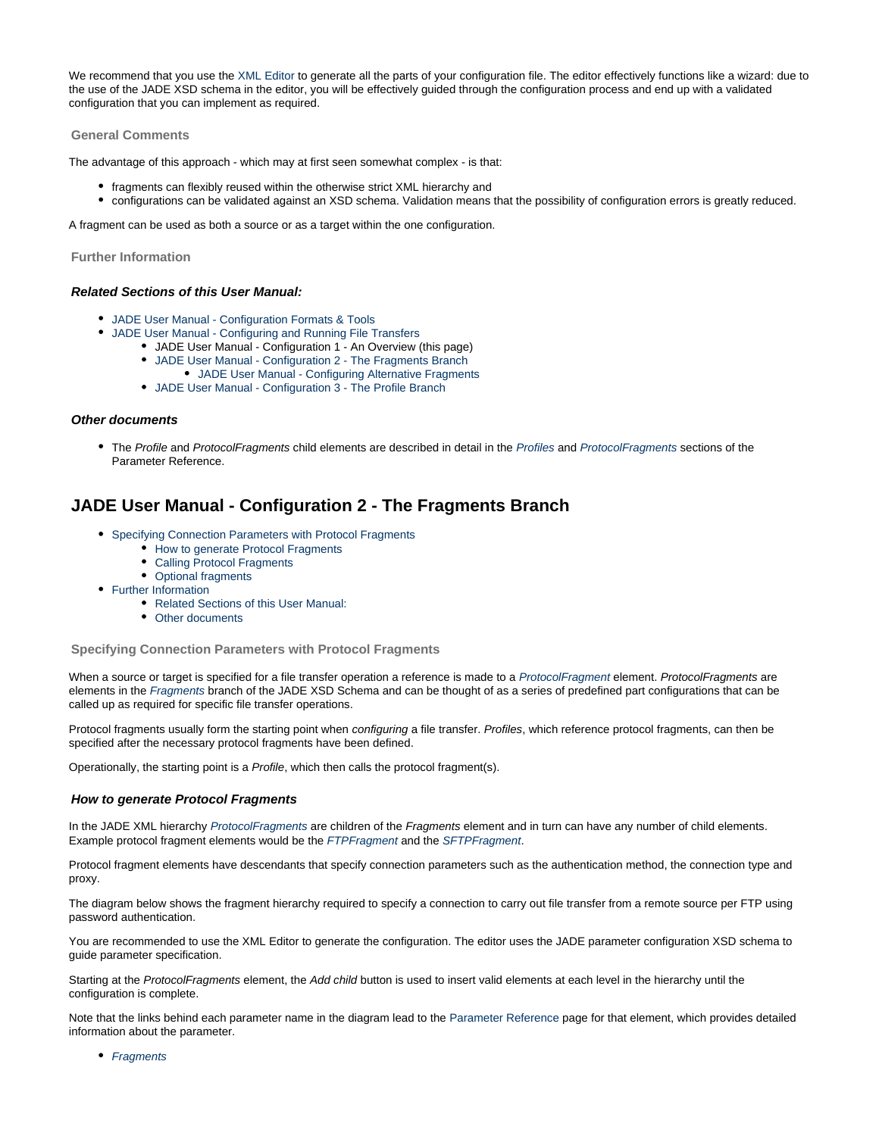We recommend that you use the [XML Editor](https://kb.sos-berlin.com/display/PKB/JADE+-+XML+Configuration+-+XML+Editor) to generate all the parts of your configuration file. The editor effectively functions like a wizard: due to the use of the JADE XSD schema in the editor, you will be effectively guided through the configuration process and end up with a validated configuration that you can implement as required.

#### **General Comments**

The advantage of this approach - which may at first seen somewhat complex - is that:

- fragments can flexibly reused within the otherwise strict XML hierarchy and
- configurations can be validated against an XSD schema. Validation means that the possibility of configuration errors is greatly reduced.

A fragment can be used as both a source or as a target within the one configuration.

**Further Information**

#### **Related Sections of this User Manual:**

- [JADE User Manual Configuration Formats & Tools](#page-10-0)
- [JADE User Manual Configuring and Running File Transfers](#page-13-0)
	- JADE User Manual Configuration 1 An Overview (this page)
	- [JADE User Manual Configuration 2 The Fragments Branch](#page-18-0)
	- [JADE User Manual Configuring Alternative Fragments](#page-19-0)
	- [JADE User Manual Configuration 3 The Profile Branch](#page-20-0)

#### **Other documents**

• The Profile and ProtocolFragments child elements are described in detail in the [Profiles](https://kb.sos-berlin.com/display/PKB/JADE+Parameter+Reference+-+Profiles) and [ProtocolFragments](https://kb.sos-berlin.com/display/PKB/JADE+Parameter+Reference+-+ProtocolFragments) sections of the Parameter Reference.

### <span id="page-18-0"></span>**JADE User Manual - Configuration 2 - The Fragments Branch**

- [Specifying Connection Parameters with Protocol Fragments](#page-18-1)
	- [How to generate Protocol Fragments](#page-18-2)
	- [Calling Protocol Fragments](#page-19-1)
	- [Optional fragments](#page-19-2)
- [Further Information](#page-19-3)
	- [Related Sections of this User Manual:](#page-19-4)
	- [Other documents](#page-19-5)

<span id="page-18-1"></span>**Specifying Connection Parameters with Protocol Fragments**

When a source or target is specified for a file transfer operation a reference is made to a [ProtocolFragment](https://kb.sos-berlin.com/display/PKB/JADE+Parameter+Reference+-+ProtocolFragments) element. ProtocolFragments are elements in the [Fragments](https://kb.sos-berlin.com/display/PKB/JADE+Parameter+Reference+-+Fragments) branch of the JADE XSD Schema and can be thought of as a series of predefined part configurations that can be called up as required for specific file transfer operations.

Protocol fragments usually form the starting point when configuring a file transfer. Profiles, which reference protocol fragments, can then be specified after the necessary protocol fragments have been defined.

Operationally, the starting point is a Profile, which then calls the protocol fragment(s).

#### <span id="page-18-2"></span>**How to generate Protocol Fragments**

In the JADE XML hierarchy [ProtocolFragments](https://kb.sos-berlin.com/display/PKB/JADE+Parameter+Reference+-+ProtocolFragments) are children of the Fragments element and in turn can have any number of child elements. Example protocol fragment elements would be the [FTPFragment](https://kb.sos-berlin.com/display/PKB/JADE+Parameter+Reference+-+FTPFragment) and the [SFTPFragment](https://kb.sos-berlin.com/display/PKB/JADE+Parameter+Reference+-+SFTPFragment).

Protocol fragment elements have descendants that specify connection parameters such as the authentication method, the connection type and proxy.

The diagram below shows the fragment hierarchy required to specify a connection to carry out file transfer from a remote source per FTP using password authentication.

You are recommended to use the XML Editor to generate the configuration. The editor uses the JADE parameter configuration XSD schema to guide parameter specification.

Starting at the ProtocolFragments element, the Add child button is used to insert valid elements at each level in the hierarchy until the configuration is complete.

Note that the links behind each parameter name in the diagram lead to the [Parameter Reference](https://kb.sos-berlin.com/display/PKB/JADE+-+Reference+Documentation+-+Parameter+Reference) page for that element, which provides detailed information about the parameter.

• [Fragments](https://kb.sos-berlin.com/display/PKB/JADE+Parameter+Reference+-+Fragments)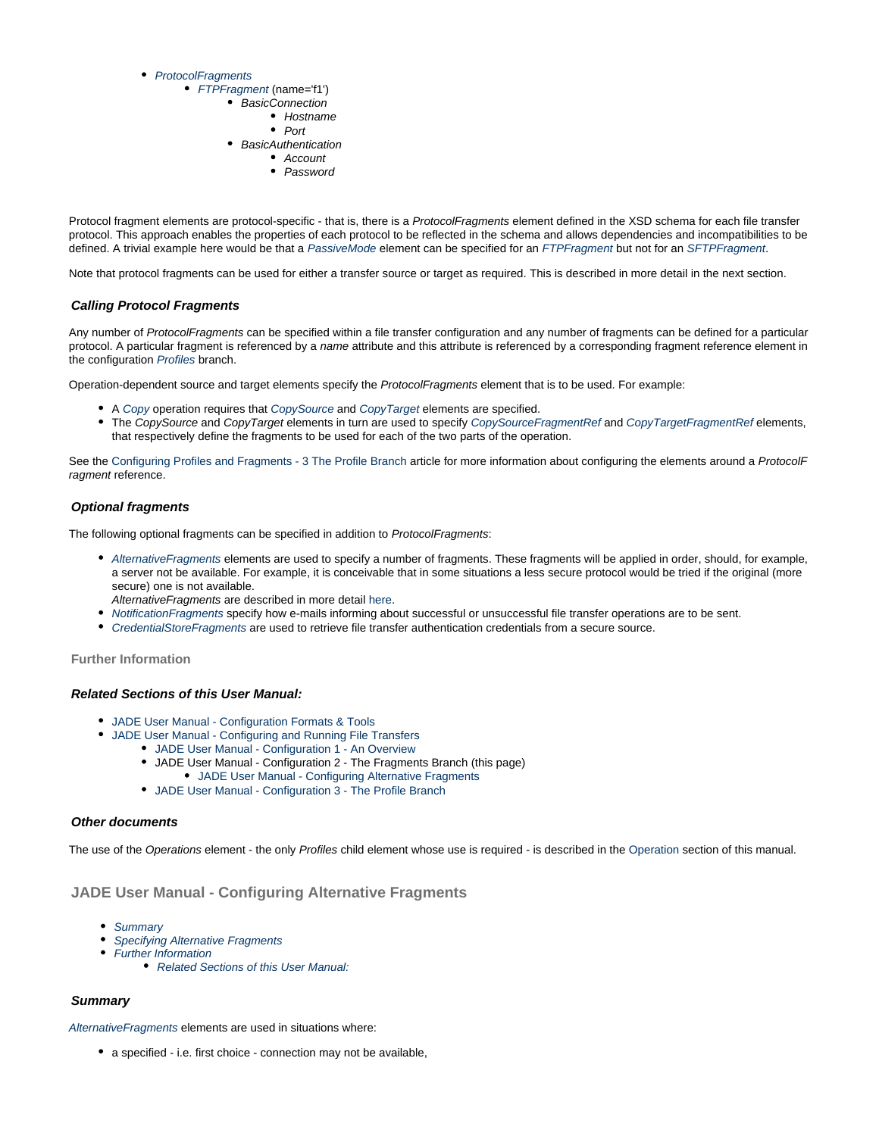#### • [ProtocolFragments](https://kb.sos-berlin.com/display/PKB/JADE+Parameter+Reference+-+ProtocolFragments)

- [FTPFragment](https://kb.sos-berlin.com/display/PKB/JADE+Parameter+Reference+-+FTPFragment) (name='f1')
	- BasicConnection
		- Hostname
		- $\bullet$  Port
	- BasicAuthentication
		- Account • Password
- Protocol fragment elements are protocol-specific that is, there is a ProtocolFragments element defined in the XSD schema for each file transfer protocol. This approach enables the properties of each protocol to be reflected in the schema and allows dependencies and incompatibilities to be defined. A trivial example here would be that a [PassiveMode](https://kb.sos-berlin.com/display/PKB/JADE+Parameter+Reference+-+PassiveMode) element can be specified for an [FTPFragment](https://kb.sos-berlin.com/display/PKB/JADE+Parameter+Reference+-+FTPFragment) but not for an [SFTPFragment](https://kb.sos-berlin.com/display/PKB/JADE+Parameter+Reference+-+SFTPFragment).

Note that protocol fragments can be used for either a transfer source or target as required. This is described in more detail in the next section.

#### <span id="page-19-1"></span>**Calling Protocol Fragments**

Any number of ProtocolFragments can be specified within a file transfer configuration and any number of fragments can be defined for a particular protocol. A particular fragment is referenced by a name attribute and this attribute is referenced by a corresponding fragment reference element in the configuration [Profiles](https://kb.sos-berlin.com/display/PKB/JADE+Parameter+Reference+-+Profiles) branch.

Operation-dependent source and target elements specify the ProtocolFragments element that is to be used. For example:

- A [Copy](https://kb.sos-berlin.com/display/PKB/JADE+Parameter+Reference+-+Copy) operation requires that [CopySource](https://kb.sos-berlin.com/display/PKB/JADE+Parameter+Reference+-+CopyTarget) and [CopyTarget](https://kb.sos-berlin.com/display/PKB/JADE+Parameter+Reference+-+CopyTarget) elements are specified.
- The CopySource and CopyTarget elements in turn are used to specify [CopySourceFragmentRef](https://kb.sos-berlin.com/display/PKB/JADE+Parameter+Reference+-+CopySourceFragmentRef) and [CopyTargetFragmentRef](https://kb.sos-berlin.com/display/PKB/JADE+Parameter+Reference+-+CopyTargetFragmentRef) elements, that respectively define the fragments to be used for each of the two parts of the operation.

See the [Configuring Profiles and Fragments - 3 The Profile Branch](#page-20-0) article for more information about configuring the elements around a ProtocolF ragment reference.

#### <span id="page-19-2"></span>**Optional fragments**

The following optional fragments can be specified in addition to ProtocolFragments:

- [AlternativeFragments](https://kb.sos-berlin.com/display/PKB/JADE+Parameter+Reference+-+AlternativeFragments) elements are used to specify a number of fragments. These fragments will be applied in order, should, for example, a server not be available. For example, it is conceivable that in some situations a less secure protocol would be tried if the original (more secure) one is not available.
- AlternativeFragments are described in more detail [here](#page-19-0).
- [NotificationFragments](https://kb.sos-berlin.com/display/PKB/JADE+Parameter+Reference+-+NotificationFragments) specify how e-mails informing about successful or unsuccessful file transfer operations are to be sent.
- [CredentialStoreFragments](https://kb.sos-berlin.com/display/PKB/JADE+Parameter+Reference+-+CredentialStoreFragments) are used to retrieve file transfer authentication credentials from a secure source.

<span id="page-19-3"></span>**Further Information**

#### <span id="page-19-4"></span>**Related Sections of this User Manual:**

- [JADE User Manual Configuration Formats & Tools](#page-10-0)
	- [JADE User Manual Configuring and Running File Transfers](#page-13-0)
		- [JADE User Manual Configuration 1 An Overview](#page-16-0)
			- JADE User Manual Configuration 2 The Fragments Branch (this page)
			- [JADE User Manual Configuring Alternative Fragments](#page-19-0)
			- [JADE User Manual Configuration 3 The Profile Branch](#page-20-0)

#### <span id="page-19-5"></span>**Other documents**

 $\bullet$ 

The use of the [Operation](#page-34-0)s element - the only Profiles child element whose use is required - is described in the Operation section of this manual.

#### <span id="page-19-0"></span>**JADE User Manual - Configuring Alternative Fragments**

- [Summary](#page-19-6)
- [Specifying Alternative Fragments](#page-20-1)
- [Further Information](#page-20-2)
	- [Related Sections of this User Manual:](#page-20-3)

#### <span id="page-19-6"></span>**Summary**

[AlternativeFragments](https://kb.sos-berlin.com/display/PKB/JADE+Parameter+Reference+-+AlternativeFragments) elements are used in situations where:

a specified - i.e. first choice - connection may not be available,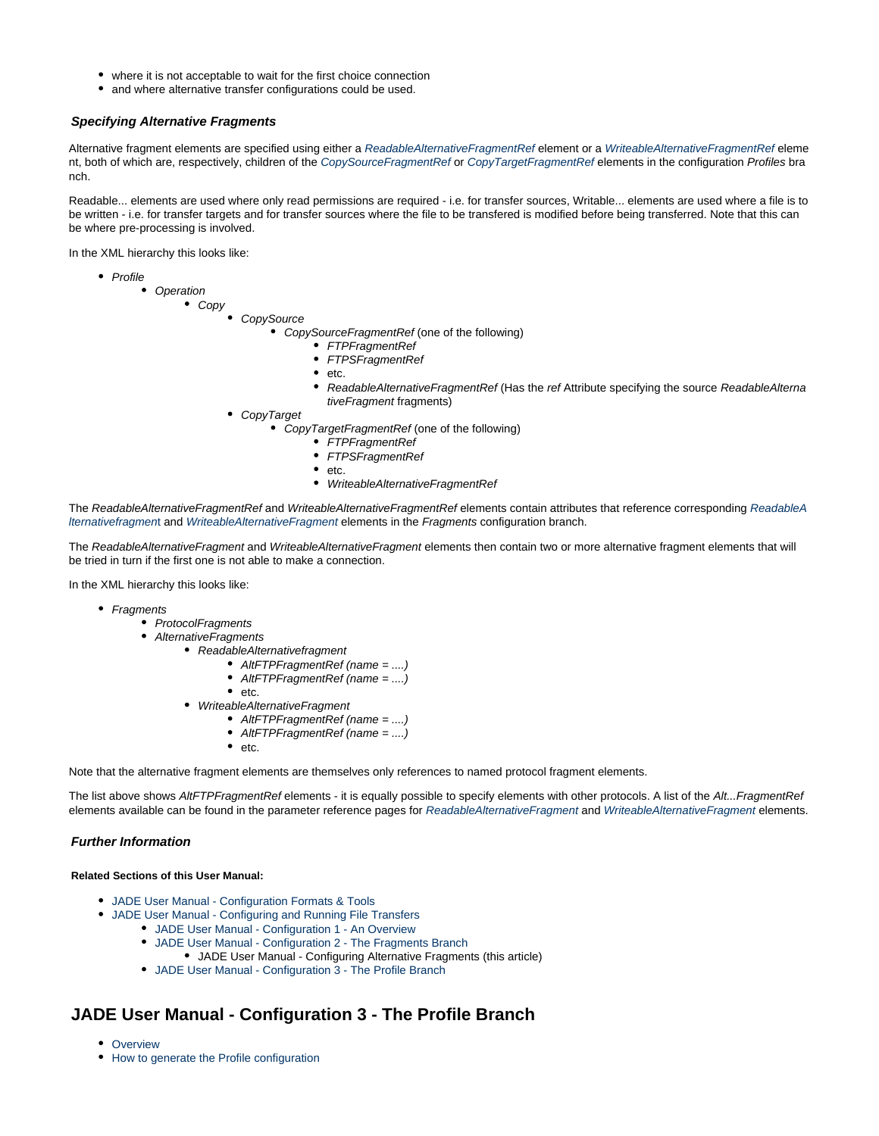- where it is not acceptable to wait for the first choice connection
- and where alternative transfer configurations could be used.

#### <span id="page-20-1"></span>**Specifying Alternative Fragments**

Alternative fragment elements are specified using either a [ReadableAlternativeFragmentRef](https://kb.sos-berlin.com/display/PKB/JADE+Parameter+Reference+-+ReadableAlternativeFragment) element or a [WriteableAlternativeFragmentRef](https://kb.sos-berlin.com/display/PKB/JADE+Parameter+Reference+-+WriteableAlternativeFragment) eleme nt, both of which are, respectively, children of the [CopySourceFragmentRef](https://kb.sos-berlin.com/display/PKB/JADE+Parameter+Reference+-+CopySourceFragmentRef) or [CopyTargetFragmentRef](https://kb.sos-berlin.com/display/PKB/JADE+Parameter+Reference+-+CopyTargetFragmentRef) elements in the configuration Profiles bra nch.

Readable... elements are used where only read permissions are required - i.e. for transfer sources, Writable... elements are used where a file is to be written - i.e. for transfer targets and for transfer sources where the file to be transfered is modified before being transferred. Note that this can be where pre-processing is involved.

In the XML hierarchy this looks like:

- Profile
	- Operation

Copy

**CopySource** 

• CopySourceFragmentRef (one of the following)

- FTPFragmentRef
- FTPSFragmentRef  $etc.$
- ReadableAlternativeFragmentRef (Has the ref Attribute specifying the source ReadableAlterna tiveFragment fragments)
- CopyTarget
	- CopyTargetFragmentRef (one of the following)
		- FTPFragmentRef
		- FTPSFragmentRef
		- etc.
		- WriteableAlternativeFragmentRef

The [ReadableA](https://kb.sos-berlin.com/display/PKB/JADE+Parameter+Reference+-+ReadableAlternativeFragment)lternativeFragmentRef and WriteableAlternativeFragmentRef elements contain attributes that reference corresponding ReadableA [lternativefragmen](https://kb.sos-berlin.com/display/PKB/JADE+Parameter+Reference+-+ReadableAlternativeFragment)t and [WriteableAlternativeFragment](https://kb.sos-berlin.com/display/PKB/JADE+Parameter+Reference+-+WriteableAlternativeFragment) elements in the Fragments configuration branch.

The ReadableAlternativeFragment and WriteableAlternativeFragment elements then contain two or more alternative fragment elements that will be tried in turn if the first one is not able to make a connection.

In the XML hierarchy this looks like:

- Fragments
	- ProtocolFragments
	- AlternativeFragments
		- ReadableAlternativefragment
			- AltFTPFragmentRef (name = ....)
			- AltFTPFragmentRef (name = ....)
			- $e_{\text{etc.}}$
		- WriteableAlternativeFragment
			- AltFTPFragmentRef (name = ....)
			- AltFTPFragmentRef (name = ....)
			- $e_{\text{etc.}}$

Note that the alternative fragment elements are themselves only references to named protocol fragment elements.

The list above shows AltFTPFragmentRef elements - it is equally possible to specify elements with other protocols. A list of the Alt...FragmentRef elements available can be found in the parameter reference pages for [ReadableAlternativeFragment](https://kb.sos-berlin.com/display/PKB/JADE+Parameter+Reference+-+ReadableAlternativeFragment) and [WriteableAlternativeFragment](https://kb.sos-berlin.com/display/PKB/JADE+Parameter+Reference+-+WriteableAlternativeFragment) elements.

#### <span id="page-20-2"></span>**Further Information**

 $\bullet$ 

#### <span id="page-20-3"></span>**Related Sections of this User Manual:**

- [JADE User Manual Configuration Formats & Tools](#page-10-0)
	- [JADE User Manual Configuring and Running File Transfers](#page-13-0)
		- [JADE User Manual Configuration 1 An Overview](#page-16-0)
		- [JADE User Manual Configuration 2 The Fragments Branch](#page-18-0)
			- JADE User Manual Configuring Alternative Fragments (this article)
		- [JADE User Manual Configuration 3 The Profile Branch](#page-20-0)

### <span id="page-20-0"></span>**JADE User Manual - Configuration 3 - The Profile Branch**

- [Overview](#page-21-0)
- [How to generate the Profile configuration](#page-21-1)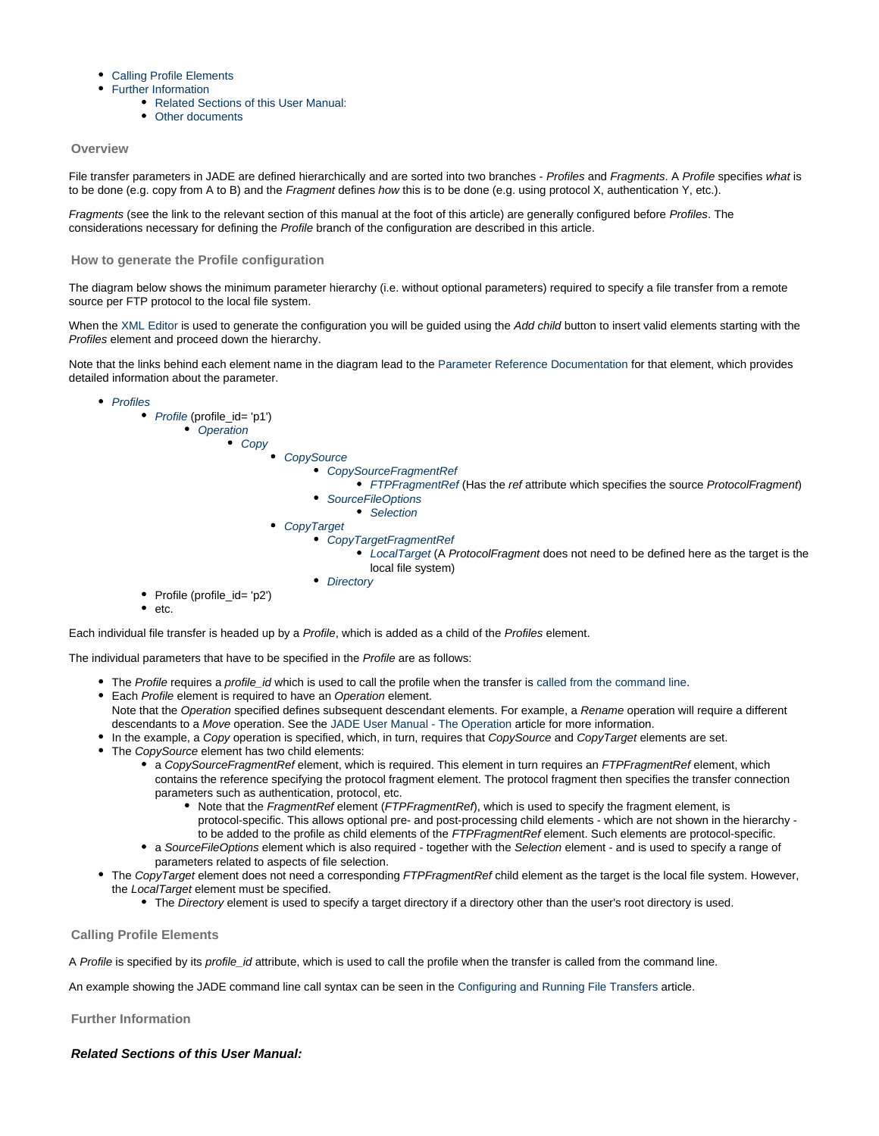- [Calling Profile Elements](#page-21-2)
- [Further Information](#page-21-3)
	- [Related Sections of this User Manual:](#page-21-4)
	- [Other documents](#page-22-2)

#### <span id="page-21-0"></span>**Overview**

File transfer parameters in JADE are defined hierarchically and are sorted into two branches - Profiles and Fragments. A Profile specifies what is to be done (e.g. copy from A to B) and the Fragment defines how this is to be done (e.g. using protocol X, authentication Y, etc.).

Fragments (see the link to the relevant section of this manual at the foot of this article) are generally configured before Profiles. The considerations necessary for defining the Profile branch of the configuration are described in this article.

#### <span id="page-21-1"></span>**How to generate the Profile configuration**

The diagram below shows the minimum parameter hierarchy (i.e. without optional parameters) required to specify a file transfer from a remote source per FTP protocol to the local file system.

When the [XML Editor](https://kb.sos-berlin.com/display/PKB/JADE+-+XML+Configuration+-+XML+Editor) is used to generate the configuration you will be guided using the Add child button to insert valid elements starting with the Profiles element and proceed down the hierarchy.

Note that the links behind each element name in the diagram lead to the [Parameter Reference Documentation](https://kb.sos-berlin.com/display/PKB/JADE+-+Reference+Documentation+-+Parameter+Reference) for that element, which provides detailed information about the parameter.



Each individual file transfer is headed up by a Profile, which is added as a child of the Profiles element.

The individual parameters that have to be specified in the Profile are as follows:

- The Profile requires a profile id which is used to call the profile when the transfer is [called from the command line](#page-13-0).
- **Each Profile element is required to have an Operation element.**
- Note that the Operation specified defines subsequent descendant elements. For example, a Rename operation will require a different descendants to a Move operation. See the [JADE User Manual - The Operation](#page-34-0) article for more information.
- In the example, a Copy operation is specified, which, in turn, requires that CopySource and CopyTarget elements are set.
- The CopySource element has two child elements:
	- a CopySourceFragmentRef element, which is required. This element in turn requires an FTPFragmentRef element, which contains the reference specifying the protocol fragment element. The protocol fragment then specifies the transfer connection parameters such as authentication, protocol, etc.
		- Note that the FragmentRef element (FTPFragmentRef), which is used to specify the fragment element, is protocol-specific. This allows optional pre- and post-processing child elements - which are not shown in the hierarchy to be added to the profile as child elements of the FTPFragmentRef element. Such elements are protocol-specific.
	- a SourceFileOptions element which is also required together with the Selection element and is used to specify a range of parameters related to aspects of file selection.
- The CopyTarget element does not need a corresponding FTPFragmentRef child element as the target is the local file system. However, the LocalTarget element must be specified.
	- The Directory element is used to specify a target directory if a directory other than the user's root directory is used.

#### <span id="page-21-2"></span>**Calling Profile Elements**

A Profile is specified by its profile id attribute, which is used to call the profile when the transfer is called from the command line.

An example showing the JADE command line call syntax can be seen in the [Configuring and Running File Transfers](#page-13-0) article.

<span id="page-21-3"></span>**Further Information**

<span id="page-21-4"></span>**Related Sections of this User Manual:**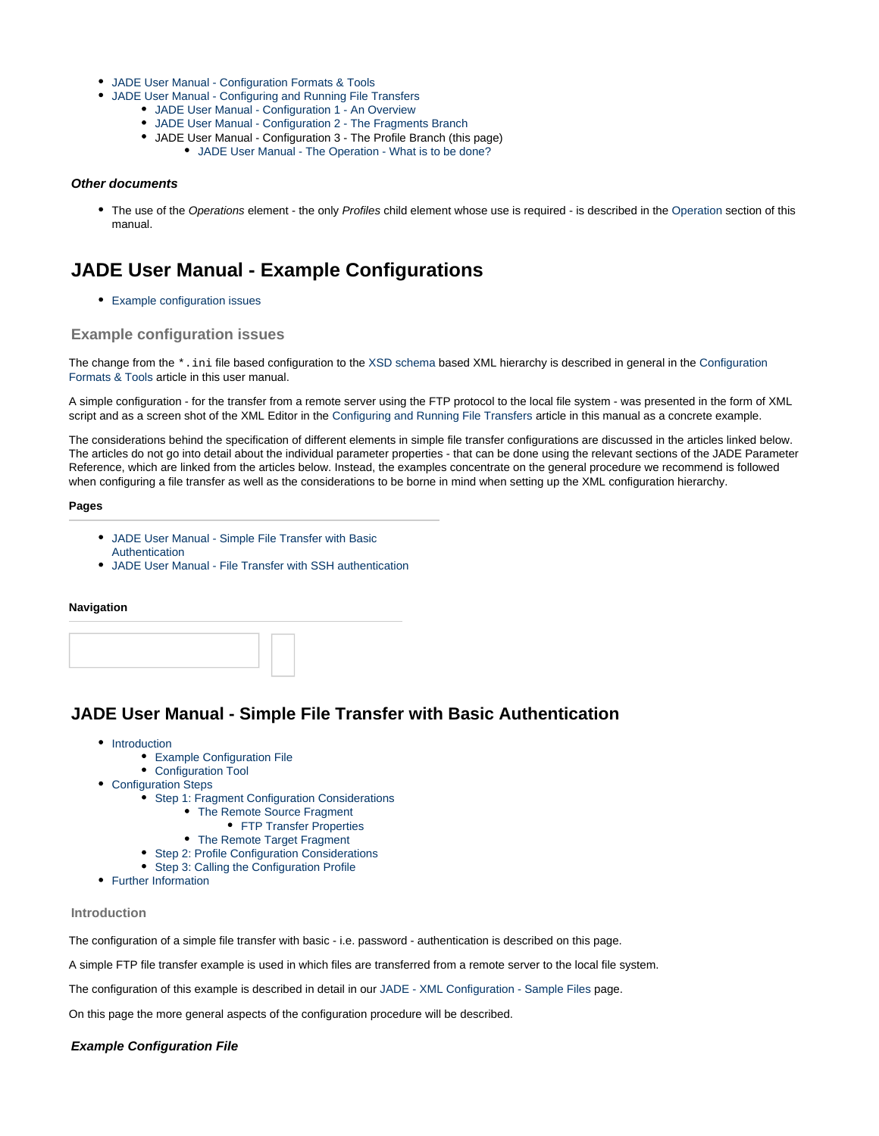- [JADE User Manual Configuration Formats & Tools](#page-10-0)
- [JADE User Manual Configuring and Running File Transfers](#page-13-0)
	- [JADE User Manual Configuration 1 An Overview](#page-16-0)
		- [JADE User Manual Configuration 2 The Fragments Branch](#page-18-0)
		- JADE User Manual Configuration 3 The Profile Branch (this page)
			- [JADE User Manual The Operation What is to be done?](#page-34-0)

#### <span id="page-22-2"></span>**Other documents**

The use of the [Operation](#page-34-0)s element - the only Profiles child element whose use is required - is described in the Operation section of this manual.

# <span id="page-22-0"></span>**JADE User Manual - Example Configurations**

[Example configuration issues](#page-22-3)

#### <span id="page-22-3"></span>**Example configuration issues**

The change from the \*.ini file based configuration to the [XSD schema](https://kb.sos-berlin.com/display/PKB/JADE+-+Reference+Documentation+-+XSD+Schema+Reference) based XML hierarchy is described in general in the [Configuration](#page-10-0) [Formats & Tools](#page-10-0) article in this user manual.

A simple configuration - for the transfer from a remote server using the FTP protocol to the local file system - was presented in the form of XML script and as a screen shot of the XML Editor in the [Configuring and Running File Transfers](#page-13-0) article in this manual as a concrete example.

The considerations behind the specification of different elements in simple file transfer configurations are discussed in the articles linked below. The articles do not go into detail about the individual parameter properties - that can be done using the relevant sections of the JADE Parameter Reference, which are linked from the articles below. Instead, the examples concentrate on the general procedure we recommend is followed when configuring a file transfer as well as the considerations to be borne in mind when setting up the XML configuration hierarchy.

#### **Pages**

- [JADE User Manual Simple File Transfer with Basic](#page-22-1) [Authentication](#page-22-1)
- [JADE User Manual File Transfer with SSH authentication](#page-24-0)

#### **Navigation**

### <span id="page-22-1"></span>**JADE User Manual - Simple File Transfer with Basic Authentication**

- [Introduction](#page-22-4)
	- [Example Configuration File](#page-22-5)
	- [Configuration Tool](#page-23-0)
- [Configuration Steps](#page-23-1)
	- [Step 1: Fragment Configuration Considerations](#page-23-2)
		- [The Remote Source Fragment](#page-23-3)
			- **[FTP Transfer Properties](#page-23-4)**
		- [The Remote Target Fragment](#page-23-5)
	- [Step 2: Profile Configuration Considerations](#page-24-1)
	- [Step 3: Calling the Configuration Profile](#page-24-2)
- [Further Information](#page-24-3)

#### <span id="page-22-4"></span>**Introduction**

The configuration of a simple file transfer with basic - i.e. password - authentication is described on this page.

A simple FTP file transfer example is used in which files are transferred from a remote server to the local file system.

The configuration of this example is described in detail in our [JADE - XML Configuration - Sample Files](https://kb.sos-berlin.com/display/PKB/JADE+-+XML+Configuration+-+Sample+Files) page.

On this page the more general aspects of the configuration procedure will be described.

#### <span id="page-22-5"></span>**Example Configuration File**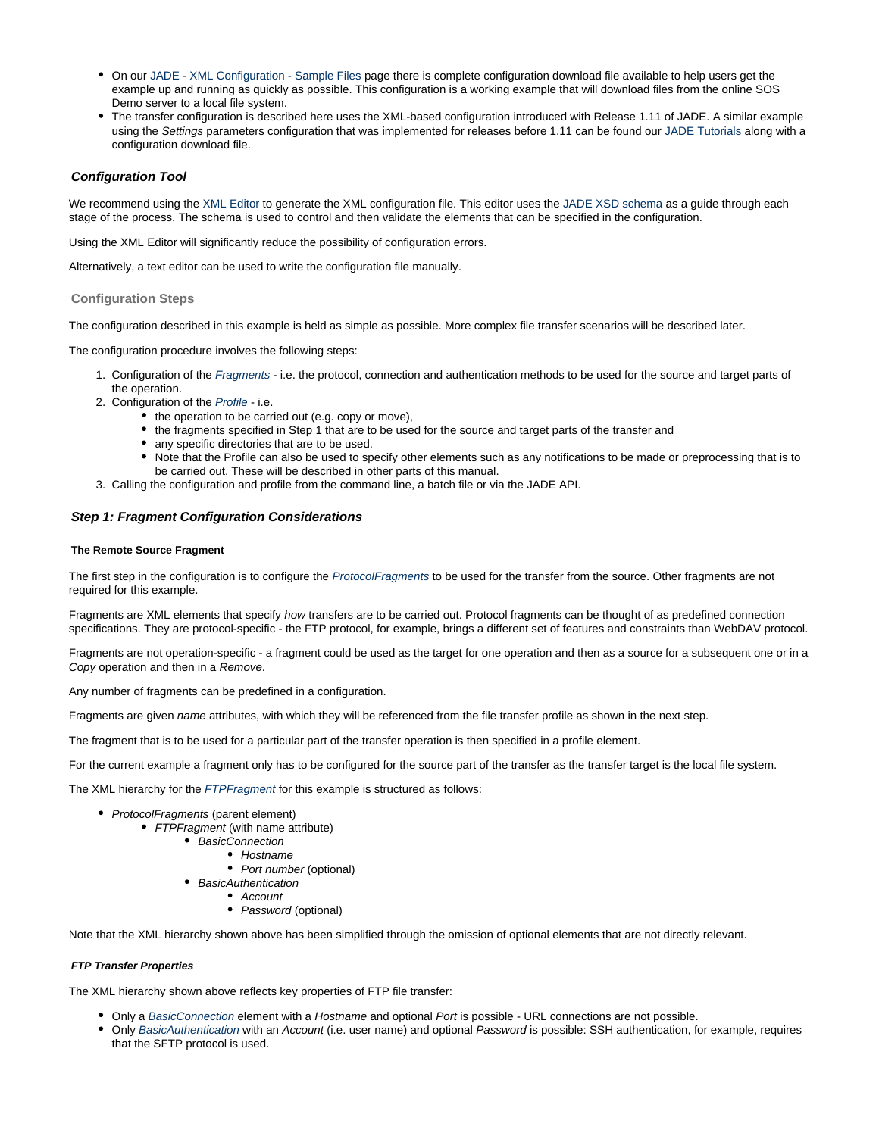- On our [JADE XML Configuration Sample Files](https://kb.sos-berlin.com/display/PKB/JADE+-+XML+Configuration+-+Sample+Files) page there is complete configuration download file available to help users get the example up and running as quickly as possible. This configuration is a working example that will download files from the online SOS Demo server to a local file system.
- The transfer configuration is described here uses the XML-based configuration introduced with Release 1.11 of JADE. A similar example using the Settings parameters configuration that was implemented for releases before 1.11 can be found our [JADE Tutorials](https://kb.sos-berlin.com/display/PKB/JADE+-+Tutorials) along with a configuration download file.

#### <span id="page-23-0"></span>**Configuration Tool**

We recommend using the [XML Editor](https://kb.sos-berlin.com/display/PKB/JADE+-+XML+Configuration+-+XML+Editor) to generate the XML configuration file. This editor uses the [JADE XSD schema](https://kb.sos-berlin.com/display/PKB/JADE+-+Reference+Documentation+-+XSD+Schema+Reference) as a guide through each stage of the process. The schema is used to control and then validate the elements that can be specified in the configuration.

Using the XML Editor will significantly reduce the possibility of configuration errors.

Alternatively, a text editor can be used to write the configuration file manually.

#### <span id="page-23-1"></span>**Configuration Steps**

The configuration described in this example is held as simple as possible. More complex file transfer scenarios will be described later.

The configuration procedure involves the following steps:

- 1. Configuration of the [Fragments](https://kb.sos-berlin.com/display/PKB/JADE+Parameter+Reference+-+Fragments) i.e. the protocol, connection and authentication methods to be used for the source and target parts of the operation.
- 2. Configuration of the [Profile](https://kb.sos-berlin.com/display/PKB/JADE+Parameter+Reference+-+Profiles) i.e.
	- $\bullet$  the operation to be carried out (e.g. copy or move),
	- the fragments specified in Step 1 that are to be used for the source and target parts of the transfer and
	- any specific directories that are to be used.
	- Note that the Profile can also be used to specify other elements such as any notifications to be made or preprocessing that is to be carried out. These will be described in other parts of this manual.
- 3. Calling the configuration and profile from the command line, a batch file or via the JADE API.

#### <span id="page-23-2"></span>**Step 1: Fragment Configuration Considerations**

#### <span id="page-23-3"></span>**The Remote Source Fragment**

The first step in the configuration is to configure the [ProtocolFragments](https://kb.sos-berlin.com/display/PKB/JADE+Parameter+Reference+-+ProtocolFragments) to be used for the transfer from the source. Other fragments are not required for this example.

Fragments are XML elements that specify how transfers are to be carried out. Protocol fragments can be thought of as predefined connection specifications. They are protocol-specific - the FTP protocol, for example, brings a different set of features and constraints than WebDAV protocol.

Fragments are not operation-specific - a fragment could be used as the target for one operation and then as a source for a subsequent one or in a Copy operation and then in a Remove.

Any number of fragments can be predefined in a configuration.

Fragments are given name attributes, with which they will be referenced from the file transfer profile as shown in the next step.

The fragment that is to be used for a particular part of the transfer operation is then specified in a profile element.

For the current example a fragment only has to be configured for the source part of the transfer as the transfer target is the local file system.

The XML hierarchy for the [FTPFragment](https://kb.sos-berlin.com/display/PKB/JADE+Parameter+Reference+-+FTPFragment) for this example is structured as follows:

- ProtocolFragments (parent element)
	- FTPFragment (with name attribute)
		- BasicConnection
			- Hostname
			- Port number (optional)
		- BasicAuthentication
			- Account
			- Password (optional)

Note that the XML hierarchy shown above has been simplified through the omission of optional elements that are not directly relevant.

#### <span id="page-23-4"></span>**FTP Transfer Properties**

The XML hierarchy shown above reflects key properties of FTP file transfer:

- Only a [BasicConnection](#page-22-1) element with a Hostname and optional Port is possible URL connections are not possible.
- <span id="page-23-5"></span>• Only [BasicAuthentication](https://kb.sos-berlin.com/display/PKB/JADE+Parameter+Reference+-+BasicAuthentication) with an Account (i.e. user name) and optional Password is possible: SSH authentication, for example, requires that the SFTP protocol is used.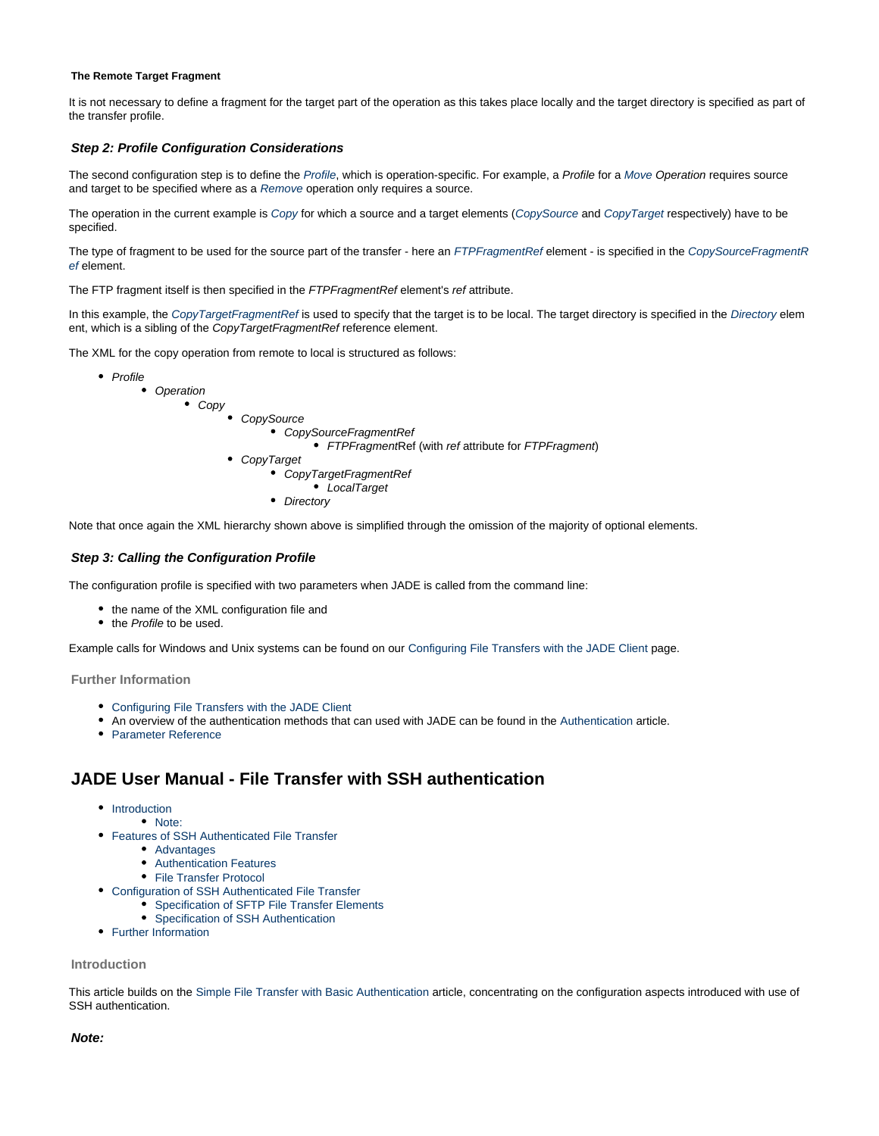#### **The Remote Target Fragment**

It is not necessary to define a fragment for the target part of the operation as this takes place locally and the target directory is specified as part of the transfer profile.

#### <span id="page-24-1"></span>**Step 2: Profile Configuration Considerations**

The second configuration step is to define the [Profile](https://kb.sos-berlin.com/display/PKB/JADE+Parameter+Reference+-+Profiles), which is operation-specific. For example, a Profile for a [Move](https://kb.sos-berlin.com/display/PKB/JADE+Parameter+Reference+-+Move) Operation requires source and target to be specified where as a [Remove](https://kb.sos-berlin.com/display/PKB/JADE+Parameter+Reference+-+Remove) operation only requires a source.

The operation in the current example is [Copy](https://kb.sos-berlin.com/display/PKB/JADE+Parameter+Reference+-+Copy) for which a source and a target elements ([CopySource](https://kb.sos-berlin.com/display/PKB/JADE+Parameter+Reference+-+CopySource) and [CopyTarget](https://kb.sos-berlin.com/display/PKB/JADE+Parameter+Reference+-+CopyTarget) respectively) have to be specified.

The type of fragment to be used for the source part of the transfer - here an [FTPFragmentRef](https://kb.sos-berlin.com/display/PKB/JADE+Parameter+Reference+-+FTPFragmentRef) element - is specified in the [CopySourceFragmentR](https://kb.sos-berlin.com/display/PKB/JADE+Parameter+Reference+-+CopySourceFragmentRef) [ef](https://kb.sos-berlin.com/display/PKB/JADE+Parameter+Reference+-+CopySourceFragmentRef) element.

The FTP fragment itself is then specified in the FTPFragmentRef element's ref attribute.

In this example, the [CopyTargetFragmentRef](https://kb.sos-berlin.com/display/PKB/JADE+Parameter+Reference+-+CopyTargetFragmentRef) is used to specify that the target is to be local. The target directory is specified in the [Directory](https://kb.sos-berlin.com/display/PKB/JADE+Parameter+Reference+-+Directory) elem ent, which is a sibling of the CopyTargetFragmentRef reference element.

The XML for the copy operation from remote to local is structured as follows:

• Profile • Operation Copy **CopySource** CopySourceFragmentRef • FTPFragmentRef (with ref attribute for FTPFragment) CopyTarget CopyTargetFragmentRef LocalTarget • Directory

Note that once again the XML hierarchy shown above is simplified through the omission of the majority of optional elements.

#### <span id="page-24-2"></span>**Step 3: Calling the Configuration Profile**

The configuration profile is specified with two parameters when JADE is called from the command line:

- the name of the XML configuration file and
- the Profile to be used.

Example calls for Windows and Unix systems can be found on our [Configuring File Transfers with the JADE Client](#page-13-0) page.

<span id="page-24-3"></span>**Further Information**

- [Configuring File Transfers with the JADE Client](https://kb.sos-berlin.com/display/PKB/JADE+User+Manual+-+Configuring+File+Transfers+with+the+JADE+Client)
- An overview of the authentication methods that can used with JADE can be found in the [Authentication](#page-27-0) article.
- [Parameter Reference](https://kb.sos-berlin.com/display/PKB/JADE+-+Reference+Documentation+-+Parameter+Reference)

### <span id="page-24-0"></span>**JADE User Manual - File Transfer with SSH authentication**

- [Introduction](#page-24-4)
	- [Note:](#page-24-5)
- [Features of SSH Authenticated File Transfer](#page-25-0)
	- [Advantages](#page-25-1)
	- [Authentication Features](#page-25-2)
	- [File Transfer Protocol](#page-25-3)
- [Configuration of SSH Authenticated File Transfer](#page-25-4) 
	- [Specification of SFTP File Transfer Elements](#page-25-5)
	- [Specification of SSH Authentication](#page-25-6)
- [Further Information](#page-26-1)

#### <span id="page-24-4"></span>**Introduction**

This article builds on the [Simple File Transfer with Basic Authentication](#page-22-1) article, concentrating on the configuration aspects introduced with use of SSH authentication.

#### <span id="page-24-5"></span>**Note:**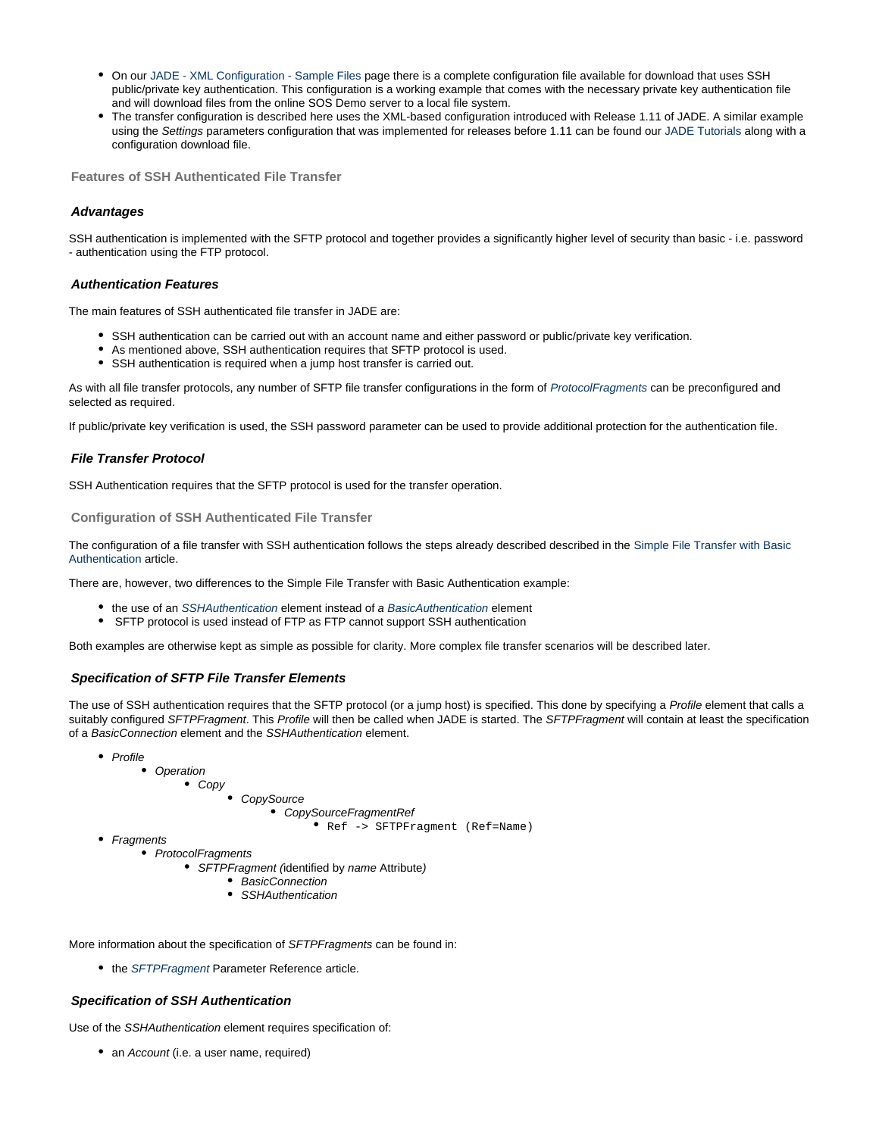- On our [JADE XML Configuration Sample Files](https://kb.sos-berlin.com/display/PKB/JADE+-+XML+Configuration+-+Sample+Files) page there is a complete configuration file available for download that uses SSH public/private key authentication. This configuration is a working example that comes with the necessary private key authentication file and will download files from the online SOS Demo server to a local file system.
- The transfer configuration is described here uses the XML-based configuration introduced with Release 1.11 of JADE. A similar example using the Settings parameters configuration that was implemented for releases before 1.11 can be found our [JADE Tutorials](https://kb.sos-berlin.com/display/PKB/JADE+-+Tutorials) along with a configuration download file.

<span id="page-25-0"></span>**Features of SSH Authenticated File Transfer**

#### <span id="page-25-1"></span>**Advantages**

SSH authentication is implemented with the SFTP protocol and together provides a significantly higher level of security than basic - i.e. password - authentication using the FTP protocol.

#### <span id="page-25-2"></span>**Authentication Features**

The main features of SSH authenticated file transfer in JADE are:

- SSH authentication can be carried out with an account name and either password or public/private key verification.
- As mentioned above, SSH authentication requires that SFTP protocol is used.
- SSH authentication is required when a jump host transfer is carried out.

As with all file transfer protocols, any number of SFTP file transfer configurations in the form of [ProtocolFragments](https://kb.sos-berlin.com/display/PKB/JADE+Parameter+Reference+-+ProtocolFragments) can be preconfigured and selected as required.

If public/private key verification is used, the SSH password parameter can be used to provide additional protection for the authentication file.

#### <span id="page-25-3"></span>**File Transfer Protocol**

SSH Authentication requires that the SFTP protocol is used for the transfer operation.

<span id="page-25-4"></span>**Configuration of SSH Authenticated File Transfer** 

The configuration of a file transfer with SSH authentication follows the steps already described described in the [Simple File Transfer with Basic](#page-22-1) [Authentication](#page-22-1) article.

There are, however, two differences to the Simple File Transfer with Basic Authentication example:

- the use of an [SSHAuthentication](https://kb.sos-berlin.com/display/PKB/JADE+Parameter+Reference+-+SSHAuthentication) element instead of a [BasicAuthentication](https://kb.sos-berlin.com/display/PKB/JADE+Parameter+Reference+-+BasicAuthentication) element
- SFTP protocol is used instead of FTP as FTP cannot support SSH authentication

Both examples are otherwise kept as simple as possible for clarity. More complex file transfer scenarios will be described later.

#### <span id="page-25-5"></span>**Specification of SFTP File Transfer Elements**

The use of SSH authentication requires that the SFTP protocol (or a jump host) is specified. This done by specifying a Profile element that calls a suitably configured SFTPFragment. This Profile will then be called when JADE is started. The SFTPFragment will contain at least the specification of a BasicConnection element and the SSHAuthentication element.

- Profile
	- Operation
		- **Copy** 
			- **CopySource** CopySourceFragmentRef

Ref -> SFTPFragment (Ref=Name)

- Fragments
	- ProtocolFragments
		- SFTPFragment (identified by name Attribute)
			- BasicConnection
			- SSHAuthentication

More information about the specification of SFTPFragments can be found in:

• the [SFTPFragment](https://kb.sos-berlin.com/display/PKB/JADE+Parameter+Reference+-+SFTPFragment) Parameter Reference article.

#### <span id="page-25-6"></span>**Specification of SSH Authentication**

Use of the SSHAuthentication element requires specification of:

• an Account (i.e. a user name, required)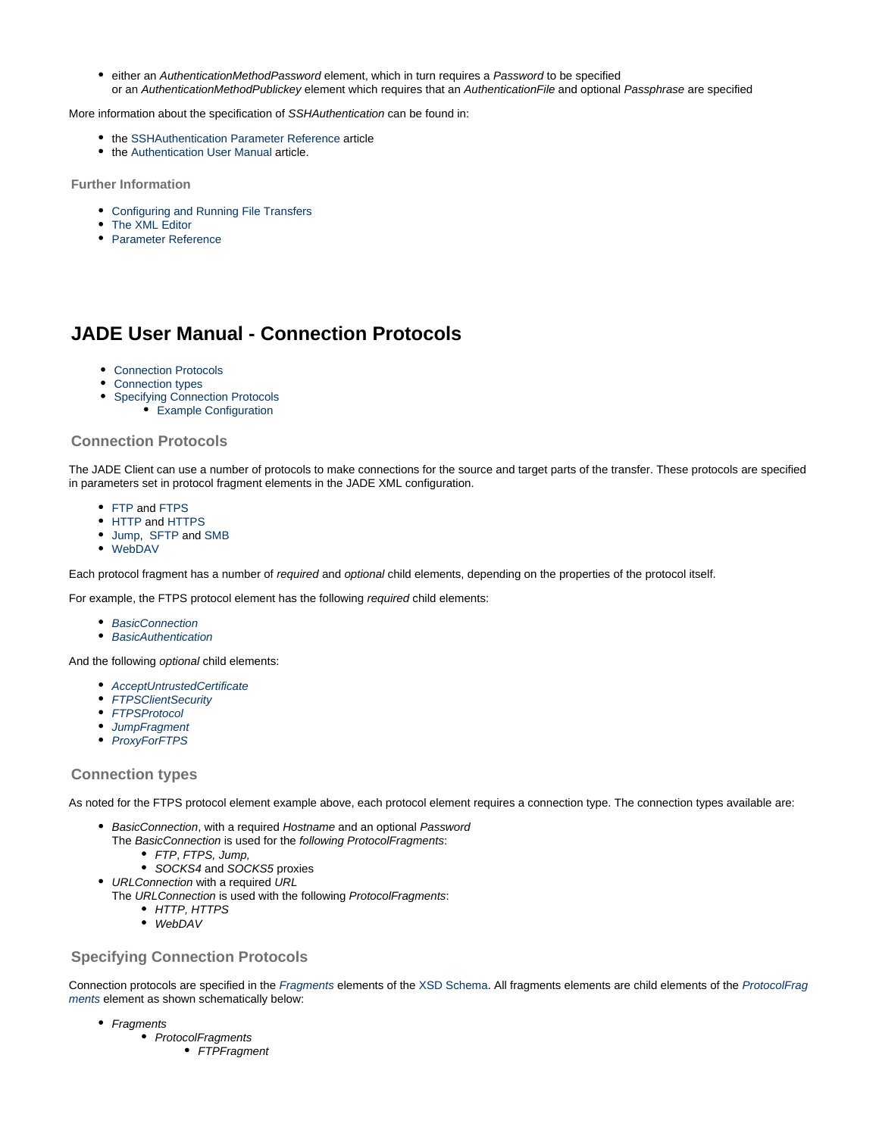**•** either an AuthenticationMethodPassword element, which in turn requires a Password to be specified or an AuthenticationMethodPublickey element which requires that an AuthenticationFile and optional Passphrase are specified

More information about the specification of SSHAuthentication can be found in:

- $\bullet$  the [SSHAuthentication Parameter Reference](https://kb.sos-berlin.com/display/PKB/JADE+Parameter+Reference+-+SSHAuthentication) article
- the [Authentication User Manual](#page-27-0) article.

<span id="page-26-1"></span>**Further Information**

- [Configuring and Running File Transfers](#page-13-0)
- [The XML Editor](https://kb.sos-berlin.com/display/PKB/JADE+-+XML+Configuration+-+XML+Editor)
- [Parameter Reference](https://kb.sos-berlin.com/display/PKB/JADE+-+Reference+Documentation+-+Parameter+Reference)

# <span id="page-26-0"></span>**JADE User Manual - Connection Protocols**

- [Connection Protocols](#page-26-2)
- [Connection types](#page-26-3)
- [Specifying Connection Protocols](#page-26-4)
- [Example Configuration](#page-27-1)

#### <span id="page-26-2"></span>**Connection Protocols**

The JADE Client can use a number of protocols to make connections for the source and target parts of the transfer. These protocols are specified in parameters set in protocol fragment elements in the JADE XML configuration.

- [FTP](https://kb.sos-berlin.com/display/PKB/JADE+Parameter+Reference+-+FTPFragment) and [FTPS](https://kb.sos-berlin.com/display/PKB/JADE+Parameter+Reference+-+FTPSFragment)
- [HTTP](https://kb.sos-berlin.com/display/PKB/JADE+Parameter+Reference+-+HTTPFragment) and [HTTPS](https://kb.sos-berlin.com/display/PKB/JADE+Parameter+Reference+-+HTTPSFragment)
- [Jump,](https://kb.sos-berlin.com/display/PKB/JADE+Parameter+Reference+-+JumpFragment) [SFTP](https://kb.sos-berlin.com/display/PKB/JADE+Parameter+Reference+-+SFTPFragment) and [SMB](https://kb.sos-berlin.com/display/PKB/JADE+Parameter+Reference+-+SMBFragment)
- [WebDAV](https://kb.sos-berlin.com/display/PKB/JADE+Parameter+Reference+-+WebDAVFragment)

Each protocol fragment has a number of required and optional child elements, depending on the properties of the protocol itself.

For example, the FTPS protocol element has the following required child elements:

- [BasicConnection](https://kb.sos-berlin.com/display/PKB/JADE+Parameter+Reference+-+BasicConnection)
- [BasicAuthentication](https://kb.sos-berlin.com/display/PKB/JADE+Parameter+Reference+-+BasicAuthentication)

And the following optional child elements:

- [AcceptUntrustedCertificate](https://kb.sos-berlin.com/display/PKB/JADE+Parameter+Reference+-+AcceptUntrustedCertificate)
- [FTPSClientSecurity](https://kb.sos-berlin.com/display/PKB/JADE+Parameter+Reference+-+FTPSClientSecurity)
- **[FTPSProtocol](https://kb.sos-berlin.com/display/PKB/JADE+Parameter+Reference+-+FTPSFragment)**
- [JumpFragment](https://kb.sos-berlin.com/display/PKB/JADE+Parameter+Reference+-+FTPSFragment)
- [ProxyForFTPS](https://kb.sos-berlin.com/display/PKB/JADE+Parameter+Reference+-+FTPSFragment)

#### <span id="page-26-3"></span>**Connection types**

As noted for the FTPS protocol element example above, each protocol element requires a connection type. The connection types available are:

- BasicConnection, with a required Hostname and an optional Password The BasicConnection is used for the following ProtocolFragments:
	- FTP, FTPS, Jump,
	- SOCKS4 and SOCKS5 proxies
- URLConnection with a required URL
	- The URLConnection is used with the following ProtocolFragments:
		- HTTP, HTTPS
		- WebDAV

#### <span id="page-26-4"></span>**Specifying Connection Protocols**

Connection protocols are specified in the [Fragments](https://kb.sos-berlin.com/display/PKB/JADE+Parameter+Reference+-+Fragments) elements of the [XSD Schema.](https://kb.sos-berlin.com/display/PKB/JADE+-+Reference+Documentation+-+XSD+Schema+Reference) All fragments elements are child elements of the [ProtocolFrag](https://kb.sos-berlin.com/display/PKB/JADE+Parameter+Reference+-+ProtocolFragments) [ments](https://kb.sos-berlin.com/display/PKB/JADE+Parameter+Reference+-+ProtocolFragments) element as shown schematically below:

- Fragments
	- ProtocolFragments
		- FTPFragment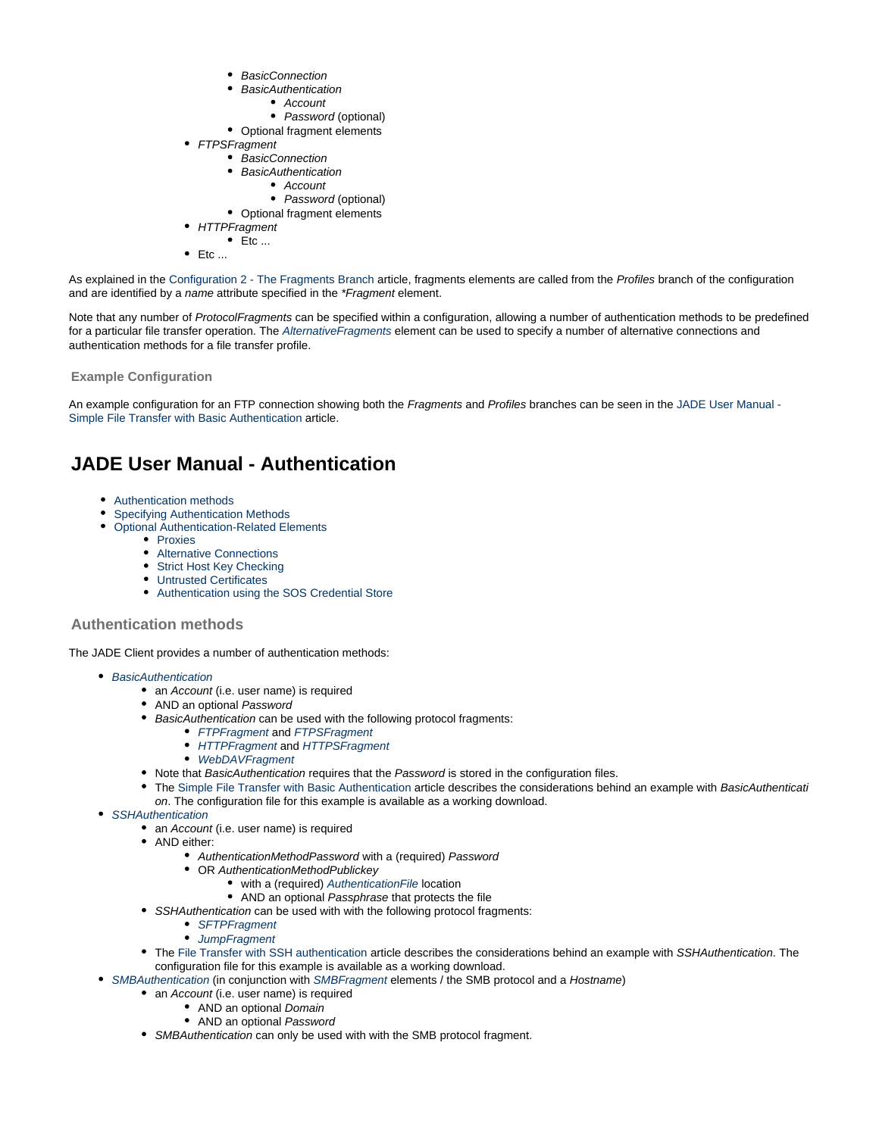- BasicConnection
- **BasicAuthentication** 
	- Account
	- Password (optional)
- Optional fragment elements
- FTPSFragment
	- BasicConnection
	- BasicAuthentication
	- Account
	- Password (optional) • Optional fragment elements
	- **HTTPFragment** 
		- $\bullet$  Etc ...
- $\bullet$  Etc ...

As explained in the [Configuration 2 - The Fragments Branch](#page-18-0) article, fragments elements are called from the Profiles branch of the configuration and are identified by a name attribute specified in the \*Fragment element.

Note that any number of ProtocolFragments can be specified within a configuration, allowing a number of authentication methods to be predefined for a particular file transfer operation. The [AlternativeFragments](https://kb.sos-berlin.com/display/PKB/JADE+Parameter+Reference+-+AlternativeFragments) element can be used to specify a number of alternative connections and authentication methods for a file transfer profile.

<span id="page-27-1"></span>**Example Configuration**

An example configuration for an FTP connection showing both the Fragments and Profiles branches can be seen in the [JADE User Manual -](#page-22-1) [Simple File Transfer with Basic Authentication](#page-22-1) article.

# <span id="page-27-0"></span>**JADE User Manual - Authentication**

- [Authentication methods](#page-27-2)
	- [Specifying Authentication Methods](#page-27-3)
- [Optional Authentication-Related Elements](#page-28-1)
	- [Proxies](#page-28-2)
		- [Alternative Connections](#page-28-3)
		- [Strict Host Key Checking](#page-28-4)
		- [Untrusted Certificates](#page-28-5)
		- [Authentication using the SOS Credential Store](#page-28-6)

#### <span id="page-27-2"></span>**Authentication methods**

The JADE Client provides a number of authentication methods:

- [BasicAuthentication](https://kb.sos-berlin.com/display/PKB/JADE+Parameter+Reference+-+BasicAuthentication)
	- an Account (i.e. user name) is required
	- AND an optional Password
	- BasicAuthentication can be used with the following protocol fragments:
		- [FTPFragment](https://kb.sos-berlin.com/display/PKB/JADE+Parameter+Reference+-+FTPFragment) and [FTPSFragment](https://kb.sos-berlin.com/display/PKB/JADE+Parameter+Reference+-+FTPSFragment)
			- [HTTPFragment](https://kb.sos-berlin.com/display/PKB/JADE+Parameter+Reference+-+HTTPFragment) and [HTTPSFragment](https://kb.sos-berlin.com/display/PKB/JADE+Parameter+Reference+-+HTTPSFragment)
			- [WebDAVFragment](https://kb.sos-berlin.com/display/PKB/JADE+Parameter+Reference+-+WebDAVFragment)
	- Note that BasicAuthentication requires that the Password is stored in the configuration files.
	- The [Simple File Transfer with Basic Authentication](#page-22-1) article describes the considerations behind an example with BasicAuthenticati  $\bullet$ on. The configuration file for this example is available as a working download.
- [SSHAuthentication](https://kb.sos-berlin.com/display/PKB/JADE+Parameter+Reference+-+SSHAuthentication)
	- an Account (i.e. user name) is required
	- AND either:
		- AuthenticationMethodPassword with a (required) Password
		- OR AuthenticationMethodPublickey
			- with a (required) Authentication File location
			- AND an optional Passphrase that protects the file
		- SSHAuthentication can be used with with the following protocol fragments:
			- [SFTPFragment](https://kb.sos-berlin.com/display/PKB/JADE+Parameter+Reference+-+SFTPFragment)
			- [JumpFragment](https://kb.sos-berlin.com/display/PKB/JADE+Parameter+Reference+-+JumpFragment)
		- The [File Transfer with SSH authentication](#page-24-0) article describes the considerations behind an example with SSHAuthentication. The configuration file for this example is available as a working download.
- <span id="page-27-3"></span>• [SMBAuthentication](https://kb.sos-berlin.com/display/PKB/JADE+Parameter+Reference+-+SMBAuthentication) (in conjunction with [SMBFragment](https://kb.sos-berlin.com/display/PKB/JADE+Parameter+Reference+-+SMBFragment) elements / the SMB protocol and a Hostname)
	- an Account (i.e. user name) is required
		- AND an optional Domain
		- AND an optional Password
	- SMBAuthentication can only be used with with the SMB protocol fragment.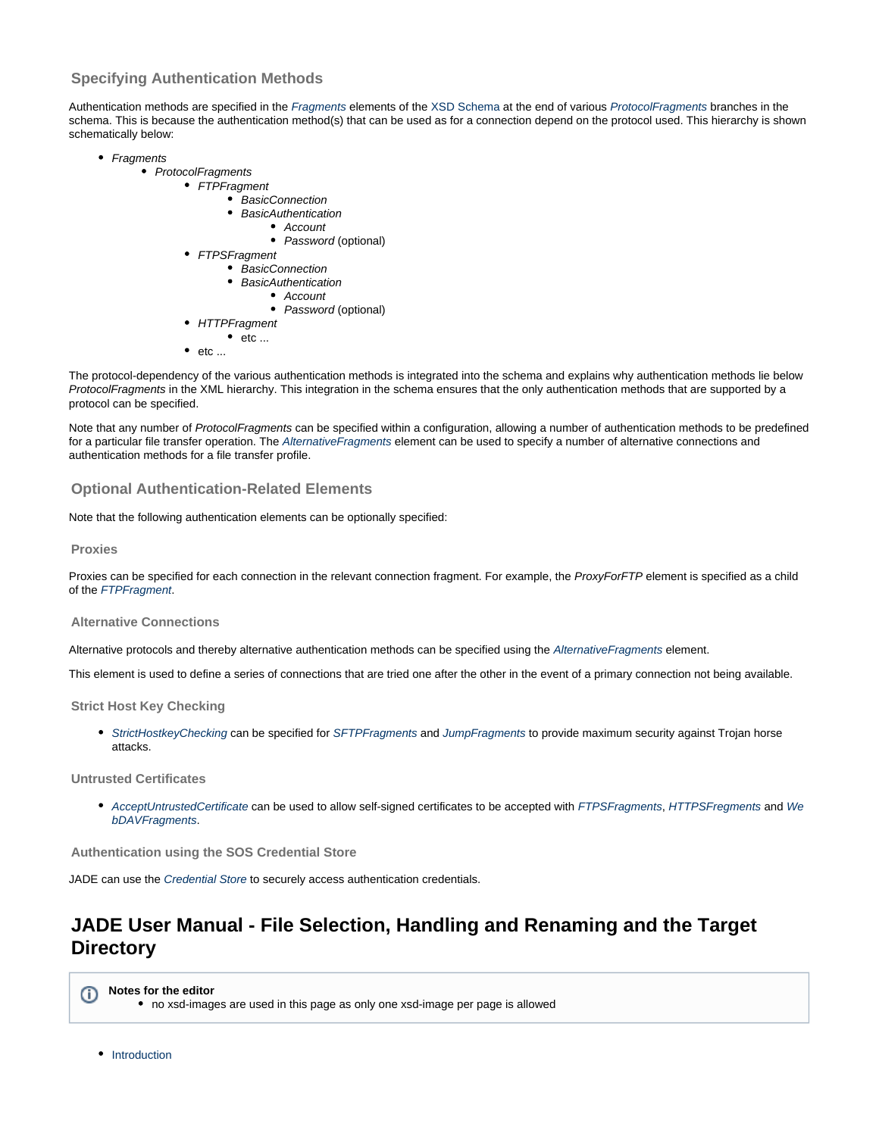### **Specifying Authentication Methods**

Authentication methods are specified in the [Fragments](https://kb.sos-berlin.com/display/PKB/JADE+Parameter+Reference+-+Fragments) elements of the [XSD Schema](https://kb.sos-berlin.com/display/PKB/JADE+-+Reference+Documentation+-+XSD+Schema+Reference) at the end of various [ProtocolFragments](https://kb.sos-berlin.com/display/PKB/JADE+Parameter+Reference+-+ProtocolFragments) branches in the schema. This is because the authentication method(s) that can be used as for a connection depend on the protocol used. This hierarchy is shown schematically below:

- Fragments
	- ProtocolFragments
		- FTPFragment
			- BasicConnection
				- BasicAuthentication
					- Account
			- Password (optional)
		- FTPSFragment
			- BasicConnection • BasicAuthentication
				- Account
				- Password (optional)
		- **HTTPFragment**
		- $\bullet$  etc ...
		- etc ...

The protocol-dependency of the various authentication methods is integrated into the schema and explains why authentication methods lie below ProtocolFragments in the XML hierarchy. This integration in the schema ensures that the only authentication methods that are supported by a protocol can be specified.

Note that any number of ProtocolFragments can be specified within a configuration, allowing a number of authentication methods to be predefined for a particular file transfer operation. The [AlternativeFragments](https://kb.sos-berlin.com/display/PKB/JADE+Parameter+Reference+-+AlternativeFragments) element can be used to specify a number of alternative connections and authentication methods for a file transfer profile.

#### <span id="page-28-1"></span>**Optional Authentication-Related Elements**

Note that the following authentication elements can be optionally specified:

#### <span id="page-28-2"></span>**Proxies**

Proxies can be specified for each connection in the relevant connection fragment. For example, the ProxyForFTP element is specified as a child of the [FTPFragment](https://kb.sos-berlin.com/display/PKB/JADE+Parameter+Reference+-+FTPFragment).

#### <span id="page-28-3"></span>**Alternative Connections**

Alternative protocols and thereby alternative authentication methods can be specified using the [AlternativeFragments](https://kb.sos-berlin.com/display/PKB/JADE+Parameter+Reference+-+AlternativeFragments) element.

This element is used to define a series of connections that are tried one after the other in the event of a primary connection not being available.

<span id="page-28-4"></span>**Strict Host Key Checking**

[StrictHostkeyChecking](https://kb.sos-berlin.com/display/PKB/JADE+Parameter+Reference+-+StrictHostkeyChecking) can be specified for [SFTPFragments](https://kb.sos-berlin.com/display/PKB/JADE+Parameter+Reference+-+SFTPFragment) and [JumpFragments](https://kb.sos-berlin.com/display/PKB/JADE+Parameter+Reference+-+JumpFragment) to provide maximum security against Trojan horse attacks.

<span id="page-28-5"></span>**Untrusted Certificates**

• [AcceptUntrustedCertificate](https://kb.sos-berlin.com/display/PKB/JADE+Parameter+Reference+-+AcceptUntrustedCertificate) can be used to allow self-signed certificates to be accepted with [FTPSFragments](https://kb.sos-berlin.com/display/PKB/JADE+Parameter+Reference+-+FTPSFragment), [HTTPSFregments](https://kb.sos-berlin.com/display/PKB/JADE+Parameter+Reference+-+HTTPSFragment) and [We](https://kb.sos-berlin.com/display/PKB/JADE+Parameter+Reference+-+WebDAVFragment) [bDAVFragments](https://kb.sos-berlin.com/display/PKB/JADE+Parameter+Reference+-+WebDAVFragment).

<span id="page-28-6"></span>**Authentication using the SOS Credential Store**

JADE can use the [Credential Store](https://kb.sos-berlin.com/display/PKB/JADE+Credential+Store) to securely access authentication credentials.

# <span id="page-28-0"></span>**JADE User Manual - File Selection, Handling and Renaming and the Target Directory**

**Notes for the editor** no xsd-images are used in this page as only one xsd-image per page is allowed

**•** [Introduction](#page-29-0)

⋒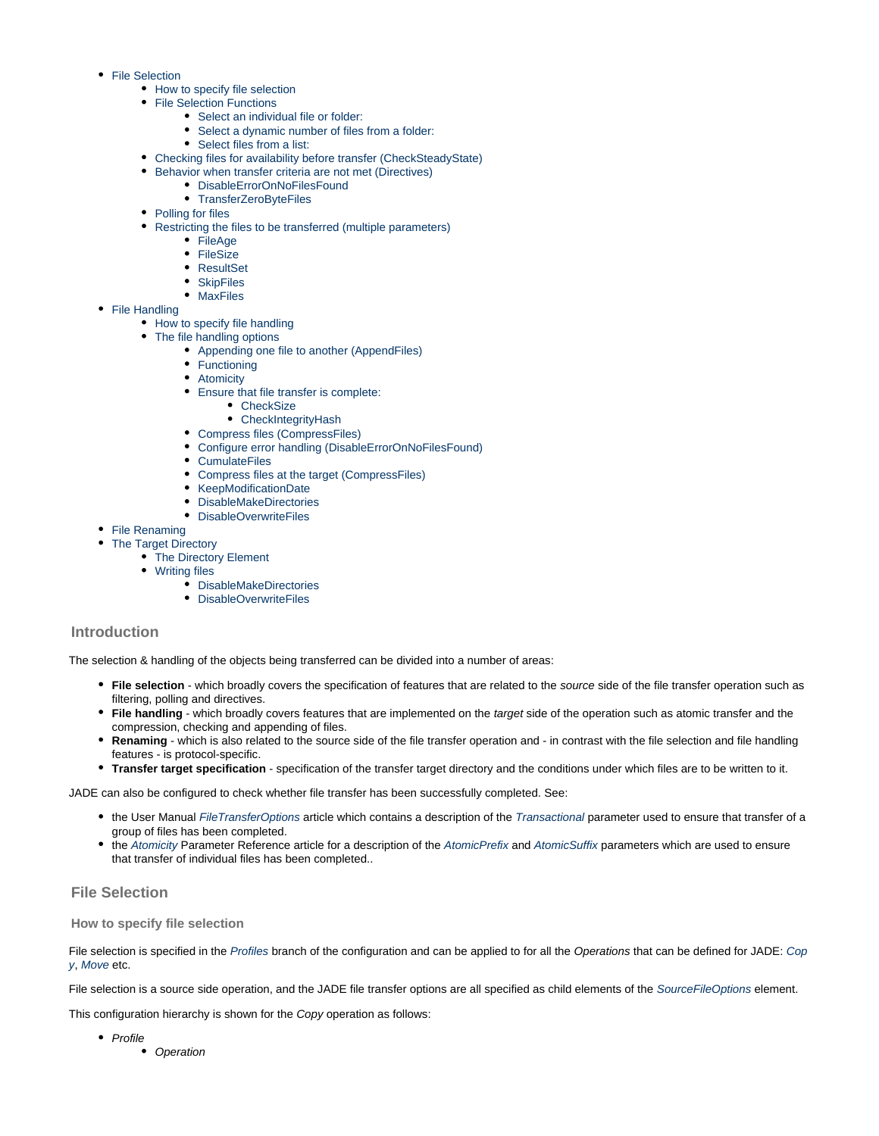- [File Selection](#page-29-1)
	- [How to specify file selection](#page-29-2)
	- [File Selection Functions](#page-30-0)
		- [Select an individual file or folder:](#page-30-1)
		- [Select a dynamic number of files from a folder:](#page-30-2)
		- [Select files from a list:](#page-30-3)
	- [Checking files for availability before transfer \(CheckSteadyState\)](#page-30-4)
	- [Behavior when transfer criteria are not met \(Directives\)](#page-31-0)
		- [DisableErrorOnNoFilesFound](#page-31-1)
		- [TransferZeroByteFiles](#page-31-2)
	- [Polling for files](#page-31-3)
	- [Restricting the files to be transferred \(multiple parameters\)](#page-31-4)
		- [FileAge](#page-31-5)
		- [FileSize](#page-31-6)
		- [ResultSet](#page-32-0)
		- [SkipFiles](#page-32-1)
		- [MaxFiles](#page-32-2)
- [File Handling](#page-32-3)
	- [How to specify file handling](#page-32-4)
	- [The file handling options](#page-32-5)
		- [Appending one file to another \(AppendFiles\)](#page-32-6)
			- [Functioning](#page-33-0)
			- $\bullet$ **[Atomicity](#page-33-1)**
			- [Ensure that file transfer is complete:](#page-33-2)
				- [CheckSize](#page-33-3)
				- [CheckIntegrityHash](#page-33-4)
			- [Compress files \(CompressFiles\)](#page-33-5)
			- [Configure error handling \(DisableErrorOnNoFilesFound\)](#page-33-6)
			- [CumulateFiles](#page-33-7)
			- [Compress files at the target \(CompressFiles\)](#page-33-8)
			- [KeepModificationDate](#page-33-9)
			- [DisableMakeDirectories](#page-33-10)
		- [DisableOverwriteFiles](#page-34-1)
- [File Renaming](#page-34-2)
- [The Target Directory](#page-34-3)
	- [The Directory Element](#page-34-4)
	- [Writing files](#page-34-5)
		- [DisableMakeDirectories](#page-34-6)
		- [DisableOverwriteFiles](#page-34-7)

#### <span id="page-29-0"></span>**Introduction**

The selection & handling of the objects being transferred can be divided into a number of areas:

- **File selection** which broadly covers the specification of features that are related to the source side of the file transfer operation such as filtering, polling and directives.
- **File handling** which broadly covers features that are implemented on the target side of the operation such as atomic transfer and the compression, checking and appending of files.
- **Renaming** which is also related to the source side of the file transfer operation and in contrast with the file selection and file handling features - is protocol-specific.
- **Transfer target specification** specification of the transfer target directory and the conditions under which files are to be written to it.

JADE can also be configured to check whether file transfer has been successfully completed. See:

- the User Manual [FileTransferOptions](#page-36-0) article which contains a description of the [Transactional](https://kb.sos-berlin.com/display/PKB/JADE+Parameter+Reference+-+Transactional) parameter used to ensure that transfer of a group of files has been completed.
- the [Atomicity](https://kb.sos-berlin.com/display/PKB/JADE+Parameter+Reference+-+Atomicity) Parameter Reference article for a description of the [AtomicPrefix](https://kb.sos-berlin.com/display/PKB/JADE+Parameter+Reference+-+AtomicPrefix) and [AtomicSuffix](https://kb.sos-berlin.com/display/PKB/JADE+Parameter+Reference+-+AtomicSuffix) parameters which are used to ensure that transfer of individual files has been completed..

### <span id="page-29-1"></span>**File Selection**

#### <span id="page-29-2"></span>**How to specify file selection**

File selection is specified in the [Profiles](https://kb.sos-berlin.com/display/PKB/JADE+Parameter+Reference+-+Profiles) branch of the configuration and can be applied to for all the Operations that can be defined for JADE: [Cop](https://kb.sos-berlin.com/display/PKB/JADE+Parameter+Reference+-+Copy) [y](https://kb.sos-berlin.com/display/PKB/JADE+Parameter+Reference+-+Copy), [Move](https://kb.sos-berlin.com/display/PKB/JADE+Parameter+Reference+-+Move) etc.

File selection is a source side operation, and the JADE file transfer options are all specified as child elements of the [SourceFileOptions](https://kb.sos-berlin.com/display/PKB/JADE+Parameter+Reference+-+SourceFileOptions) element.

This configuration hierarchy is shown for the Copy operation as follows:

- Profile
	- Operation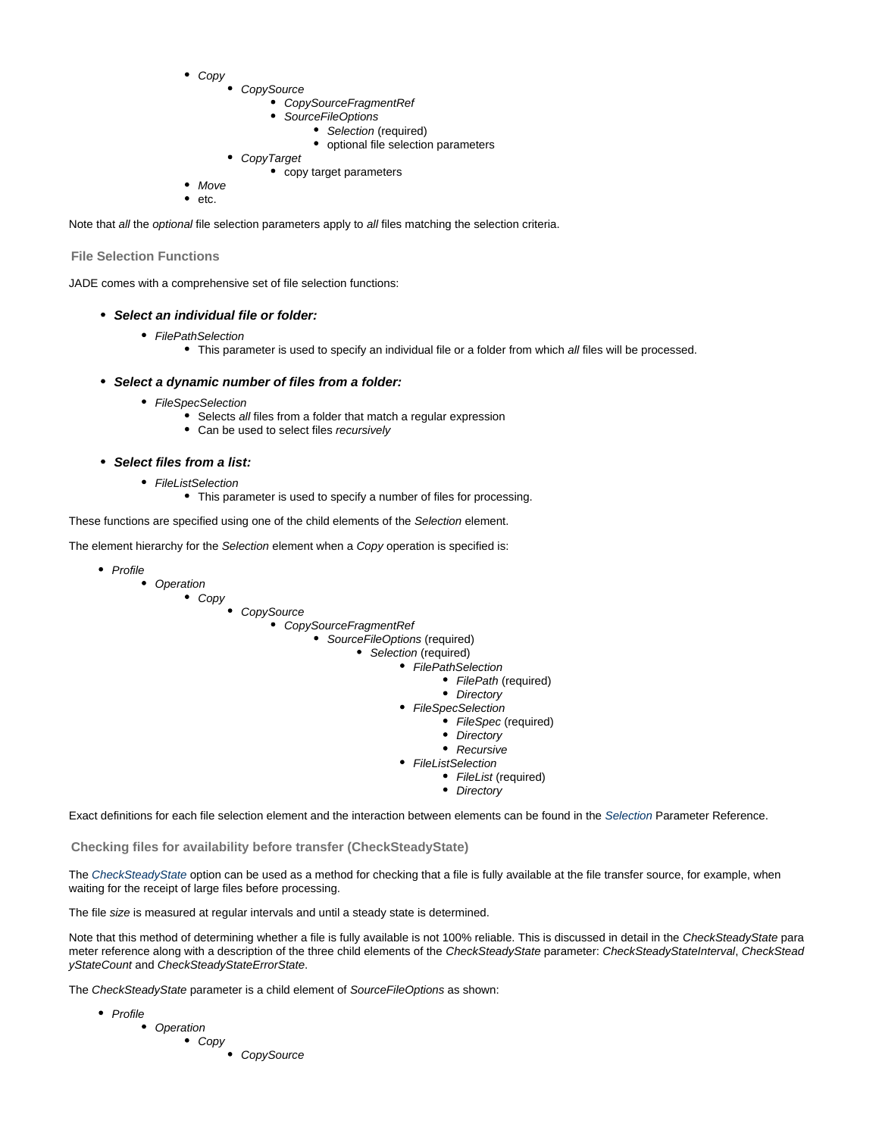- Copy
	- CopySource
		- CopySourceFragmentRef
		- SourceFileOptions
			- Selection (required) • optional file selection parameters
	- CopyTarget
		- copy target parameters
- $\bullet$ Move etc.

Note that all the optional file selection parameters apply to all files matching the selection criteria.

#### <span id="page-30-0"></span>**File Selection Functions**

<span id="page-30-1"></span>JADE comes with a comprehensive set of file selection functions:

#### **Select an individual file or folder:**

- FilePathSelection
	- This parameter is used to specify an individual file or a folder from which all files will be processed.

#### <span id="page-30-2"></span>**Select a dynamic number of files from a folder:**

- FileSpecSelection
	- Selects all files from a folder that match a regular expression
	- Can be used to select files recursively

#### **Select files from a list:**

- FileListSelection
	- This parameter is used to specify a number of files for processing.

<span id="page-30-3"></span>These functions are specified using one of the child elements of the Selection element.

The element hierarchy for the Selection element when a Copy operation is specified is:

- Profile
	- Operation
		- Copy
- **CopySource** 
	- CopySourceFragmentRef
		- SourceFileOptions (required)
			- Selection (required)
				- FilePathSelection
					- FilePath (required)
						- Directory
				- FileSpecSelection
					- FileSpec (required)
						- Directory
						- Recursive
				- FileListSelection
					- FileList (required)
					- Directory

Exact definitions for each file selection element and the interaction between elements can be found in the [Selection](https://kb.sos-berlin.com/display/PKB/JADE+Parameter+Reference+-+Selection) Parameter Reference.

<span id="page-30-4"></span>**Checking files for availability before transfer (CheckSteadyState)**

The [CheckSteadyState](https://kb.sos-berlin.com/display/PKB/JADE+Parameter+Reference+-+CheckSteadyState) option can be used as a method for checking that a file is fully available at the file transfer source, for example, when waiting for the receipt of large files before processing.

The file size is measured at regular intervals and until a steady state is determined.

Note that this method of determining whether a file is fully available is not 100% reliable. This is discussed in detail in the CheckSteadyState para meter reference along with a description of the three child elements of the CheckSteadyState parameter: CheckSteadyStateInterval, CheckStead yStateCount and CheckSteadyStateErrorState.

The CheckSteadyState parameter is a child element of SourceFileOptions as shown:

- Profile
	- Operation
		- **Copy**
- **CopySource**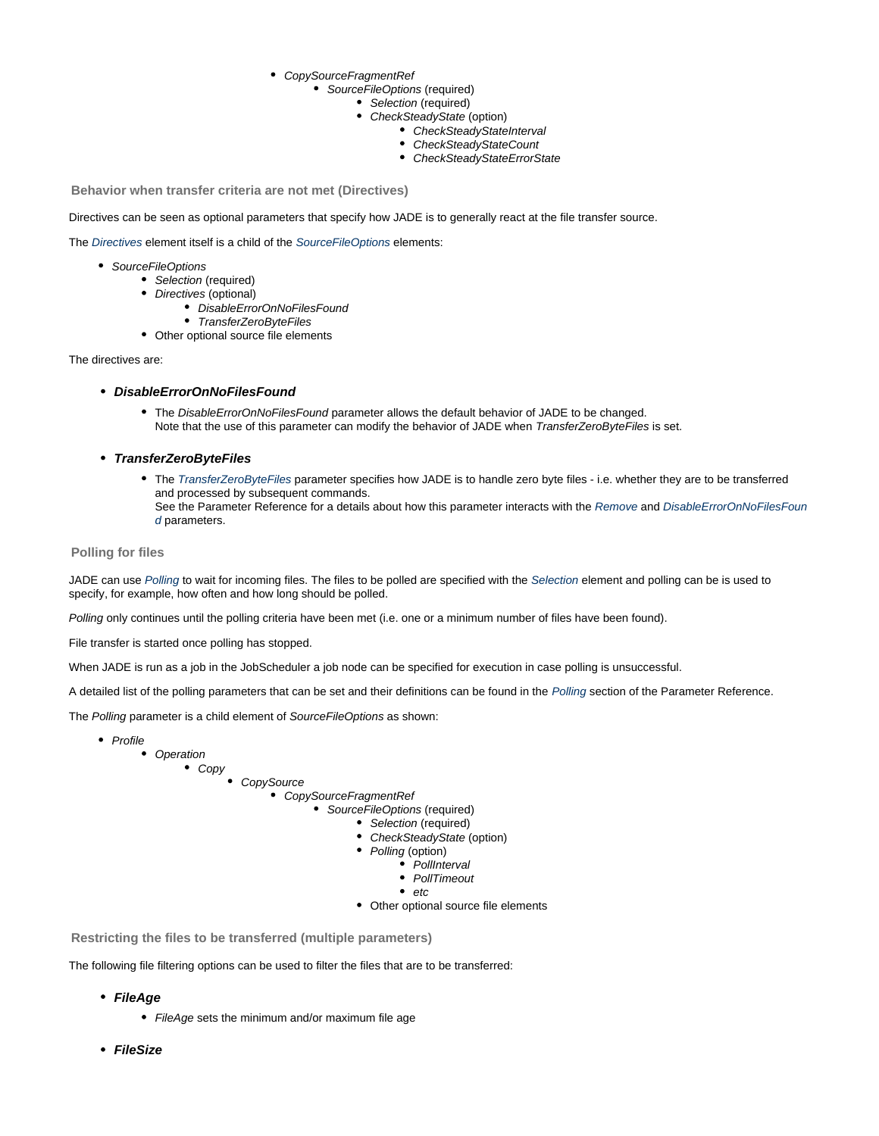- CopySourceFragmentRef
	- SourceFileOptions (required)
		- Selection (required)
		- $\bullet$ CheckSteadyState (option)
			- CheckSteadyStateInterval
			- CheckSteadyStateCount
			- CheckSteadyStateErrorState

<span id="page-31-0"></span>**Behavior when transfer criteria are not met (Directives)**

Directives can be seen as optional parameters that specify how JADE is to generally react at the file transfer source.

The [Directives](https://kb.sos-berlin.com/display/PKB/JADE+Parameter+Reference+-+Directives) element itself is a child of the [SourceFileOptions](https://kb.sos-berlin.com/display/PKB/JADE+Parameter+Reference+-+SourceFileOptions) elements:

- SourceFileOptions
	- Selection (required)
	- Directives (optional)
		- DisableErrorOnNoFilesFound
		- TransferZeroByteFiles
	- Other optional source file elements

#### <span id="page-31-1"></span>The directives are:

- **DisableErrorOnNoFilesFound**
	- The DisableErrorOnNoFilesFound parameter allows the default behavior of JADE to be changed. Note that the use of this parameter can modify the behavior of JADE when TransferZeroByteFiles is set.
- <span id="page-31-2"></span>**TransferZeroByteFiles**
	- The [TransferZeroByteFiles](https://kb.sos-berlin.com/display/PKB/JADE+Parameter+Reference+-+TransferZeroByteFiles) parameter specifies how JADE is to handle zero byte files i.e. whether they are to be transferred and processed by subsequent commands. See the Parameter Reference for a details about how this parameter interacts with the [Remove](https://kb.sos-berlin.com/display/PKB/JADE+Parameter+Reference+-+Remove) and [DisableErrorOnNoFilesFoun](https://kb.sos-berlin.com/display/PKB/JADE+Parameter+Reference+-+DisableErrorOnNoFilesFound) [d](https://kb.sos-berlin.com/display/PKB/JADE+Parameter+Reference+-+DisableErrorOnNoFilesFound) parameters.

#### <span id="page-31-3"></span>**Polling for files**

JADE can use [Polling](https://kb.sos-berlin.com/display/PKB/JADE+Parameter+Reference+-+Polling) to wait for incoming files. The files to be polled are specified with the [Selection](https://kb.sos-berlin.com/display/PKB/JADE+Parameter+Reference+-+Selection) element and polling can be is used to specify, for example, how often and how long should be polled.

Polling only continues until the polling criteria have been met (i.e. one or a minimum number of files have been found).

File transfer is started once polling has stopped.

When JADE is run as a job in the JobScheduler a job node can be specified for execution in case polling is unsuccessful.

A detailed list of the polling parameters that can be set and their definitions can be found in the [Polling](https://kb.sos-berlin.com/display/PKB/JADE+Parameter+Reference+-+Polling) section of the Parameter Reference.

The Polling parameter is a child element of SourceFileOptions as shown:



<span id="page-31-4"></span>**Restricting the files to be transferred (multiple parameters)**

<span id="page-31-5"></span>The following file filtering options can be used to filter the files that are to be transferred:

- **FileAge**
	- FileAge sets the minimum and/or maximum file age
- <span id="page-31-6"></span>**FileSize**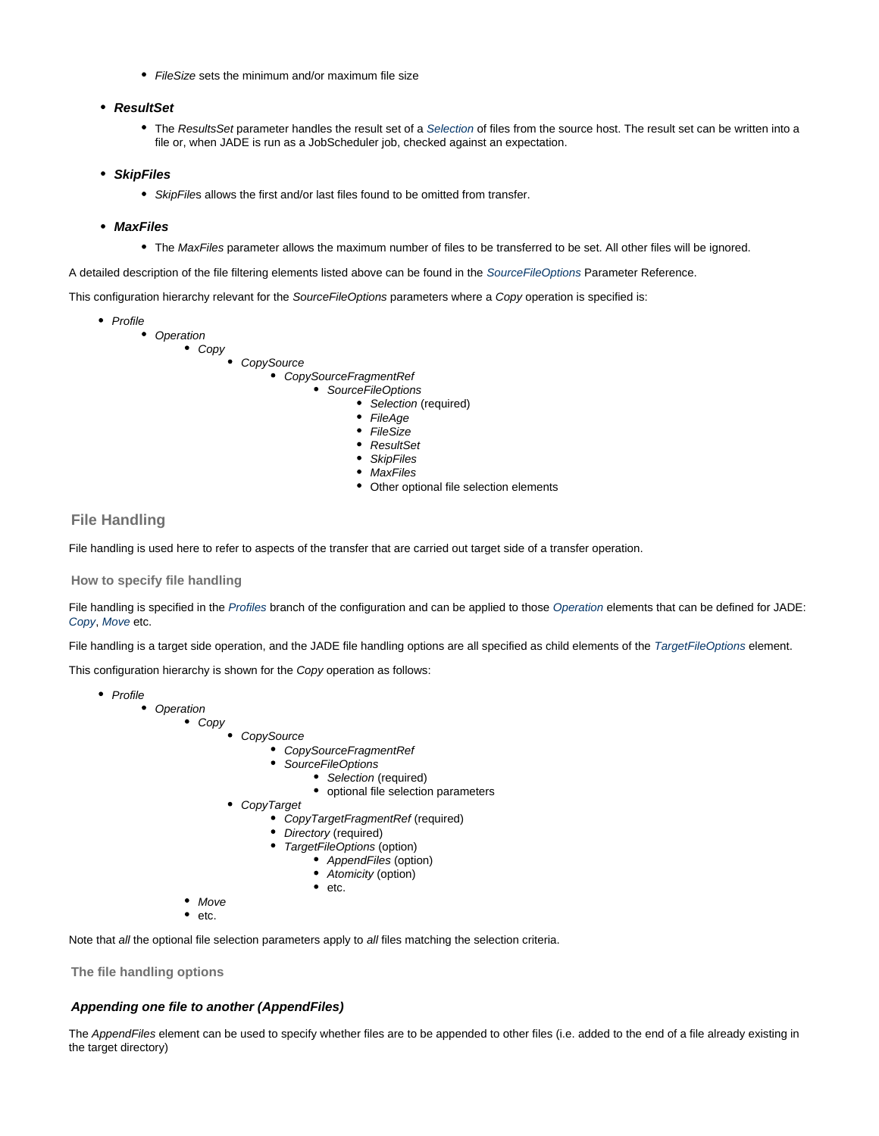• FileSize sets the minimum and/or maximum file size

#### <span id="page-32-0"></span>**ResultSet**

• The ResultsSet parameter handles the result set of a [Selection](https://kb.sos-berlin.com/display/PKB/JADE+Parameter+Reference+-+Selection) of files from the source host. The result set can be written into a file or, when JADE is run as a JobScheduler job, checked against an expectation.

#### <span id="page-32-1"></span>**SkipFiles**

• SkipFiles allows the first and/or last files found to be omitted from transfer.

#### **MaxFiles**

• The MaxFiles parameter allows the maximum number of files to be transferred to be set. All other files will be ignored.

<span id="page-32-2"></span>A detailed description of the file filtering elements listed above can be found in the [SourceFileOptions](https://kb.sos-berlin.com/display/PKB/JADE+Parameter+Reference+-+SourceFileOptions) Parameter Reference.

This configuration hierarchy relevant for the SourceFileOptions parameters where a Copy operation is specified is:

- Profile
	- Operation

Copy

**CopySource** 

#### CopySourceFragmentRef • SourceFileOptions

- Selection (required)
- FileAge
- FileSize
- ResultSet
- SkipFiles
- MaxFiles
- Other optional file selection elements

#### <span id="page-32-3"></span>**File Handling**

File handling is used here to refer to aspects of the transfer that are carried out target side of a transfer operation.

#### <span id="page-32-4"></span>**How to specify file handling**

File handling is specified in the [Profiles](https://kb.sos-berlin.com/display/PKB/JADE+Parameter+Reference+-+Profiles) branch of the configuration and can be applied to those [Operation](https://kb.sos-berlin.com/display/PKB/JADE+Parameter+Reference+-+Operation) elements that can be defined for JADE: [Copy](https://kb.sos-berlin.com/display/PKB/JADE+Parameter+Reference+-+Copy), [Move](https://kb.sos-berlin.com/display/PKB/JADE+Parameter+Reference+-+Move) etc.

File handling is a target side operation, and the JADE file handling options are all specified as child elements of the [TargetFileOptions](https://kb.sos-berlin.com/display/PKB/JADE+Parameter+Reference+-+TargetFileOptions) element.

This configuration hierarchy is shown for the Copy operation as follows:

- Profile • Operation **Copy** 
	- **CopySource** 
		- CopySourceFragmentRef
		- SourceFileOptions
			- Selection (required)
				- optional file selection parameters
	- CopyTarget
		- CopyTargetFragmentRef (required)
		- Directory (required)
		- TargetFileOptions (option)
			- AppendFiles (option)
			- Atomicity (option)
			- $e$  etc.
	- Move
	- etc.

Note that all the optional file selection parameters apply to all files matching the selection criteria.

<span id="page-32-5"></span>**The file handling options**

#### <span id="page-32-6"></span>**Appending one file to another (AppendFiles)**

The AppendFiles element can be used to specify whether files are to be appended to other files (i.e. added to the end of a file already existing in the target directory)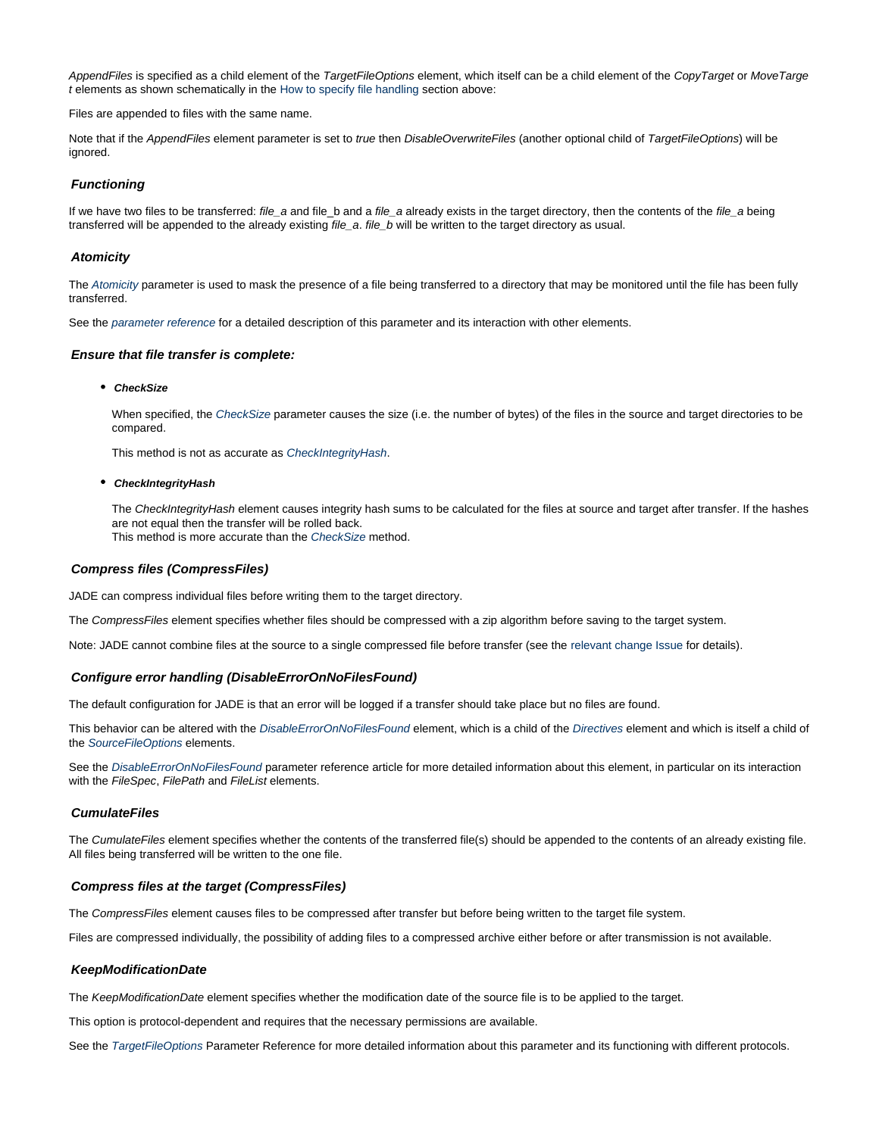AppendFiles is specified as a child element of the TargetFileOptions element, which itself can be a child element of the CopyTarget or MoveTarge t elements as shown schematically in the [How to specify file handling](#page-32-4) section above:

Files are appended to files with the same name.

Note that if the AppendFiles element parameter is set to true then DisableOverwriteFiles (another optional child of TargetFileOptions) will be ignored.

#### <span id="page-33-0"></span>**Functioning**

If we have two files to be transferred: file\_a and file\_b and a file\_a already exists in the target directory, then the contents of the file\_a being transferred will be appended to the already existing file\_a. file\_b will be written to the target directory as usual.

#### <span id="page-33-1"></span>**Atomicity**

The [Atomicity](https://kb.sos-berlin.com/display/PKB/JADE+Parameter+Reference+-+Atomicity) parameter is used to mask the presence of a file being transferred to a directory that may be monitored until the file has been fully transferred.

See the [parameter reference](https://kb.sos-berlin.com/display/PKB/JADE+Parameter+Reference+-+Atomicity) for a detailed description of this parameter and its interaction with other elements.

#### <span id="page-33-3"></span><span id="page-33-2"></span>**Ensure that file transfer is complete:**

#### **CheckSize**

When specified, the [CheckSize](https://kb.sos-berlin.com/display/PKB/JADE+Parameter+Reference+-+TargetFileOptions) parameter causes the size (i.e. the number of bytes) of the files in the source and target directories to be compared.

This method is not as accurate as [CheckIntegrityHash](#page-33-4).

#### <span id="page-33-4"></span>**CheckIntegrityHash**

The CheckIntegrityHash element causes integrity hash sums to be calculated for the files at source and target after transfer. If the hashes are not equal then the transfer will be rolled back.

This method is more accurate than the [CheckSize](#page-33-3) method.

#### <span id="page-33-5"></span>**Compress files (CompressFiles)**

JADE can compress individual files before writing them to the target directory.

The CompressFiles element specifies whether files should be compressed with a zip algorithm before saving to the target system.

Note: JADE cannot combine files at the source to a single compressed file before transfer (see the [relevant change Issue](https://change.sos-berlin.com/browse/JADE-277) for details).

#### <span id="page-33-6"></span>**Configure error handling (DisableErrorOnNoFilesFound)**

The default configuration for JADE is that an error will be logged if a transfer should take place but no files are found.

This behavior can be altered with the [DisableErrorOnNoFilesFound](https://kb.sos-berlin.com/display/PKB/JADE+Parameter+Reference+-+DisableErrorOnNoFilesFound) element, which is a child of the [Directives](https://kb.sos-berlin.com/display/PKB/JADE+Parameter+Reference+-+Directives) element and which is itself a child of the [SourceFileOptions](https://kb.sos-berlin.com/display/PKB/JADE+Parameter+Reference+-+SourceFileOptions) elements.

See the [DisableErrorOnNoFilesFound](https://kb.sos-berlin.com/display/PKB/JADE+Parameter+Reference+-+DisableErrorOnNoFilesFound) parameter reference article for more detailed information about this element, in particular on its interaction with the FileSpec, FilePath and FileList elements.

#### <span id="page-33-7"></span>**CumulateFiles**

The CumulateFiles element specifies whether the contents of the transferred file(s) should be appended to the contents of an already existing file. All files being transferred will be written to the one file.

#### <span id="page-33-8"></span>**Compress files at the target (CompressFiles)**

The CompressFiles element causes files to be compressed after transfer but before being written to the target file system.

Files are compressed individually, the possibility of adding files to a compressed archive either before or after transmission is not available.

#### <span id="page-33-9"></span>**KeepModificationDate**

The KeepModificationDate element specifies whether the modification date of the source file is to be applied to the target.

This option is protocol-dependent and requires that the necessary permissions are available.

<span id="page-33-10"></span>See the [TargetFileOptions](https://kb.sos-berlin.com/display/PKB/JADE+Parameter+Reference+-+TargetFileOptions) Parameter Reference for more detailed information about this parameter and its functioning with different protocols.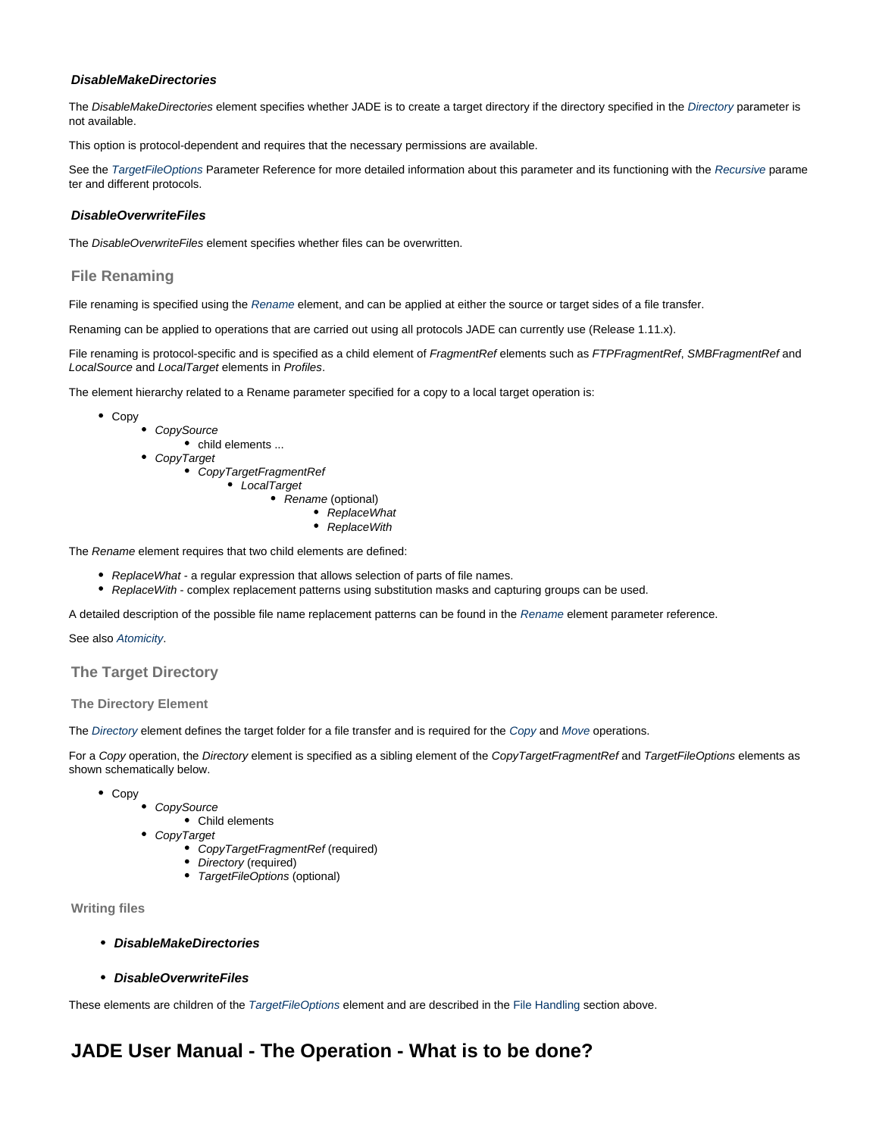#### **DisableMakeDirectories**

The DisableMakeDirectories element specifies whether JADE is to create a target directory if the directory specified in the [Directory](https://kb.sos-berlin.com/display/PKB/JADE+Parameter+Reference+-+Directory) parameter is not available.

This option is protocol-dependent and requires that the necessary permissions are available.

See the [TargetFileOptions](https://kb.sos-berlin.com/display/PKB/JADE+Parameter+Reference+-+TargetFileOptions) Parameter Reference for more detailed information about this parameter and its functioning with the [Recursive](https://kb.sos-berlin.com/display/PKB/JADE+Parameter+Reference+-+Recursive) parame ter and different protocols.

#### <span id="page-34-1"></span>**DisableOverwriteFiles**

The DisableOverwriteFiles element specifies whether files can be overwritten.

#### <span id="page-34-2"></span>**File Renaming**

File renaming is specified using the [Rename](https://kb.sos-berlin.com/display/PKB/JADE+Parameter+Reference+-+Rename) element, and can be applied at either the source or target sides of a file transfer.

Renaming can be applied to operations that are carried out using all protocols JADE can currently use (Release 1.11.x).

File renaming is protocol-specific and is specified as a child element of FragmentRef elements such as FTPFragmentRef, SMBFragmentRef and LocalSource and LocalTarget elements in Profiles.

The element hierarchy related to a Rename parameter specified for a copy to a local target operation is:

- Copy
	- CopySource
		- child elements ...
	- CopyTarget
		- CopyTargetFragmentRef • LocalTarget
			- Rename (optional)
				- ReplaceWhat
					- ReplaceWith

The Rename element requires that two child elements are defined:

- ReplaceWhat a regular expression that allows selection of parts of file names.
- ReplaceWith complex replacement patterns using substitution masks and capturing groups can be used.

A detailed description of the possible file name replacement patterns can be found in the [Rename](https://kb.sos-berlin.com/display/PKB/JADE+Parameter+Reference+-+Rename) element parameter reference.

#### See also [Atomicity](https://kb.sos-berlin.com/display/PKB/JADE+Parameter+Reference+-+Atomicity).

#### <span id="page-34-3"></span>**The Target Directory**

#### <span id="page-34-4"></span>**The Directory Element**

The [Directory](https://kb.sos-berlin.com/display/PKB/JADE+Parameter+Reference+-+Directory) element defines the target folder for a file transfer and is required for the [Copy](https://kb.sos-berlin.com/display/PKB/JADE+Parameter+Reference+-+Copy) and [Move](https://kb.sos-berlin.com/display/PKB/JADE+Parameter+Reference+-+Move) operations.

For a Copy operation, the Directory element is specified as a sibling element of the CopyTargetFragmentRef and TargetFileOptions elements as shown schematically below.

- Copy
- **CopySource** Child elements
- CopyTarget
	- CopyTargetFragmentRef (required)
		- Directory (required)
		- TargetFileOptions (optional)

#### <span id="page-34-6"></span><span id="page-34-5"></span>**Writing files**

- **DisableMakeDirectories**
- **DisableOverwriteFiles**

<span id="page-34-7"></span>These elements are children of the [TargetFileOptions](https://kb.sos-berlin.com/display/PKB/JADE+Parameter+Reference+-+TargetFileOptions) element and are described in the [File Handling](#page-32-3) section above.

### <span id="page-34-0"></span>**JADE User Manual - The Operation - What is to be done?**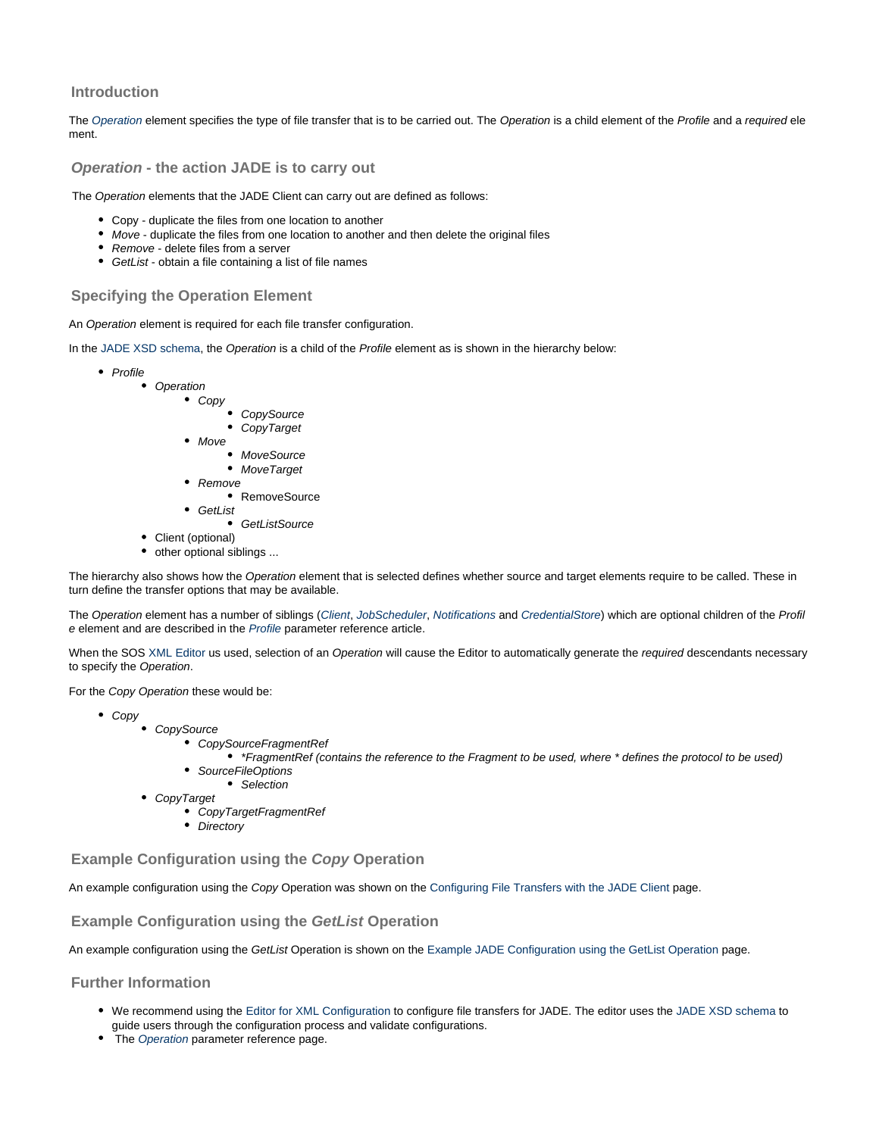#### **Introduction**

The [Operation](https://kb.sos-berlin.com/display/PKB/JADE+Parameter+Reference+-+Operation) element specifies the type of file transfer that is to be carried out. The Operation is a child element of the Profile and a required ele ment.

#### **Operation - the action JADE is to carry out**

The Operation elements that the JADE Client can carry out are defined as follows:

- Copy duplicate the files from one location to another
- Move duplicate the files from one location to another and then delete the original files
- **Remove delete files from a server**
- GetList obtain a file containing a list of file names

#### **Specifying the Operation Element**

An Operation element is required for each file transfer configuration.

In the [JADE XSD schema,](https://kb.sos-berlin.com/display/PKB/JADE+-+Reference+Documentation+-+XSD+Schema+Reference) the Operation is a child of the Profile element as is shown in the hierarchy below:

- $\bullet$  Profile
	- Operation
		- $\bullet$  Copy

CopySource CopyTarget

- $Mov<sub>e</sub>$ 
	- MoveSource
	- MoveTarget
- Remove
- RemoveSource GetList
	- GetListSource
- Client (optional)
- other optional siblings ...

The hierarchy also shows how the Operation element that is selected defines whether source and target elements require to be called. These in turn define the transfer options that may be available.

The Operation element has a number of siblings ([Client](https://kb.sos-berlin.com/display/PKB/JADE+Parameter+Reference+-+Client), [JobScheduler](https://kb.sos-berlin.com/display/PKB/JADE+Parameter+Reference+-+JobScheduler), [Notifications](https://kb.sos-berlin.com/display/PKB/JADE+Parameter+Reference+-+Notifications) and [CredentialStore](https://kb.sos-berlin.com/display/PKB/JADE+Parameter+Reference+-+CredentialStore)) which are optional children of the Profil e element and are described in the [Profile](https://kb.sos-berlin.com/display/PKB/JADE+Parameter+Reference+-+Profile) parameter reference article.

When the SOS [XML Editor](https://kb.sos-berlin.com/display/PKB/JADE+-+XML+Configuration+-+XML+Editor) us used, selection of an Operation will cause the Editor to automatically generate the required descendants necessary to specify the Operation.

For the Copy Operation these would be:

- Copy
	- CopySource
		- CopySourceFragmentRef
			- \*FragmentRef (contains the reference to the Fragment to be used, where \* defines the protocol to be used)
		- SourceFileOptions
		- Selection
		- CopyTarget
			- CopyTargetFragmentRef
			- Directory

**Example Configuration using the Copy Operation**

An example configuration using the Copy Operation was shown on the [Configuring File Transfers with the JADE Client](#page-13-0) page.

**Example Configuration using the GetList Operation**

An example configuration using the GetList Operation is shown on the [Example JADE Configuration using the GetList Operation](https://kb.sos-berlin.com/display/PKB/Example+JADE+Configuration+using+the+GetList+Operation) page.

**Further Information**

- We recommend using the [Editor for XML Configuration](https://kb.sos-berlin.com/display/PKB/JADE+-+XML+Configuration+-+XML+Editor) to configure file transfers for JADE. The editor uses the [JADE XSD schema](https://kb.sos-berlin.com/display/PKB/JADE+-+Reference+Documentation+-+XSD+Schema+Reference) to guide users through the configuration process and validate configurations.
- The [Operation](https://kb.sos-berlin.com/display/PKB/JADE+Parameter+Reference+-+Operation) parameter reference page.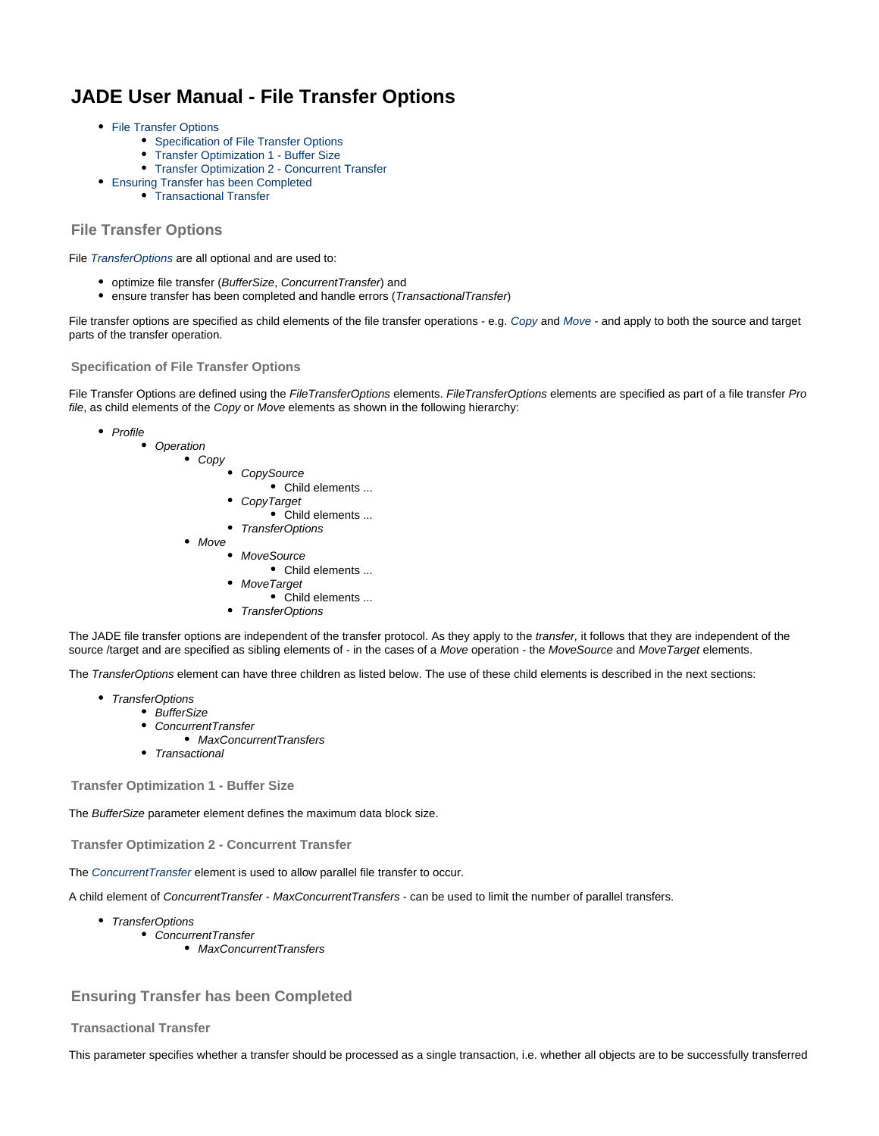# <span id="page-36-0"></span>**JADE User Manual - File Transfer Options**

- [File Transfer Options](#page-36-1)
	- [Specification of File Transfer Options](#page-36-2)
	- [Transfer Optimization 1 Buffer Size](#page-36-3)
	- [Transfer Optimization 2 Concurrent Transfer](#page-36-4)
- [Ensuring Transfer has been Completed](#page-36-5)
	- [Transactional Transfer](#page-36-6)

#### <span id="page-36-1"></span>**File Transfer Options**

File [TransferOptions](https://kb.sos-berlin.com/display/PKB/JADE+Parameter+Reference+-+TransferOptions) are all optional and are used to:

- optimize file transfer (BufferSize, ConcurrentTransfer) and
- ensure transfer has been completed and handle errors (TransactionalTransfer)

File transfer options are specified as child elements of the file transfer operations - e.g. [Copy](https://kb.sos-berlin.com/display/PKB/JADE+Parameter+Reference+-+Copy) and [Move](https://kb.sos-berlin.com/display/PKB/JADE+Parameter+Reference+-+Move) - and apply to both the source and target parts of the transfer operation.

#### <span id="page-36-2"></span>**Specification of File Transfer Options**

File Transfer Options are defined using the FileTransferOptions elements. FileTransferOptions elements are specified as part of a file transfer Pro file, as child elements of the Copy or Move elements as shown in the following hierarchy:

- Profile
	- Operation Copy **CopySource** Child elements ... CopyTarget Child elements ... • TransferOptions • Move • MoveSource Child elements ... **MoveTarget** Child elements ... • TransferOptions

The JADE file transfer options are independent of the transfer protocol. As they apply to the *transfer*, it follows that they are independent of the source /target and are specified as sibling elements of - in the cases of a Move operation - the MoveSource and MoveTarget elements.

The TransferOptions element can have three children as listed below. The use of these child elements is described in the next sections:

- TransferOptions
	- BufferSize
	- ConcurrentTransfer
		- MaxConcurrentTransfers
	- Transactional

<span id="page-36-3"></span>**Transfer Optimization 1 - Buffer Size**

The BufferSize parameter element defines the maximum data block size.

<span id="page-36-4"></span>**Transfer Optimization 2 - Concurrent Transfer**

The [ConcurrentTransfer](https://kb.sos-berlin.com/display/PKB/JADE+Parameter+Reference+-+ConcurrentTransfer) element is used to allow parallel file transfer to occur.

A child element of ConcurrentTransfer - MaxConcurrentTransfers - can be used to limit the number of parallel transfers.

- TransferOptions
	- ConcurrentTransfer
		- MaxConcurrentTransfers

#### <span id="page-36-5"></span>**Ensuring Transfer has been Completed**

#### <span id="page-36-6"></span>**Transactional Transfer**

This parameter specifies whether a transfer should be processed as a single transaction, i.e. whether all objects are to be successfully transferred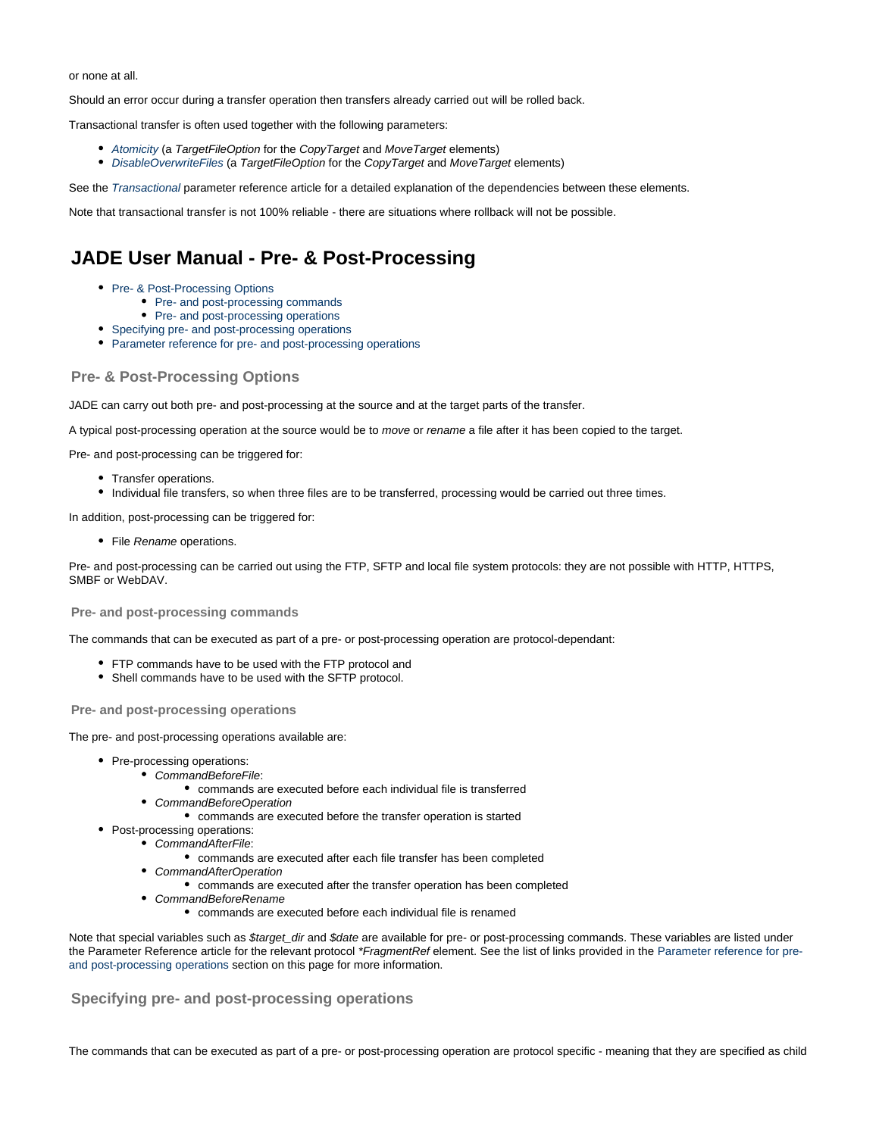or none at all.

Should an error occur during a transfer operation then transfers already carried out will be rolled back.

Transactional transfer is often used together with the following parameters:

- [Atomicity](https://kb.sos-berlin.com/display/PKB/JADE+Parameter+Reference+-+Atomicity) (a TargetFileOption for the CopyTarget and MoveTarget elements)
- **•** [DisableOverwriteFiles](https://www.sos-berlin.com/schema/jade/doc/JADE_configuration_v1_0_xsd_Element_DisableOverwriteFiles.html) (a TargetFileOption for the CopyTarget and MoveTarget elements)

See the [Transactional](https://kb.sos-berlin.com/display/PKB/JADE+Parameter+Reference+-+Transactional) parameter reference article for a detailed explanation of the dependencies between these elements.

Note that transactional transfer is not 100% reliable - there are situations where rollback will not be possible.

# <span id="page-37-0"></span>**JADE User Manual - Pre- & Post-Processing**

- [Pre- & Post-Processing Options](#page-37-1)
	- [Pre- and post-processing commands](#page-37-2)
	- [Pre- and post-processing operations](#page-37-3)
- [Specifying pre- and post-processing operations](#page-37-4)
- [Parameter reference for pre- and post-processing operations](#page-38-1)

#### <span id="page-37-1"></span>**Pre- & Post-Processing Options**

JADE can carry out both pre- and post-processing at the source and at the target parts of the transfer.

A typical post-processing operation at the source would be to move or rename a file after it has been copied to the target.

Pre- and post-processing can be triggered for:

- Transfer operations.
- Individual file transfers, so when three files are to be transferred, processing would be carried out three times.

In addition, post-processing can be triggered for:

• File Rename operations.

Pre- and post-processing can be carried out using the FTP, SFTP and local file system protocols: they are not possible with HTTP, HTTPS, SMBF or WebDAV.

#### <span id="page-37-2"></span>**Pre- and post-processing commands**

The commands that can be executed as part of a pre- or post-processing operation are protocol-dependant:

- FTP commands have to be used with the FTP protocol and
- Shell commands have to be used with the SFTP protocol.

#### <span id="page-37-3"></span>**Pre- and post-processing operations**

The pre- and post-processing operations available are:

- Pre-processing operations:
	- CommandBeforeFile:
		- commands are executed before each individual file is transferred
	- CommandBeforeOperation
		- commands are executed before the transfer operation is started
- Post-processing operations:
	- CommandAfterFile:
		- commands are executed after each file transfer has been completed
	- CommandAfterOperation
		- commands are executed after the transfer operation has been completed
	- CommandBeforeRename
		- commands are executed before each individual file is renamed

Note that special variables such as \$target\_dir and \$date are available for pre- or post-processing commands. These variables are listed under the Parameter Reference article for the relevant protocol \*FragmentRef element. See the list of links provided in the [Parameter reference for pre](#page-38-1)[and post-processing operations](#page-38-1) section on this page for more information.

#### <span id="page-37-4"></span>**Specifying pre- and post-processing operations**

The commands that can be executed as part of a pre- or post-processing operation are protocol specific - meaning that they are specified as child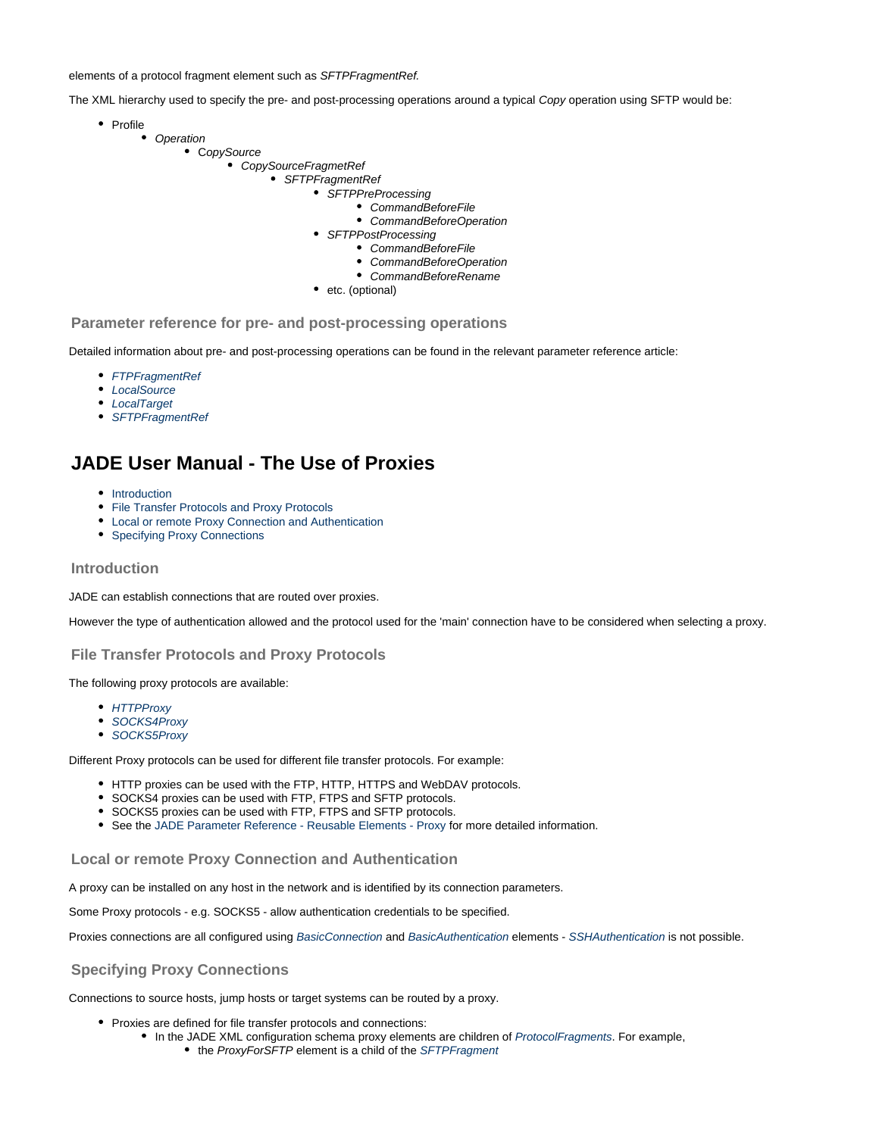elements of a protocol fragment element such as SFTPFragmentRef.

The XML hierarchy used to specify the pre- and post-processing operations around a typical Copy operation using SFTP would be:

- Profile
	- Operation
		- CopySource
			- CopySourceFragmetRef
				- SFTPFragmentRef
					- SFTPPreProcessing
						- CommandBeforeFile CommandBeforeOperation
					- SFTPPostProcessing
						- CommandBeforeFile
							- CommandBeforeOperation
						- CommandBeforeRename
					- etc. (optional)

#### <span id="page-38-1"></span>**Parameter reference for pre- and post-processing operations**

Detailed information about pre- and post-processing operations can be found in the relevant parameter reference article:

- [FTPFragmentRef](https://kb.sos-berlin.com/display/PKB/JADE+Parameter+Reference+-+FTPFragmentRef)
- [LocalSource](https://kb.sos-berlin.com/display/PKB/JADE+Parameter+Reference+-+LocalSource)
- [LocalTarget](https://kb.sos-berlin.com/display/PKB/JADE+Parameter+Reference+-+LocalTarget)
- [SFTPFragmentRef](https://kb.sos-berlin.com/display/PKB/JADE+Parameter+Reference+-+SFTPFragmentRef)

# <span id="page-38-0"></span>**JADE User Manual - The Use of Proxies**

- [Introduction](#page-38-2)
- [File Transfer Protocols and Proxy Protocols](#page-38-3)
- [Local or remote Proxy Connection and Authentication](#page-38-4)
- [Specifying Proxy Connections](#page-38-5)

#### <span id="page-38-2"></span>**Introduction**

JADE can establish connections that are routed over proxies.

However the type of authentication allowed and the protocol used for the 'main' connection have to be considered when selecting a proxy.

#### <span id="page-38-3"></span>**File Transfer Protocols and Proxy Protocols**

The following proxy protocols are available:

- [HTTPProxy](https://kb.sos-berlin.com/display/PKB/JADE+Parameter+Reference+-+HTTPProxy)
- [SOCKS4Proxy](https://kb.sos-berlin.com/display/PKB/JADE+Parameter+Reference+-+SOCKS4Proxy)
- [SOCKS5Proxy](https://kb.sos-berlin.com/display/PKB/JADE+Parameter+Reference+-+SOCKS5Proxy)

Different Proxy protocols can be used for different file transfer protocols. For example:

- HTTP proxies can be used with the FTP, HTTP, HTTPS and WebDAV protocols.
- SOCKS4 proxies can be used with FTP, FTPS and SFTP protocols.
- SOCKS5 proxies can be used with FTP, FTPS and SFTP protocols.
- See the [JADE Parameter Reference Reusable Elements Proxy](https://kb.sos-berlin.com/display/PKB/JADE+Parameter+Reference+-+Reusable+Elements+-+Proxy) for more detailed information.

#### <span id="page-38-4"></span>**Local or remote Proxy Connection and Authentication**

A proxy can be installed on any host in the network and is identified by its connection parameters.

Some Proxy protocols - e.g. SOCKS5 - allow authentication credentials to be specified.

Proxies connections are all configured using [BasicConnection](https://kb.sos-berlin.com/display/PKB/JADE+Parameter+Reference+-+BasicConnection) and [BasicAuthentication](https://kb.sos-berlin.com/display/PKB/JADE+Parameter+Reference+-+BasicAuthentication) elements - [SSHAuthentication](https://kb.sos-berlin.com/display/PKB/JADE+Parameter+Reference+-+SSHAuthentication) is not possible.

#### <span id="page-38-5"></span>**Specifying Proxy Connections**

Connections to source hosts, jump hosts or target systems can be routed by a proxy.

- Proxies are defined for file transfer protocols and connections:
	- In the JADE XML configuration schema proxy elements are children of [ProtocolFragments](https://kb.sos-berlin.com/display/PKB/JADE+Parameter+Reference+-+ProtocolFragments). For example,
		- the ProxyForSFTP element is a child of the [SFTPFragment](https://kb.sos-berlin.com/display/PKB/JADE+Parameter+Reference+-+SFTPFragment)